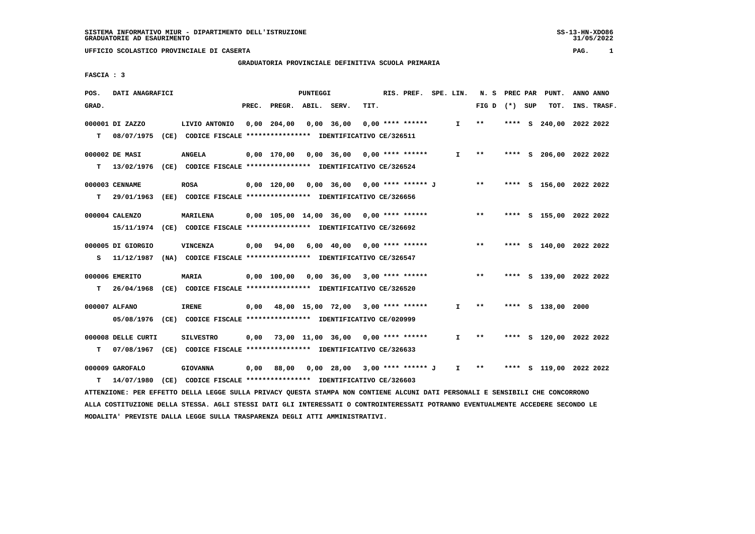# **GRADUATORIA PROVINCIALE DEFINITIVA SCUOLA PRIMARIA**

 **FASCIA : 3**

| POS.  | DATI ANAGRAFICI    |      |                                                                                                                               |      |                                            | PUNTEGGI   |                               |      | RIS. PREF. SPE. LIN. |                               |                 |      |     | N. S PREC PAR PUNT.     | ANNO ANNO   |
|-------|--------------------|------|-------------------------------------------------------------------------------------------------------------------------------|------|--------------------------------------------|------------|-------------------------------|------|----------------------|-------------------------------|-----------------|------|-----|-------------------------|-------------|
| GRAD. |                    |      |                                                                                                                               |      | PREC. PREGR. ABIL. SERV.                   |            |                               | TIT. |                      |                               | FIG D $(*)$ SUP |      |     | TOT.                    | INS. TRASF. |
|       | 000001 DI ZAZZO    |      | LIVIO ANTONIO                                                                                                                 |      | 0,00 204,00                                | 0,00 36,00 |                               |      | 0,00 **** ******     | $\mathbf{I}$                  | $* *$           | **** | - S | 240,00 2022 2022        |             |
| T.    | 08/07/1975         |      | (CE) CODICE FISCALE **************** IDENTIFICATIVO CE/326511                                                                 |      |                                            |            |                               |      |                      |                               |                 |      |     |                         |             |
|       | 000002 DE MASI     |      | <b>ANGELA</b>                                                                                                                 |      | $0,00$ 170,00 0,00 36,00 0,00 **** ******  |            |                               |      |                      | I.                            | $***$           |      |     | **** S 206,00 2022 2022 |             |
| т     |                    |      | 13/02/1976 (CE) CODICE FISCALE **************** IDENTIFICATIVO CE/326524                                                      |      |                                            |            |                               |      |                      |                               |                 |      |     |                         |             |
|       |                    |      |                                                                                                                               |      |                                            |            |                               |      |                      |                               |                 |      |     |                         |             |
|       | 000003 CENNAME     |      | <b>ROSA</b>                                                                                                                   |      | 0,00 120,00 0,00 36,00 0,00 **** ****** J  |            |                               |      |                      |                               | $***$           |      |     | **** S 156,00 2022 2022 |             |
| т     | 29/01/1963         |      | (EE) CODICE FISCALE **************** IDENTIFICATIVO CE/326656                                                                 |      |                                            |            |                               |      |                      |                               |                 |      |     |                         |             |
|       | 000004 CALENZO     |      | <b>MARILENA</b>                                                                                                               |      | $0,00$ 105,00 14,00 36,00 0,00 **** ****** |            |                               |      |                      |                               | $***$           |      |     | **** S 155,00 2022 2022 |             |
|       |                    |      | 15/11/1974 (CE) CODICE FISCALE *************** IDENTIFICATIVO CE/326692                                                       |      |                                            |            |                               |      |                      |                               |                 |      |     |                         |             |
|       |                    |      |                                                                                                                               |      |                                            |            |                               |      |                      |                               | $***$           |      |     |                         |             |
|       | 000005 DI GIORGIO  |      | <b>VINCENZA</b>                                                                                                               | 0,00 | 94,00                                      |            | $6,00$ 40,00 0,00 **** ****** |      |                      |                               |                 |      |     | **** S 140,00 2022 2022 |             |
| s     |                    |      | 11/12/1987 (NA) CODICE FISCALE **************** IDENTIFICATIVO CE/326547                                                      |      |                                            |            |                               |      |                      |                               |                 |      |     |                         |             |
|       | 000006 EMERITO     |      | MARIA                                                                                                                         |      | $0,00$ 100,00 0,00 36,00 3,00 **** ******  |            |                               |      |                      |                               | $* *$           |      |     | **** S 139,00 2022 2022 |             |
| т     |                    |      | 26/04/1968 (CE) CODICE FISCALE **************** IDENTIFICATIVO CE/326520                                                      |      |                                            |            |                               |      |                      |                               |                 |      |     |                         |             |
|       | 000007 ALFANO      |      | <b>IRENE</b>                                                                                                                  |      | $0,00$ 48,00 15,00 72,00 3,00 **** ******  |            |                               |      |                      | I.                            | $***$           |      |     | **** S 138,00 2000      |             |
|       |                    |      | 05/08/1976 (CE) CODICE FISCALE *************** IDENTIFICATIVO CE/020999                                                       |      |                                            |            |                               |      |                      |                               |                 |      |     |                         |             |
|       |                    |      |                                                                                                                               |      |                                            |            |                               |      |                      |                               |                 |      |     |                         |             |
|       | 000008 DELLE CURTI |      | <b>SILVESTRO</b>                                                                                                              |      | $0,00$ 73,00 11,00 36,00 0,00 **** ******  |            |                               |      |                      | $\mathbf{I}$                  | $***$           |      |     | **** S 120,00 2022 2022 |             |
| т     |                    |      | 07/08/1967 (CE) CODICE FISCALE *************** IDENTIFICATIVO CE/326633                                                       |      |                                            |            |                               |      |                      |                               |                 |      |     |                         |             |
|       | 000009 GAROFALO    |      | <b>GIOVANNA</b>                                                                                                               | 0,00 |                                            |            |                               |      |                      | $\mathbf{I}$ and $\mathbf{I}$ | $* *$           |      |     | **** S 119,00 2022 2022 |             |
| т     | 14/07/1980         | (CE) | CODICE FISCALE **************** IDENTIFICATIVO CE/326603                                                                      |      |                                            |            |                               |      |                      |                               |                 |      |     |                         |             |
|       |                    |      | ATTENZIONE: PER EFFETTO DELLA LEGGE SULLA PRIVACY QUESTA STAMPA NON CONTIENE ALCUNI DATI PERSONALI E SENSIBILI CHE CONCORRONO |      |                                            |            |                               |      |                      |                               |                 |      |     |                         |             |
|       |                    |      |                                                                                                                               |      |                                            |            |                               |      |                      |                               |                 |      |     |                         |             |

 **ALLA COSTITUZIONE DELLA STESSA. AGLI STESSI DATI GLI INTERESSATI O CONTROINTERESSATI POTRANNO EVENTUALMENTE ACCEDERE SECONDO LE MODALITA' PREVISTE DALLA LEGGE SULLA TRASPARENZA DEGLI ATTI AMMINISTRATIVI.**

SS-13-HN-XDO86<br>31/05/2022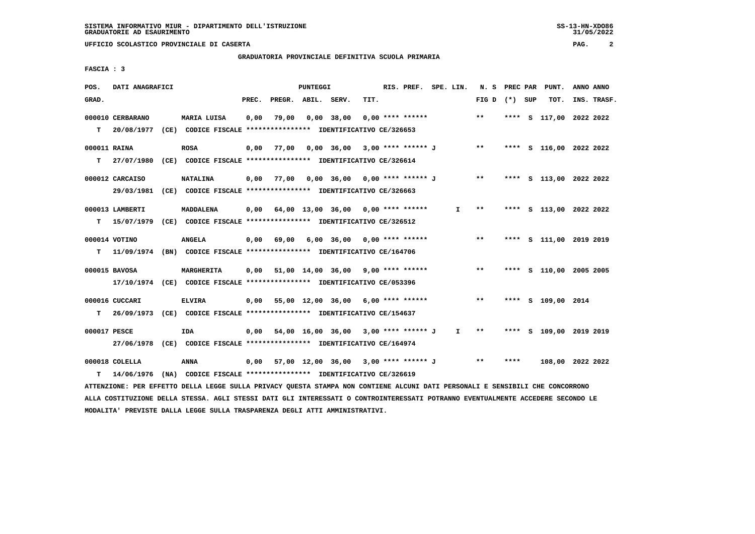## **GRADUATORIA PROVINCIALE DEFINITIVA SCUOLA PRIMARIA**

 **FASCIA : 3**

| POS.         | DATI ANAGRAFICI  |                                                                          |       |                    | PUNTEGGI |                                           |      | RIS. PREF. SPE. LIN. |              | N.S             | PREC PAR | PUNT.                   | ANNO ANNO |             |
|--------------|------------------|--------------------------------------------------------------------------|-------|--------------------|----------|-------------------------------------------|------|----------------------|--------------|-----------------|----------|-------------------------|-----------|-------------|
| GRAD.        |                  |                                                                          | PREC. | PREGR. ABIL. SERV. |          |                                           | TIT. |                      |              | FIG D $(*)$ SUP |          | TOT.                    |           | INS. TRASF. |
|              | 000010 CERBARANO | MARIA LUISA                                                              | 0,00  | 79,00              |          | $0,00$ 38,00                              |      | $0.00$ **** ******   |              | $***$           | ****     | S 117,00 2022 2022      |           |             |
| т            | 20/08/1977       | (CE) CODICE FISCALE **************** IDENTIFICATIVO CE/326653            |       |                    |          |                                           |      |                      |              |                 |          |                         |           |             |
| 000011 RAINA |                  | <b>ROSA</b>                                                              | 0.00  | 77,00              |          | $0,00$ 36,00 3,00 **** ****** J **        |      |                      |              |                 |          | **** S 116,00 2022 2022 |           |             |
| т            | 27/07/1980       | (CE) CODICE FISCALE **************** IDENTIFICATIVO CE/326614            |       |                    |          |                                           |      |                      |              |                 |          |                         |           |             |
|              | 000012 CARCAISO  | <b>NATALINA</b>                                                          | 0,00  | 77,00              |          | 0,00 36,00 0,00 **** ****** J **          |      |                      |              |                 |          | **** S 113,00 2022 2022 |           |             |
|              | 29/03/1981       | (CE) CODICE FISCALE **************** IDENTIFICATIVO CE/326663            |       |                    |          |                                           |      |                      |              |                 |          |                         |           |             |
|              | 000013 LAMBERTI  | MADDALENA                                                                |       |                    |          | $0.00$ 64.00 13.00 36.00 0.00 **** ****** |      |                      | I.           | $* *$           |          | **** S 113,00 2022 2022 |           |             |
| т            |                  | 15/07/1979 (CE) CODICE FISCALE *************** IDENTIFICATIVO CE/326512  |       |                    |          |                                           |      |                      |              |                 |          |                         |           |             |
|              | 000014 VOTINO    | <b>ANGELA</b>                                                            | 0,00  | 69,00              |          | $6,00$ $36,00$ $0,00$ $***$ **** *****    |      |                      |              | $***$           | ****     | S 111,00 2019 2019      |           |             |
| т            |                  | 11/09/1974 (BN) CODICE FISCALE **************** IDENTIFICATIVO CE/164706 |       |                    |          |                                           |      |                      |              |                 |          |                         |           |             |
|              | 000015 BAVOSA    | MARGHERITA                                                               | 0,00  |                    |          | 51,00 14,00 36,00 9,00 **** ******        |      |                      |              | $***$           |          | **** S 110,00 2005 2005 |           |             |
|              |                  | 17/10/1974 (CE) CODICE FISCALE *************** IDENTIFICATIVO CE/053396  |       |                    |          |                                           |      |                      |              |                 |          |                         |           |             |
|              | 000016 CUCCARI   | <b>ELVIRA</b>                                                            | 0.00  |                    |          | 55,00 12,00 36,00 6,00 **** ******        |      |                      |              | $* *$           |          | **** S 109,00 2014      |           |             |
| т            | 26/09/1973       | (CE) CODICE FISCALE **************** IDENTIFICATIVO CE/154637            |       |                    |          |                                           |      |                      |              |                 |          |                         |           |             |
| 000017 PESCE |                  | IDA                                                                      |       |                    |          | 0,00 54,00 16,00 36,00 3,00 **** ****** J |      |                      | $\mathbf{I}$ | $***$           |          | **** S 109,00 2019 2019 |           |             |
|              | 27/06/1978       | (CE) CODICE FISCALE **************** IDENTIFICATIVO CE/164974            |       |                    |          |                                           |      |                      |              |                 |          |                         |           |             |
|              | 000018 COLELLA   | <b>ANNA</b>                                                              |       |                    |          | 0,00 57,00 12,00 36,00 3,00 **** ****** J |      |                      |              | $***$           | ****     | 108,00 2022 2022        |           |             |
| т            | 14/06/1976       | (NA) CODICE FISCALE **************** IDENTIFICATIVO CE/326619            |       |                    |          |                                           |      |                      |              |                 |          |                         |           |             |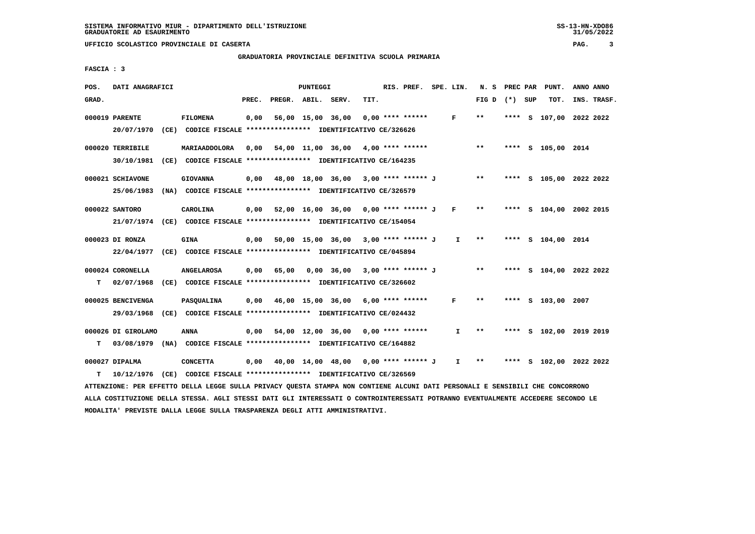#### **GRADUATORIA PROVINCIALE DEFINITIVA SCUOLA PRIMARIA**

 **FASCIA : 3**

| POS.  | DATI ANAGRAFICI                   |                                                                                                                               |       |                    | PUNTEGGI |                                                  |      | RIS. PREF. SPE. LIN. |                   | N. S            | PREC PAR | PUNT.                   | ANNO ANNO |             |
|-------|-----------------------------------|-------------------------------------------------------------------------------------------------------------------------------|-------|--------------------|----------|--------------------------------------------------|------|----------------------|-------------------|-----------------|----------|-------------------------|-----------|-------------|
| GRAD. |                                   |                                                                                                                               | PREC. | PREGR. ABIL. SERV. |          |                                                  | TIT. |                      |                   | FIG D $(*)$ SUP |          | TOT.                    |           | INS. TRASF. |
|       | 000019 PARENTE<br>20/07/1970      | <b>FILOMENA</b><br>(CE) CODICE FISCALE **************** IDENTIFICATIVO CE/326626                                              | 0,00  |                    |          | 56,00 15,00 36,00                                |      | $0.00$ **** ******   | F                 | $* *$           |          | **** S 107,00 2022 2022 |           |             |
|       | 000020 TERRIBILE<br>30/10/1981    | MARIAADDOLORA<br>(CE) CODICE FISCALE **************** IDENTIFICATIVO CE/164235                                                |       |                    |          | $0,00$ 54,00 11,00 36,00 4,00 **** ******        |      |                      |                   | $***$           |          | **** S 105,00 2014      |           |             |
|       | 000021 SCHIAVONE                  | <b>GIOVANNA</b><br>25/06/1983 (NA) CODICE FISCALE *************** IDENTIFICATIVO CE/326579                                    |       |                    |          | 0,00 48,00 18,00 36,00 3,00 **** ****** J        |      |                      |                   | $***$           |          | **** S 105,00 2022 2022 |           |             |
|       | 000022 SANTORO                    | CAROLINA<br>21/07/1974 (CE) CODICE FISCALE *************** IDENTIFICATIVO CE/154054                                           | 0,00  |                    |          | 52,00 16,00 36,00 0,00 **** ****** J F           |      |                      |                   | $**$            |          | **** S 104,00 2002 2015 |           |             |
|       | 000023 DI RONZA<br>22/04/1977     | <b>GINA</b><br>(CE) CODICE FISCALE **************** IDENTIFICATIVO CE/045894                                                  | 0,00  |                    |          | 50,00 15,00 36,00 3,00 **** ****** J             |      |                      | I.                | $***$           |          | **** S 104,00 2014      |           |             |
| T.    | 000024 CORONELLA<br>02/07/1968    | <b>ANGELAROSA</b><br>(CE) CODICE FISCALE **************** IDENTIFICATIVO CE/326602                                            | 0,00  | 65,00              |          | 0,00 36,00 3,00 **** ****** J                    |      |                      |                   | $* *$           |          | **** S 104,00 2022 2022 |           |             |
|       | 000025 BENCIVENGA                 | <b>PASOUALINA</b><br>29/03/1968 (CE) CODICE FISCALE *************** IDENTIFICATIVO CE/024432                                  |       |                    |          | $0.00$ 46.00 15.00 36.00 6.00 **** ******        |      |                      | F                 | $* *$           |          | **** S 103,00 2007      |           |             |
| т     | 000026 DI GIROLAMO                | ANNA<br>03/08/1979 (NA) CODICE FISCALE **************** IDENTIFICATIVO CE/164882                                              | 0,00  |                    |          | 54,00 12,00 36,00 0,00 **** ******               |      |                      | $\mathbf{I}$      | $* *$           |          | **** S 102,00 2019 2019 |           |             |
| т     | 000027 DIPALMA<br>10/12/1976 (CE) | <b>CONCETTA</b><br>CODICE FISCALE **************** IDENTIFICATIVO CE/326569                                                   |       |                    |          | 0,00  40,00  14,00  48,00  0,00  ****  ******  J |      |                      | $I \rightarrow *$ |                 |          | **** S 102,00 2022 2022 |           |             |
|       |                                   | ATTENZIONE: PER EFFETTO DELLA LEGGE SULLA PRIVACY QUESTA STAMPA NON CONTIENE ALCUNI DATI PERSONALI E SENSIBILI CHE CONCORRONO |       |                    |          |                                                  |      |                      |                   |                 |          |                         |           |             |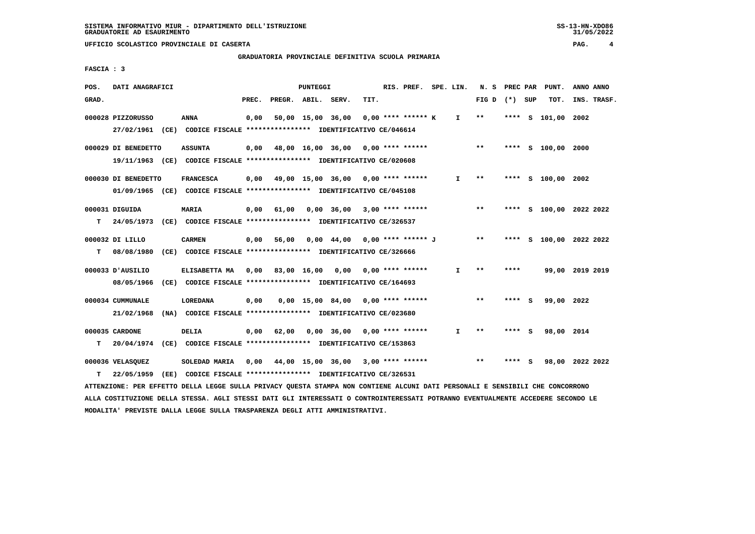**GRADUATORIA PROVINCIALE DEFINITIVA SCUOLA PRIMARIA**

 **FASCIA : 3**

| POS.  | DATI ANAGRAFICI                                                                                |                  |       |                    | PUNTEGGI |                                                                                                 |      | RIS. PREF.           | SPE. LIN.    | N. S  | PREC PAR |     | PUNT.                   | ANNO ANNO |             |
|-------|------------------------------------------------------------------------------------------------|------------------|-------|--------------------|----------|-------------------------------------------------------------------------------------------------|------|----------------------|--------------|-------|----------|-----|-------------------------|-----------|-------------|
| GRAD. |                                                                                                |                  | PREC. | PREGR. ABIL. SERV. |          |                                                                                                 | TIT. |                      |              | FIG D | (*) SUP  |     | TOT.                    |           | INS. TRASF. |
|       | 000028 PIZZORUSSO<br>27/02/1961 (CE) CODICE FISCALE *************** IDENTIFICATIVO CE/046614   | ANNA             | 0,00  |                    |          | 50,00 15,00 36,00                                                                               |      | $0.00$ **** ****** K | $\mathbf{I}$ | $***$ |          |     | **** S 101,00           | 2002      |             |
|       | 000029 DI BENEDETTO<br>19/11/1963 (CE) CODICE FISCALE *************** IDENTIFICATIVO CE/020608 | <b>ASSUNTA</b>   | 0,00  |                    |          | 48,00 16,00 36,00 0,00 **** ******                                                              |      |                      |              | $* *$ |          |     | **** S 100,00 2000      |           |             |
|       | 000030 DI BENEDETTO<br>01/09/1965 (CE) CODICE FISCALE *************** IDENTIFICATIVO CE/045108 | <b>FRANCESCA</b> | 0,00  |                    |          | 49,00 15,00 36,00 0,00 **** ******                                                              |      |                      | I.           | $***$ |          |     | **** S 100,00 2002      |           |             |
| т     | 000031 DIGUIDA<br>24/05/1973 (CE) CODICE FISCALE *************** IDENTIFICATIVO CE/326537      | MARIA            | 0,00  | 61,00              |          | $0.00$ 36.00 3.00 **** ******                                                                   |      |                      |              | **    |          |     | **** S 100,00 2022 2022 |           |             |
| т     | 000032 DI LILLO<br>08/08/1980                                                                  | <b>CARMEN</b>    | 0,00  | 56,00              |          | $0,00 \quad 44,00$<br>(CE) CODICE FISCALE **************** IDENTIFICATIVO CE/326666             |      | 0,00 **** ****** J   |              | $* *$ |          |     | **** S 100,00 2022 2022 |           |             |
|       | 000033 D'AUSILIO<br>08/05/1966                                                                 | ELISABETTA MA    | 0.00  | 83,00 16,00 0,00   |          | (CE) CODICE FISCALE **************** IDENTIFICATIVO CE/164693                                   |      | $0.00$ **** ******   | T            | $* *$ | ****     |     | 99,00 2019 2019         |           |             |
|       | 000034 CUMMUNALE<br>21/02/1968                                                                 | <b>LOREDANA</b>  | 0,00  |                    |          | $0.00 \quad 15.00 \quad 84.00$<br>(NA) CODICE FISCALE **************** IDENTIFICATIVO CE/023680 |      | 0,00 **** ******     |              | $* *$ | **** S   |     | 99,00 2022              |           |             |
| т     | 000035 CARDONE<br>20/04/1974                                                                   | DELIA            | 0,00  | 62,00              |          | 0,00 36,00<br>(CE) CODICE FISCALE **************** IDENTIFICATIVO CE/153863                     |      | $0.00$ **** ******   | I.           | $* *$ | ****     | - 5 | 98,00 2014              |           |             |
| т     | 000036 VELASQUEZ<br>22/05/1959                                                                 | SOLEDAD MARIA    | 0,00  |                    |          | 44,00 15,00 36,00<br>(EE) CODICE FISCALE **************** IDENTIFICATIVO CE/326531              |      | $3,00$ **** ******   |              | $* *$ | ****     | - S | 98,00 2022 2022         |           |             |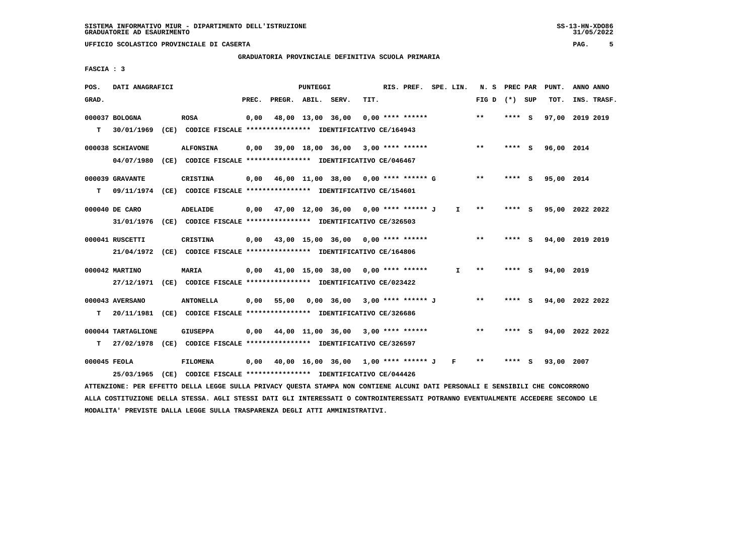#### **GRADUATORIA PROVINCIALE DEFINITIVA SCUOLA PRIMARIA**

 **FASCIA : 3**

| POS.         | DATI ANAGRAFICI    |                                                                                                                               |       |                    | PUNTEGGI |                                             |      | RIS. PREF. SPE. LIN. |                               | N. S PREC PAR   |         | PUNT.      | ANNO ANNO       |  |
|--------------|--------------------|-------------------------------------------------------------------------------------------------------------------------------|-------|--------------------|----------|---------------------------------------------|------|----------------------|-------------------------------|-----------------|---------|------------|-----------------|--|
| GRAD.        |                    |                                                                                                                               | PREC. | PREGR. ABIL. SERV. |          |                                             | TIT. |                      |                               | FIG D $(*)$ SUP |         | TOT.       | INS. TRASF.     |  |
|              | 000037 BOLOGNA     | <b>ROSA</b>                                                                                                                   | 0,00  |                    |          | 48,00 13,00 36,00 0,00 **** ******          |      |                      |                               | **              | **** S  |            | 97,00 2019 2019 |  |
| т            | 30/01/1969         | (CE) CODICE FISCALE **************** IDENTIFICATIVO CE/164943                                                                 |       |                    |          |                                             |      |                      |                               |                 |         |            |                 |  |
|              |                    |                                                                                                                               |       |                    |          |                                             |      |                      |                               |                 |         |            |                 |  |
|              | 000038 SCHIAVONE   | <b>ALFONSINA</b>                                                                                                              |       |                    |          | $0,00$ 39,00 18,00 36,00 3,00 **** ******   |      |                      |                               | $***$           | **** S  | 96,00 2014 |                 |  |
|              | 04/07/1980         | (CE) CODICE FISCALE **************** IDENTIFICATIVO CE/046467                                                                 |       |                    |          |                                             |      |                      |                               |                 |         |            |                 |  |
|              | 000039 GRAVANTE    | CRISTINA                                                                                                                      |       |                    |          | $0,00$ 46,00 11,00 38,00 0,00 **** ****** G |      |                      |                               | $* *$           | $***$ S | 95,00 2014 |                 |  |
| T.           |                    | 09/11/1974 (CE) CODICE FISCALE **************** IDENTIFICATIVO CE/154601                                                      |       |                    |          |                                             |      |                      |                               |                 |         |            |                 |  |
|              |                    |                                                                                                                               |       |                    |          |                                             |      |                      |                               |                 |         |            |                 |  |
|              | 000040 DE CARO     | ADELAIDE                                                                                                                      |       |                    |          | 0,00 47,00 12,00 36,00 0,00 **** ****** J   |      |                      | $\mathbf{I}$ and $\mathbf{I}$ | $***$           | **** S  |            | 95,00 2022 2022 |  |
|              |                    | 31/01/1976 (CE) CODICE FISCALE *************** IDENTIFICATIVO CE/326503                                                       |       |                    |          |                                             |      |                      |                               |                 |         |            |                 |  |
|              | 000041 RUSCETTI    | <b>CRISTINA</b>                                                                                                               |       |                    |          | $0,00$ 43,00 15,00 36,00 0,00 **** ******   |      |                      |                               | $***$           | **** S  |            | 94,00 2019 2019 |  |
|              |                    | 21/04/1972 (CE) CODICE FISCALE *************** IDENTIFICATIVO CE/164806                                                       |       |                    |          |                                             |      |                      |                               |                 |         |            |                 |  |
|              |                    |                                                                                                                               |       |                    |          |                                             |      |                      |                               | $***$           | $***5$  |            |                 |  |
|              | 000042 MARTINO     | <b>MARIA</b>                                                                                                                  |       |                    |          | $0,00$ 41,00 15,00 38,00 0,00 **** ******   |      |                      | $\mathbf{I}$                  |                 |         | 94,00 2019 |                 |  |
|              |                    | 27/12/1971 (CE) CODICE FISCALE *************** IDENTIFICATIVO CE/023422                                                       |       |                    |          |                                             |      |                      |                               |                 |         |            |                 |  |
|              | 000043 AVERSANO    | <b>ANTONELLA</b>                                                                                                              | 0,00  |                    |          | 55,00  0,00  36,00  3,00  ****  ******  J   |      |                      |                               | $* *$           | **** S  |            | 94,00 2022 2022 |  |
|              |                    | T  20/11/1981 (CE) CODICE FISCALE *************** IDENTIFICATIVO CE/326686                                                    |       |                    |          |                                             |      |                      |                               |                 |         |            |                 |  |
|              |                    |                                                                                                                               |       |                    |          |                                             |      |                      |                               |                 |         |            |                 |  |
|              | 000044 TARTAGLIONE | <b>GIUSEPPA</b>                                                                                                               |       |                    |          | $0,00$ 44,00 11,00 36,00 3,00 **** ******   |      |                      |                               | $***$           | **** S  |            | 94,00 2022 2022 |  |
|              |                    | T 27/02/1978 (CE) CODICE FISCALE **************** IDENTIFICATIVO CE/326597                                                    |       |                    |          |                                             |      |                      |                               |                 |         |            |                 |  |
| 000045 FEOLA |                    | <b>FILOMENA</b>                                                                                                               | 0,00  |                    |          | 40,00 16,00 36,00 1,00 **** ****** J F      |      |                      |                               | $* *$           | **** S  | 93,00 2007 |                 |  |
|              |                    | 25/03/1965 (CE) CODICE FISCALE *************** IDENTIFICATIVO CE/044426                                                       |       |                    |          |                                             |      |                      |                               |                 |         |            |                 |  |
|              |                    | ATTENZIONE: PER EFFETTO DELLA LEGGE SULLA PRIVACY QUESTA STAMPA NON CONTIENE ALCUNI DATI PERSONALI E SENSIBILI CHE CONCORRONO |       |                    |          |                                             |      |                      |                               |                 |         |            |                 |  |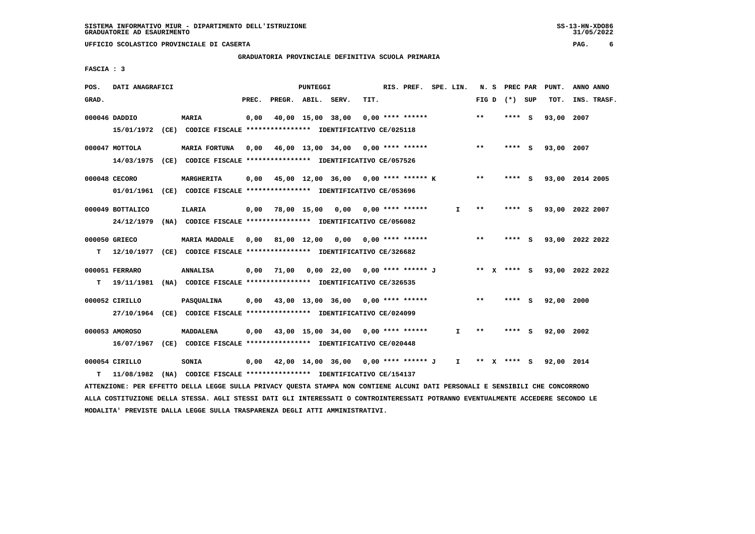## **GRADUATORIA PROVINCIALE DEFINITIVA SCUOLA PRIMARIA**

 **FASCIA : 3**

| POS.  | DATI ANAGRAFICI  |                                                                          |       |                    | <b>PUNTEGGI</b> |                                          |      | RIS. PREF. SPE. LIN. |              | N. S  | PREC PAR        |     | PUNT.      | ANNO ANNO       |
|-------|------------------|--------------------------------------------------------------------------|-------|--------------------|-----------------|------------------------------------------|------|----------------------|--------------|-------|-----------------|-----|------------|-----------------|
| GRAD. |                  |                                                                          | PREC. | PREGR. ABIL. SERV. |                 |                                          | TIT. |                      |              |       | FIG D $(*)$ SUP |     | TOT.       | INS. TRASF.     |
|       | 000046 DADDIO    | <b>MARIA</b>                                                             | 0,00  |                    |                 | 40,00 15,00 38,00                        |      | $0.00$ **** ******   |              | $* *$ | **** S          |     | 93,00      | 2007            |
|       |                  | 15/01/1972 (CE) CODICE FISCALE *************** IDENTIFICATIVO CE/025118  |       |                    |                 |                                          |      |                      |              |       |                 |     |            |                 |
|       | $000047$ MOTTOLA | MARIA FORTUNA                                                            | 0,00  |                    |                 | 46,00 13,00 34,00 0,00 **** ******       |      |                      |              | $* *$ | **** S          |     | 93,00 2007 |                 |
|       |                  | 14/03/1975 (CE) CODICE FISCALE *************** IDENTIFICATIVO CE/057526  |       |                    |                 |                                          |      |                      |              |       |                 |     |            |                 |
|       | 000048 CECORO    | MARGHERITA                                                               | 0,00  |                    |                 | 45,00 12,00 36,00 0,00 **** ****** K     |      |                      |              | $***$ | **** S          |     |            | 93,00 2014 2005 |
|       |                  | 01/01/1961 (CE) CODICE FISCALE *************** IDENTIFICATIVO CE/053696  |       |                    |                 |                                          |      |                      |              |       |                 |     |            |                 |
|       | 000049 BOTTALICO | <b>ILARIA</b>                                                            |       |                    |                 | $0,00$ 78,00 15,00 0,00 0,00 **** ****** |      |                      | I.           | **    | ****            | - 5 |            | 93,00 2022 2007 |
|       | 24/12/1979       | (NA) CODICE FISCALE **************** IDENTIFICATIVO CE/056082            |       |                    |                 |                                          |      |                      |              |       |                 |     |            |                 |
|       |                  |                                                                          |       |                    |                 |                                          |      |                      |              |       |                 |     |            |                 |
|       | 000050 GRIECO    | <b>MARIA MADDALE</b>                                                     |       |                    |                 | 0,00 81,00 12,00 0,00 0,00 **** ******   |      |                      |              | $***$ | **** S          |     |            | 93,00 2022 2022 |
| т     |                  | 12/10/1977 (CE) CODICE FISCALE *************** IDENTIFICATIVO CE/326682  |       |                    |                 |                                          |      |                      |              |       |                 |     |            |                 |
|       | 000051 FERRARO   | <b>ANNALISA</b>                                                          |       |                    |                 | 0,00 71,00 0,00 22,00 0,00 **** ****** J |      |                      |              |       | ** X **** S     |     |            | 93,00 2022 2022 |
| т     |                  | 19/11/1981 (NA) CODICE FISCALE **************** IDENTIFICATIVO CE/326535 |       |                    |                 |                                          |      |                      |              |       |                 |     |            |                 |
|       | 000052 CIRILLO   | <b>PASOUALINA</b>                                                        | 0,00  |                    |                 | 43,00 13,00 36,00 0,00 **** ******       |      |                      |              | **    | **** S          |     | 92,00 2000 |                 |
|       |                  | 27/10/1964 (CE) CODICE FISCALE *************** IDENTIFICATIVO CE/024099  |       |                    |                 |                                          |      |                      |              |       |                 |     |            |                 |
|       |                  |                                                                          |       |                    |                 |                                          |      |                      |              |       |                 |     |            |                 |
|       | 000053 AMOROSO   | MADDALENA                                                                | 0.00  |                    |                 | 43,00 15,00 34,00 0,00 **** ******       |      |                      | $\mathbf{I}$ | $**$  | ****            | - S | 92,00 2002 |                 |
|       |                  | 16/07/1967 (CE) CODICE FISCALE *************** IDENTIFICATIVO CE/020448  |       |                    |                 |                                          |      |                      |              |       |                 |     |            |                 |
|       | 000054 CIRILLO   | <b>SONIA</b>                                                             | 0,00  |                    |                 | 42,00 14,00 36,00 0,00 **** ****** J     |      |                      | I.           | ** X  | **** S          |     | 92,00 2014 |                 |
| т     | 11/08/1982       | (NA) CODICE FISCALE **************** IDENTIFICATIVO CE/154137            |       |                    |                 |                                          |      |                      |              |       |                 |     |            |                 |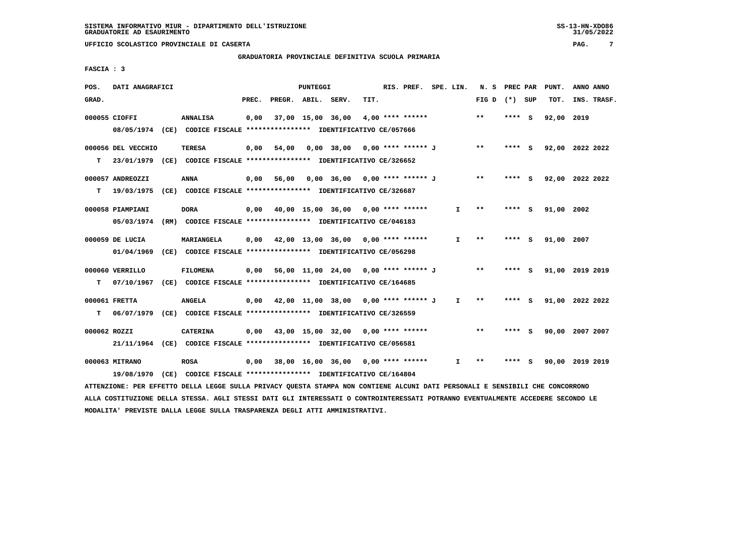## **GRADUATORIA PROVINCIALE DEFINITIVA SCUOLA PRIMARIA**

 **FASCIA : 3**

| POS.  | DATI ANAGRAFICI    |                                                                                                                               |       |                    | PUNTEGGI          |                                             |      | RIS. PREF. SPE. LIN. |              |                 | N. S PREC PAR |   | PUNT.           | ANNO ANNO |             |
|-------|--------------------|-------------------------------------------------------------------------------------------------------------------------------|-------|--------------------|-------------------|---------------------------------------------|------|----------------------|--------------|-----------------|---------------|---|-----------------|-----------|-------------|
| GRAD. |                    |                                                                                                                               | PREC. | PREGR. ABIL. SERV. |                   |                                             | TIT. |                      |              | FIG D $(*)$ SUP |               |   | тот.            |           | INS. TRASF. |
|       | 000055 CIOFFI      | <b>ANNALISA</b>                                                                                                               | 0,00  |                    | 37,00 15,00 36,00 |                                             |      | $4,00$ **** ******   |              | $* *$           | ****          | ్ | 92,00 2019      |           |             |
|       |                    | 08/05/1974 (CE) CODICE FISCALE *************** IDENTIFICATIVO CE/057666                                                       |       |                    |                   |                                             |      |                      |              |                 |               |   |                 |           |             |
|       | 000056 DEL VECCHIO | <b>TERESA</b>                                                                                                                 | 0,00  | 54,00              |                   | 0,00 38,00 0,00 **** ****** J               |      |                      |              | $***$           | **** S        |   | 92,00 2022 2022 |           |             |
| т     |                    | 23/01/1979 (CE) CODICE FISCALE *************** IDENTIFICATIVO CE/326652                                                       |       |                    |                   |                                             |      |                      |              |                 |               |   |                 |           |             |
|       | 000057 ANDREOZZI   | ANNA                                                                                                                          | 0,00  |                    |                   | 56,00 0,00 36,00 0,00 **** ****** J         |      |                      |              | $* *$           | **** S        |   | 92,00 2022 2022 |           |             |
| т     |                    | 19/03/1975 (CE) CODICE FISCALE **************** IDENTIFICATIVO CE/326687                                                      |       |                    |                   |                                             |      |                      |              |                 |               |   |                 |           |             |
|       | 000058 PIAMPIANI   | <b>DORA</b>                                                                                                                   |       |                    |                   | $0,00$ 40,00 15,00 36,00 0,00 **** ******   |      |                      | $\mathbf{I}$ | $**$            | **** S        |   | 91,00 2002      |           |             |
|       |                    | 05/03/1974 (RM) CODICE FISCALE *************** IDENTIFICATIVO CE/046183                                                       |       |                    |                   |                                             |      |                      |              |                 |               |   |                 |           |             |
|       | 000059 DE LUCIA    | MARIANGELA                                                                                                                    |       |                    |                   | $0.00$ 42.00 13.00 36.00 0.00 **** ******   |      |                      | $\mathbf{I}$ | **              | **** S        |   | 91,00 2007      |           |             |
|       | 01/04/1969         | (CE) CODICE FISCALE **************** IDENTIFICATIVO CE/056298                                                                 |       |                    |                   |                                             |      |                      |              |                 |               |   |                 |           |             |
|       | 000060 VERRILLO    | FILOMENA                                                                                                                      |       |                    |                   | 0,00 56,00 11,00 24,00 0,00 **** ****** J   |      |                      |              | $**$            | **** S        |   | 91,00 2019 2019 |           |             |
| т     |                    | 07/10/1967 (CE) CODICE FISCALE *************** IDENTIFICATIVO CE/164685                                                       |       |                    |                   |                                             |      |                      |              |                 |               |   |                 |           |             |
|       | 000061 FRETTA      | <b>ANGELA</b>                                                                                                                 |       |                    |                   | $0,00$ 42,00 11,00 38,00 0,00 **** ****** J |      |                      | $\mathbf{I}$ | $**$            | $***$ S       |   | 91,00 2022 2022 |           |             |
| т     |                    | 06/07/1979 (CE) CODICE FISCALE **************** IDENTIFICATIVO CE/326559                                                      |       |                    |                   |                                             |      |                      |              |                 |               |   |                 |           |             |
|       | 000062 ROZZI       | <b>CATERINA</b>                                                                                                               |       |                    |                   | $0,00$ 43,00 15,00 32,00 0,00 **** ******   |      |                      |              | **              | $***$ S       |   | 90,00 2007 2007 |           |             |
|       |                    | 21/11/1964 (CE) CODICE FISCALE *************** IDENTIFICATIVO CE/056581                                                       |       |                    |                   |                                             |      |                      |              |                 |               |   |                 |           |             |
|       | 000063 MITRANO     | <b>ROSA</b>                                                                                                                   | 0,00  |                    |                   | 38,00 16,00 36,00 0,00 **** ******          |      |                      | I.           | $***$           | **** S        |   | 90,00 2019 2019 |           |             |
|       |                    | 19/08/1970 (CE) CODICE FISCALE *************** IDENTIFICATIVO CE/164804                                                       |       |                    |                   |                                             |      |                      |              |                 |               |   |                 |           |             |
|       |                    | ATTENZIONE: PER EFFETTO DELLA LEGGE SULLA PRIVACY QUESTA STAMPA NON CONTIENE ALCUNI DATI PERSONALI E SENSIBILI CHE CONCORRONO |       |                    |                   |                                             |      |                      |              |                 |               |   |                 |           |             |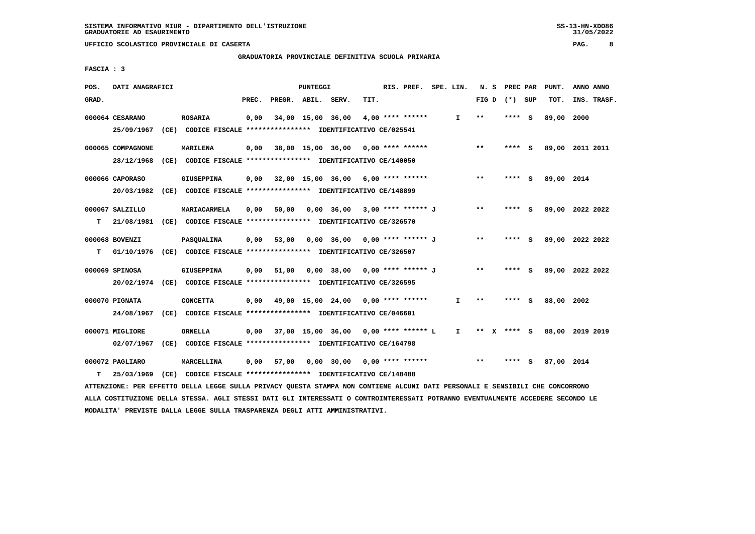**GRADUATORIA PROVINCIALE DEFINITIVA SCUOLA PRIMARIA**

 **FASCIA : 3**

| POS.  | DATI ANAGRAFICI   |                                                                                                                               |       |                    | PUNTEGGI |                                             |      | RIS. PREF. SPE. LIN. |              |       | N. S PREC PAR   |   | PUNT.                       | ANNO ANNO |             |
|-------|-------------------|-------------------------------------------------------------------------------------------------------------------------------|-------|--------------------|----------|---------------------------------------------|------|----------------------|--------------|-------|-----------------|---|-----------------------------|-----------|-------------|
| GRAD. |                   |                                                                                                                               | PREC. | PREGR. ABIL. SERV. |          |                                             | TIT. |                      |              |       | FIG D $(*)$ SUP |   | TOT.                        |           | INS. TRASF. |
|       | 000064 CESARANO   | <b>ROSARIA</b>                                                                                                                | 0,00  |                    |          | 34,00 15,00 36,00                           |      | $4,00$ **** ******   | $\mathbf{I}$ | $***$ | $***$ S         |   | 89,00 2000                  |           |             |
|       | 25/09/1967        | (CE) CODICE FISCALE **************** IDENTIFICATIVO CE/025541                                                                 |       |                    |          |                                             |      |                      |              |       |                 |   |                             |           |             |
|       | 000065 COMPAGNONE | <b>MARILENA</b>                                                                                                               | 0,00  |                    |          | 38,00 15,00 36,00 0,00 **** ******          |      |                      |              | **    | **** S          |   | 89,00 2011 2011             |           |             |
|       |                   | 28/12/1968 (CE) CODICE FISCALE *************** IDENTIFICATIVO CE/140050                                                       |       |                    |          |                                             |      |                      |              |       |                 |   |                             |           |             |
|       | 000066 CAPORASO   | <b>GIUSEPPINA</b>                                                                                                             | 0,00  |                    |          | 32,00 15,00 36,00 6,00 **** ******          |      |                      |              | $***$ | **** S          |   | 89,00 2014                  |           |             |
|       |                   | 20/03/1982 (CE) CODICE FISCALE *************** IDENTIFICATIVO CE/148899                                                       |       |                    |          |                                             |      |                      |              |       |                 |   |                             |           |             |
|       | 000067 SALZILLO   | MARIACARMELA                                                                                                                  | 0,00  |                    |          | 50,00 0,00 36,00                            |      | 3,00 **** ****** J   |              | $* *$ | **** S          |   | 89,00 2022 2022             |           |             |
| т     | 21/08/1981        | (CE) CODICE FISCALE **************** IDENTIFICATIVO CE/326570                                                                 |       |                    |          |                                             |      |                      |              |       |                 |   |                             |           |             |
|       | 000068 BOVENZI    | <b>PASQUALINA</b>                                                                                                             |       | 0,00 53,00         |          | 0,00 36,00 0,00 **** ****** J               |      |                      |              | $***$ | **** S          |   | 89,00 2022 2022             |           |             |
| т     |                   | 01/10/1976 (CE) CODICE FISCALE *************** IDENTIFICATIVO CE/326507                                                       |       |                    |          |                                             |      |                      |              |       |                 |   |                             |           |             |
|       | 000069 SPINOSA    | GIUSEPPINA                                                                                                                    | 0,00  | 51,00              |          | 0,00 38,00 0,00 **** ****** J               |      |                      |              | $* *$ | **** S          |   | 89,00 2022 2022             |           |             |
|       |                   | 20/02/1974 (CE) CODICE FISCALE *************** IDENTIFICATIVO CE/326595                                                       |       |                    |          |                                             |      |                      |              |       |                 |   |                             |           |             |
|       | 000070 PIGNATA    | <b>CONCETTA</b>                                                                                                               |       |                    |          | $0,00$ 49,00 15,00 24,00 0,00 **** ******   |      |                      | $\mathbf{I}$ | $* *$ | **** S          |   | 88,00                       | 2002      |             |
|       |                   | 24/08/1967 (CE) CODICE FISCALE *************** IDENTIFICATIVO CE/046601                                                       |       |                    |          |                                             |      |                      |              |       |                 |   |                             |           |             |
|       | 000071 MIGLIORE   | ORNELLA                                                                                                                       |       |                    |          | $0,00$ 37,00 15,00 36,00 0,00 **** ****** L |      |                      | $\mathbf{I}$ |       |                 |   | ** X **** S 88,00 2019 2019 |           |             |
|       | 02/07/1967        | (CE) CODICE FISCALE *************** IDENTIFICATIVO CE/164798                                                                  |       |                    |          |                                             |      |                      |              |       |                 |   |                             |           |             |
|       | 000072 PAGLIARO   | MARCELLINA                                                                                                                    | 0,00  | 57,00              |          | $0,00$ 30,00 0,00 **** ******               |      |                      |              | $***$ | ****            | ్ | 87,00 2014                  |           |             |
| т     | 25/03/1969        | (CE) CODICE FISCALE **************** IDENTIFICATIVO CE/148488                                                                 |       |                    |          |                                             |      |                      |              |       |                 |   |                             |           |             |
|       |                   | ATTENZIONE: PER EFFETTO DELLA LEGGE SULLA PRIVACY QUESTA STAMPA NON CONTIENE ALCUNI DATI PERSONALI E SENSIBILI CHE CONCORRONO |       |                    |          |                                             |      |                      |              |       |                 |   |                             |           |             |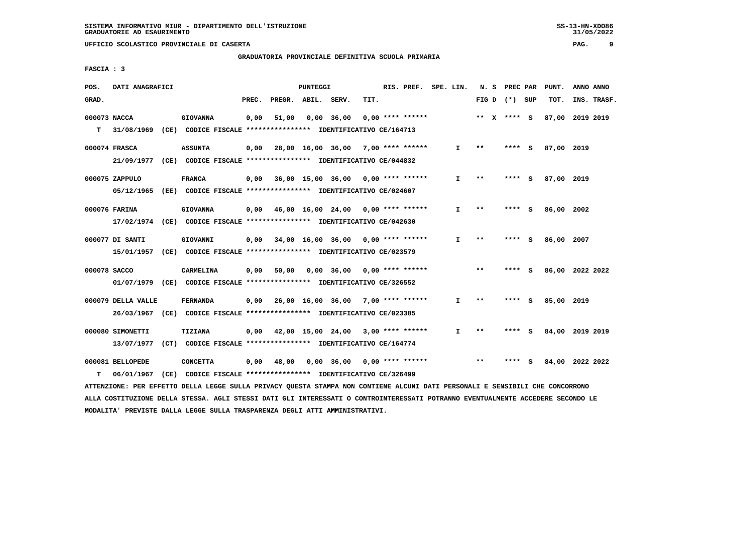## **GRADUATORIA PROVINCIALE DEFINITIVA SCUOLA PRIMARIA**

 **FASCIA : 3**

| POS.         | DATI ANAGRAFICI    |                                                                                                                               |       |                    | PUNTEGGI |                                           |      | RIS. PREF. SPE. LIN. |              |       | N. S PREC PAR   | PUNT.           | ANNO ANNO |             |
|--------------|--------------------|-------------------------------------------------------------------------------------------------------------------------------|-------|--------------------|----------|-------------------------------------------|------|----------------------|--------------|-------|-----------------|-----------------|-----------|-------------|
| GRAD.        |                    |                                                                                                                               | PREC. | PREGR. ABIL. SERV. |          |                                           | TIT. |                      |              |       | FIG D $(*)$ SUP | TOT.            |           | INS. TRASF. |
| 000073 NACCA |                    | <b>GIOVANNA</b>                                                                                                               | 0,00  | 51,00              |          | 0,00 36,00                                |      | $0.00$ **** ******   |              |       | ** X **** S     | 87,00 2019 2019 |           |             |
| т            |                    | 31/08/1969 (CE) CODICE FISCALE **************** IDENTIFICATIVO CE/164713                                                      |       |                    |          |                                           |      |                      |              |       |                 |                 |           |             |
|              | 000074 FRASCA      | <b>ASSUNTA</b>                                                                                                                |       |                    |          | $0,00$ 28,00 16,00 36,00 7,00 **** ****** |      |                      | $\mathbf{I}$ | $* *$ | **** S          | 87,00 2019      |           |             |
|              |                    | 21/09/1977 (CE) CODICE FISCALE *************** IDENTIFICATIVO CE/044832                                                       |       |                    |          |                                           |      |                      |              |       |                 |                 |           |             |
|              | 000075 ZAPPULO     | FRANCA                                                                                                                        |       |                    |          | $0,00$ 36,00 15,00 36,00 0,00 **** ****** |      |                      | I.           | $**$  | **** S          | 87,00 2019      |           |             |
|              |                    | 05/12/1965 (EE) CODICE FISCALE *************** IDENTIFICATIVO CE/024607                                                       |       |                    |          |                                           |      |                      |              |       |                 |                 |           |             |
|              | 000076 FARINA      | <b>GIOVANNA</b>                                                                                                               | 0,00  |                    |          | 46,00 16,00 24,00 0,00 **** ******        |      |                      | $\mathbf{I}$ | $* *$ | **** S          | 86,00 2002      |           |             |
|              |                    | 17/02/1974 (CE) CODICE FISCALE *************** IDENTIFICATIVO CE/042630                                                       |       |                    |          |                                           |      |                      |              |       |                 |                 |           |             |
|              | 000077 DI SANTI    | GIOVANNI                                                                                                                      |       |                    |          | $0,00$ 34,00 16,00 36,00 0,00 **** ****** |      |                      | I.           | $* *$ | **** S          | 86,00 2007      |           |             |
|              |                    | 15/01/1957 (CE) CODICE FISCALE *************** IDENTIFICATIVO CE/023579                                                       |       |                    |          |                                           |      |                      |              |       |                 |                 |           |             |
| 000078 SACCO |                    | CARMELINA                                                                                                                     | 0,00  |                    |          |                                           |      |                      |              | $***$ | **** S          | 86,00 2022 2022 |           |             |
|              |                    | 01/07/1979 (CE) CODICE FISCALE *************** IDENTIFICATIVO CE/326552                                                       |       |                    |          |                                           |      |                      |              |       |                 |                 |           |             |
|              | 000079 DELLA VALLE | <b>FERNANDA</b>                                                                                                               |       |                    |          | 0,00 26,00 16,00 36,00 7,00 **** ******   |      |                      | $\mathbf{I}$ | $* *$ | **** S          | 85,00 2019      |           |             |
|              |                    | 26/03/1967 (CE) CODICE FISCALE *************** IDENTIFICATIVO CE/023385                                                       |       |                    |          |                                           |      |                      |              |       |                 |                 |           |             |
|              | 000080 SIMONETTI   | TIZIANA                                                                                                                       |       |                    |          | $0,00$ 42,00 15,00 24,00 3,00 **** ****** |      |                      | I.           | $***$ | **** S          | 84,00 2019 2019 |           |             |
|              |                    | 13/07/1977 (CT) CODICE FISCALE *************** IDENTIFICATIVO CE/164774                                                       |       |                    |          |                                           |      |                      |              |       |                 |                 |           |             |
|              | 000081 BELLOPEDE   | <b>CONCETTA</b>                                                                                                               | 0,00  | 48,00              |          | 0,00 36,00 0,00 **** ******               |      |                      |              | $* *$ | **** S          | 84,00 2022 2022 |           |             |
| т            | 06/01/1967         | (CE) CODICE FISCALE **************** IDENTIFICATIVO CE/326499                                                                 |       |                    |          |                                           |      |                      |              |       |                 |                 |           |             |
|              |                    | ATTENZIONE: PER EFFETTO DELLA LEGGE SULLA PRIVACY QUESTA STAMPA NON CONTIENE ALCUNI DATI PERSONALI E SENSIBILI CHE CONCORRONO |       |                    |          |                                           |      |                      |              |       |                 |                 |           |             |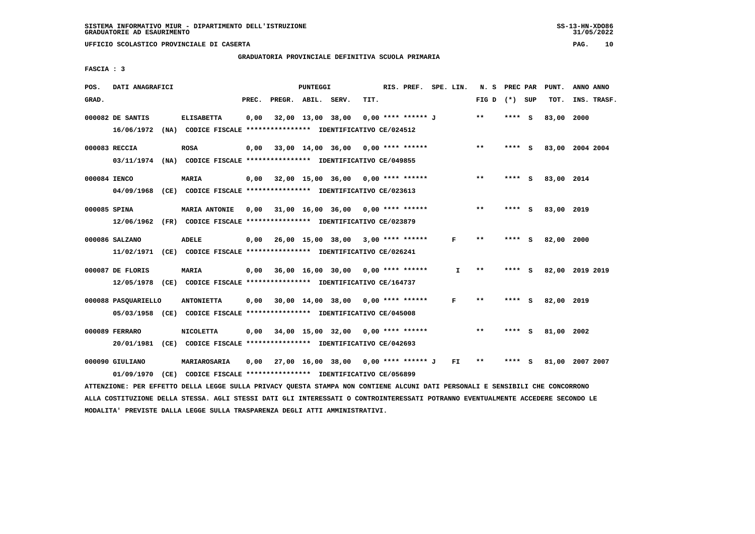## **GRADUATORIA PROVINCIALE DEFINITIVA SCUOLA PRIMARIA**

 **FASCIA : 3**

| POS.         | DATI ANAGRAFICI     |                                                                                                                               |       |                    | PUNTEGGI |                                             |      | RIS. PREF. SPE. LIN. |     | N. S PREC PAR |         |     | PUNT.           | ANNO ANNO |             |
|--------------|---------------------|-------------------------------------------------------------------------------------------------------------------------------|-------|--------------------|----------|---------------------------------------------|------|----------------------|-----|---------------|---------|-----|-----------------|-----------|-------------|
| GRAD.        |                     |                                                                                                                               | PREC. | PREGR. ABIL. SERV. |          |                                             | TIT. |                      |     | FIG D         | (*) SUP |     | TOT.            |           | INS. TRASF. |
|              | 000082 DE SANTIS    | <b>ELISABETTA</b>                                                                                                             | 0,00  |                    |          | 32,00 13,00 38,00                           |      | 0,00 **** ****** J   |     | **            | **** S  |     | 83,00           | 2000      |             |
|              |                     | 16/06/1972 (NA) CODICE FISCALE **************** IDENTIFICATIVO CE/024512                                                      |       |                    |          |                                             |      |                      |     |               |         |     |                 |           |             |
|              | 000083 RECCIA       | <b>ROSA</b>                                                                                                                   |       |                    |          | $0,00$ 33,00 14,00 36,00 0,00 **** ******   |      |                      |     | $***$         | **** S  |     | 83,00 2004 2004 |           |             |
|              |                     | 03/11/1974 (NA) CODICE FISCALE *************** IDENTIFICATIVO CE/049855                                                       |       |                    |          |                                             |      |                      |     |               |         |     |                 |           |             |
| 000084 IENCO |                     | <b>MARIA</b>                                                                                                                  |       |                    |          | $0,00$ 32,00 15,00 36,00 0,00 **** ******   |      |                      |     | $* *$         | **** S  |     | 83,00 2014      |           |             |
|              |                     | 04/09/1968 (CE) CODICE FISCALE *************** IDENTIFICATIVO CE/023613                                                       |       |                    |          |                                             |      |                      |     |               |         |     |                 |           |             |
|              | 000085 SPINA        | <b>MARIA ANTONIE</b>                                                                                                          |       |                    |          | $0,00$ 31,00 16,00 36,00 0,00 **** ******   |      |                      |     | **            | $***$ S |     | 83,00 2019      |           |             |
|              |                     | 12/06/1962 (FR) CODICE FISCALE *************** IDENTIFICATIVO CE/023879                                                       |       |                    |          |                                             |      |                      |     |               |         |     |                 |           |             |
|              | 000086 SALZANO      | <b>ADELE</b>                                                                                                                  |       |                    |          | $0,00$ 26,00 15,00 38,00 3,00 **** ******   |      |                      | F   | $* *$         | **** S  |     | 82,00 2000      |           |             |
|              |                     | 11/02/1971 (CE) CODICE FISCALE **************** IDENTIFICATIVO CE/026241                                                      |       |                    |          |                                             |      |                      |     |               |         |     |                 |           |             |
|              | 000087 DE FLORIS    | MARIA                                                                                                                         |       |                    |          | $0,00$ 36,00 16,00 30,00 0,00 **** ******   |      |                      | I   | $* *$         | ****    | - S | 82,00 2019 2019 |           |             |
|              |                     | 12/05/1978 (CE) CODICE FISCALE *************** IDENTIFICATIVO CE/164737                                                       |       |                    |          |                                             |      |                      |     |               |         |     |                 |           |             |
|              |                     |                                                                                                                               |       |                    |          |                                             |      |                      |     |               |         |     |                 |           |             |
|              | 000088 PASOUARIELLO | <b>ANTONIETTA</b>                                                                                                             |       |                    |          | $0,00$ 30,00 14,00 38,00 0,00 **** ******   |      |                      | F   | $* *$         | **** S  |     | 82,00           | 2019      |             |
|              |                     | 05/03/1958 (CE) CODICE FISCALE *************** IDENTIFICATIVO CE/045008                                                       |       |                    |          |                                             |      |                      |     |               |         |     |                 |           |             |
|              | 000089 FERRARO      | <b>NICOLETTA</b>                                                                                                              |       |                    |          | $0.00$ 34.00 15.00 32.00 0.00 **** ******   |      |                      |     | $* *$         | $***$ S |     | 81,00 2002      |           |             |
|              |                     | 20/01/1981 (CE) CODICE FISCALE *************** IDENTIFICATIVO CE/042693                                                       |       |                    |          |                                             |      |                      |     |               |         |     |                 |           |             |
|              | 000090 GIULIANO     | MARIAROSARIA                                                                                                                  |       |                    |          | $0,00$ 27,00 16,00 38,00 0,00 **** ****** J |      |                      | FI. | **            | ****    | - S | 81,00 2007 2007 |           |             |
|              | 01/09/1970          | (CE) CODICE FISCALE **************** IDENTIFICATIVO CE/056899                                                                 |       |                    |          |                                             |      |                      |     |               |         |     |                 |           |             |
|              |                     | ATTENZIONE: PER EFFETTO DELLA LEGGE SULLA PRIVACY QUESTA STAMPA NON CONTIENE ALCUNI DATI PERSONALI E SENSIBILI CHE CONCORRONO |       |                    |          |                                             |      |                      |     |               |         |     |                 |           |             |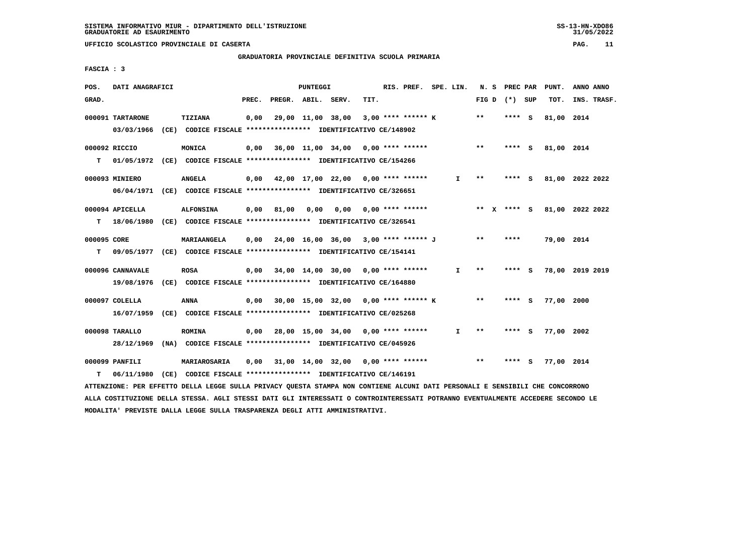**GRADUATORIA PROVINCIALE DEFINITIVA SCUOLA PRIMARIA**

 **FASCIA : 3**

| POS.        | DATI ANAGRAFICI  |                                                                                                                               |       |                    | PUNTEGGI |                                             |      | RIS. PREF. SPE. LIN. |              |       | N. S PREC PAR   |        | PUNT.      | ANNO ANNO       |
|-------------|------------------|-------------------------------------------------------------------------------------------------------------------------------|-------|--------------------|----------|---------------------------------------------|------|----------------------|--------------|-------|-----------------|--------|------------|-----------------|
| GRAD.       |                  |                                                                                                                               | PREC. | PREGR. ABIL. SERV. |          |                                             | TIT. |                      |              |       | FIG D $(*)$ SUP |        | тот.       | INS. TRASF.     |
|             | 000091 TARTARONE | TIZIANA                                                                                                                       | 0,00  |                    |          | 29,00 11,00 38,00 3,00 **** ****** K        |      |                      |              | $* *$ | $***$ S         |        | 81,00 2014 |                 |
|             |                  | 03/03/1966 (CE) CODICE FISCALE *************** IDENTIFICATIVO CE/148902                                                       |       |                    |          |                                             |      |                      |              |       |                 |        |            |                 |
|             | 000092 RICCIO    | MONICA                                                                                                                        |       |                    |          | $0,00$ 36,00 11,00 34,00 0,00 **** ******   |      |                      |              | $***$ | **** S          |        | 81,00 2014 |                 |
|             |                  | T 01/05/1972 (CE) CODICE FISCALE **************** IDENTIFICATIVO CE/154266                                                    |       |                    |          |                                             |      |                      |              |       |                 |        |            |                 |
|             | 000093 MINIERO   | <b>ANGELA</b>                                                                                                                 |       |                    |          | 0,00 42,00 17,00 22,00 0,00 **** ******     |      |                      | $\mathbf{I}$ | $***$ | $***$ S         |        |            | 81,00 2022 2022 |
|             |                  | 06/04/1971 (CE) CODICE FISCALE *************** IDENTIFICATIVO CE/326651                                                       |       |                    |          |                                             |      |                      |              |       |                 |        |            |                 |
|             | 000094 APICELLA  | <b>ALFONSINA</b>                                                                                                              |       |                    |          | $0,00$ 81,00 0,00 0,00 0,00 **** ******     |      |                      |              |       | ** X **** S     |        |            | 81,00 2022 2022 |
|             |                  | T 18/06/1980 (CE) CODICE FISCALE *************** IDENTIFICATIVO CE/326541                                                     |       |                    |          |                                             |      |                      |              |       |                 |        |            |                 |
| 000095 CORE |                  | <b>MARIAANGELA</b>                                                                                                            |       |                    |          | $0,00$ 24,00 16,00 36,00 3,00 **** ****** J |      |                      |              | **    | ****            |        | 79,00 2014 |                 |
|             |                  | T 09/05/1977 (CE) CODICE FISCALE *************** IDENTIFICATIVO CE/154141                                                     |       |                    |          |                                             |      |                      |              |       |                 |        |            |                 |
|             | 000096 CANNAVALE | <b>ROSA</b>                                                                                                                   |       |                    |          | 0,00 34,00 14,00 30,00 0,00 **** ******     |      |                      | I.           | $***$ |                 | **** S |            | 78,00 2019 2019 |
|             |                  | 19/08/1976 (CE) CODICE FISCALE **************** IDENTIFICATIVO CE/164880                                                      |       |                    |          |                                             |      |                      |              |       |                 |        |            |                 |
|             | 000097 COLELLA   | ANNA                                                                                                                          |       |                    |          | 0,00 30,00 15,00 32,00 0,00 **** ****** K   |      |                      |              | $* *$ | **** S          |        | 77,00 2000 |                 |
|             |                  | 16/07/1959 (CE) CODICE FISCALE **************** IDENTIFICATIVO CE/025268                                                      |       |                    |          |                                             |      |                      |              |       |                 |        |            |                 |
|             | 000098 TARALLO   | <b>ROMINA</b>                                                                                                                 |       |                    |          | $0,00$ 28,00 15,00 34,00 0,00 **** ******   |      |                      | I.           | $* *$ | **** S          |        | 77,00 2002 |                 |
|             |                  | 28/12/1969 (NA) CODICE FISCALE *************** IDENTIFICATIVO CE/045926                                                       |       |                    |          |                                             |      |                      |              |       |                 |        |            |                 |
|             | 000099 PANFILI   | <b>MARIAROSARIA</b>                                                                                                           |       |                    |          | $0,00$ 31,00 14,00 32,00 0,00 **** ******   |      |                      |              | $* *$ | $***$ S         |        | 77,00 2014 |                 |
| т           | 06/11/1980       | (CE) CODICE FISCALE **************** IDENTIFICATIVO CE/146191                                                                 |       |                    |          |                                             |      |                      |              |       |                 |        |            |                 |
|             |                  | ATTENZIONE: PER EFFETTO DELLA LEGGE SULLA PRIVACY QUESTA STAMPA NON CONTIENE ALCUNI DATI PERSONALI E SENSIBILI CHE CONCORRONO |       |                    |          |                                             |      |                      |              |       |                 |        |            |                 |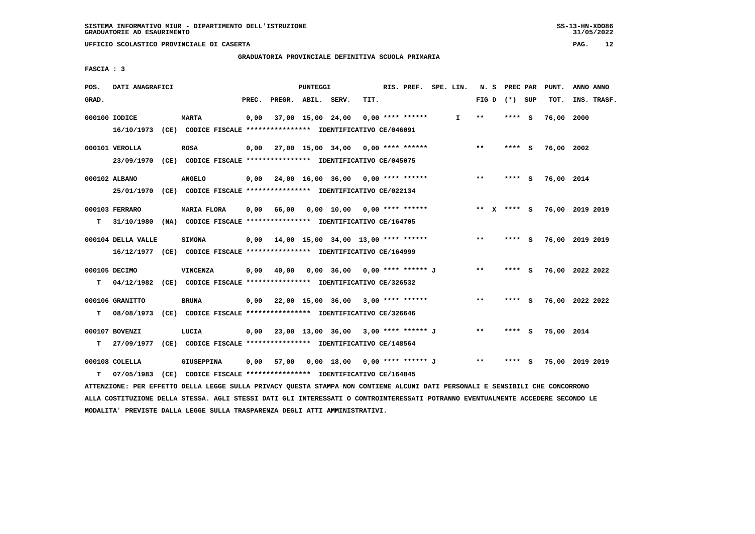**GRADUATORIA PROVINCIALE DEFINITIVA SCUOLA PRIMARIA**

 **FASCIA : 3**

| POS.  | DATI ANAGRAFICI    |                                                                                                                               |       |                    | PUNTEGGI |                                                   |      | RIS. PREF. SPE. LIN. |              |       | N. S PREC PAR   |         | PUNT.      | ANNO ANNO       |  |
|-------|--------------------|-------------------------------------------------------------------------------------------------------------------------------|-------|--------------------|----------|---------------------------------------------------|------|----------------------|--------------|-------|-----------------|---------|------------|-----------------|--|
| GRAD. |                    |                                                                                                                               | PREC. | PREGR. ABIL. SERV. |          |                                                   | TIT. |                      |              |       | FIG D $(*)$ SUP |         | TOT.       | INS. TRASF.     |  |
|       | 000100 IODICE      | <b>MARTA</b>                                                                                                                  | 0,00  |                    |          | 37,00 15,00 24,00                                 |      | $0.00$ **** ******   | $\mathbf{I}$ | $* *$ |                 | **** S  | 76,00 2000 |                 |  |
|       |                    | 16/10/1973 (CE) CODICE FISCALE *************** IDENTIFICATIVO CE/046091                                                       |       |                    |          |                                                   |      |                      |              |       |                 |         |            |                 |  |
|       | 000101 VEROLLA     | <b>ROSA</b>                                                                                                                   |       |                    |          | $0,00$ 27,00 15,00 34,00 0,00 **** ******         |      |                      |              | $***$ |                 | **** S  | 76,00 2002 |                 |  |
|       |                    | 23/09/1970 (CE) CODICE FISCALE *************** IDENTIFICATIVO CE/045075                                                       |       |                    |          |                                                   |      |                      |              |       |                 |         |            |                 |  |
|       | 000102 ALBANO      | <b>ANGELO</b>                                                                                                                 |       |                    |          | $0,00$ $24,00$ $16,00$ $36,00$ $0,00$ **** ****** |      |                      |              | $***$ |                 | **** S  | 76,00 2014 |                 |  |
|       | 25/01/1970         | (CE) CODICE FISCALE **************** IDENTIFICATIVO CE/022134                                                                 |       |                    |          |                                                   |      |                      |              |       |                 |         |            |                 |  |
|       |                    |                                                                                                                               |       |                    |          |                                                   |      |                      |              |       |                 |         |            |                 |  |
|       | 000103 FERRARO     | MARIA FLORA                                                                                                                   |       |                    |          | $0,00$ 66,00 0,00 10,00 0,00 **** ******          |      |                      |              |       | ** X **** S     |         |            | 76,00 2019 2019 |  |
| т     |                    | 31/10/1980 (NA) CODICE FISCALE **************** IDENTIFICATIVO CE/164705                                                      |       |                    |          |                                                   |      |                      |              |       |                 |         |            |                 |  |
|       | 000104 DELLA VALLE | <b>SIMONA</b>                                                                                                                 |       |                    |          | $0,00$ 14,00 15,00 34,00 13,00 **** ******        |      |                      |              | $***$ |                 | **** S  |            | 76,00 2019 2019 |  |
|       |                    | 16/12/1977 (CE) CODICE FISCALE *************** IDENTIFICATIVO CE/164999                                                       |       |                    |          |                                                   |      |                      |              |       |                 |         |            |                 |  |
|       | 000105 DECIMO      | <b>VINCENZA</b>                                                                                                               | 0,00  | 40,00              |          | 0,00 36,00 0,00 **** ****** J                     |      |                      |              | $* *$ |                 | $***$ S |            | 76,00 2022 2022 |  |
| т     |                    | 04/12/1982 (CE) CODICE FISCALE **************** IDENTIFICATIVO CE/326532                                                      |       |                    |          |                                                   |      |                      |              |       |                 |         |            |                 |  |
|       |                    |                                                                                                                               |       |                    |          |                                                   |      |                      |              |       |                 |         |            |                 |  |
|       | 000106 GRANITTO    | <b>BRUNA</b>                                                                                                                  |       |                    |          | $0,00$ 22,00 15,00 36,00 3,00 **** ******         |      |                      |              | $***$ |                 | **** S  |            | 76,00 2022 2022 |  |
| т     |                    | 08/08/1973 (CE) CODICE FISCALE *************** IDENTIFICATIVO CE/326646                                                       |       |                    |          |                                                   |      |                      |              |       |                 |         |            |                 |  |
|       | 000107 BOVENZI     | LUCIA                                                                                                                         |       |                    |          | $0,00$ 23,00 13,00 36,00 3,00 **** ****** J       |      |                      |              | $***$ |                 | **** S  | 75,00 2014 |                 |  |
| т     |                    | 27/09/1977 (CE) CODICE FISCALE *************** IDENTIFICATIVO CE/148564                                                       |       |                    |          |                                                   |      |                      |              |       |                 |         |            |                 |  |
|       | 000108 COLELLA     | GIUSEPPINA                                                                                                                    | 0,00  |                    |          | 57,00  0,00  18,00  0,00  ****  *******  J        |      |                      |              | $* *$ |                 | **** S  |            | 75,00 2019 2019 |  |
| т     | 07/05/1983         | (CE) CODICE FISCALE **************** IDENTIFICATIVO CE/164845                                                                 |       |                    |          |                                                   |      |                      |              |       |                 |         |            |                 |  |
|       |                    | ATTENZIONE: PER EFFETTO DELLA LEGGE SULLA PRIVACY QUESTA STAMPA NON CONTIENE ALCUNI DATI PERSONALI E SENSIBILI CHE CONCORRONO |       |                    |          |                                                   |      |                      |              |       |                 |         |            |                 |  |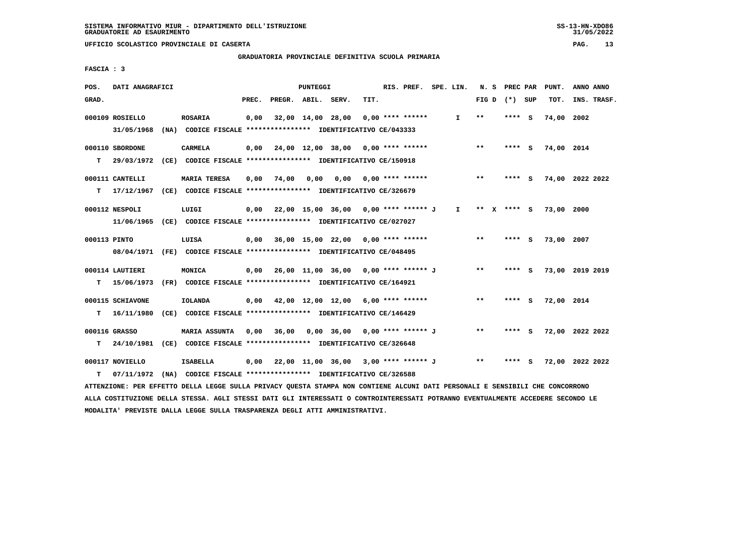**GRADUATORIA PROVINCIALE DEFINITIVA SCUOLA PRIMARIA**

 **FASCIA : 3**

| POS.         | DATI ANAGRAFICI  |                                                                                                                                 |       |                                             | PUNTEGGI |                                      |      | RIS. PREF. SPE. LIN. |              |       |                   |     | N. S PREC PAR PUNT. | ANNO ANNO       |
|--------------|------------------|---------------------------------------------------------------------------------------------------------------------------------|-------|---------------------------------------------|----------|--------------------------------------|------|----------------------|--------------|-------|-------------------|-----|---------------------|-----------------|
| GRAD.        |                  |                                                                                                                                 | PREC. | PREGR. ABIL. SERV.                          |          |                                      | TIT. |                      |              |       | FIG $D$ $(*)$ SUP |     | TOT.                | INS. TRASF.     |
|              | 000109 ROSIELLO  | <b>ROSARIA</b>                                                                                                                  | 0,00  |                                             |          | 32,00 14,00 28,00                    |      | $0.00$ **** ******   | $\mathbf{I}$ | **    | **** S            |     | 74,00 2002          |                 |
|              | 31/05/1968       | (NA) CODICE FISCALE **************** IDENTIFICATIVO CE/043333                                                                   |       |                                             |          |                                      |      |                      |              |       |                   |     |                     |                 |
|              | 000110 SBORDONE  | CARMELA                                                                                                                         | 0.00  | 24,00 12,00 38,00 0,00 **** ******          |          |                                      |      |                      |              | $* *$ | $***$ S           |     | 74,00 2014          |                 |
| T.           |                  | 29/03/1972 (CE) CODICE FISCALE *************** IDENTIFICATIVO CE/150918                                                         |       |                                             |          |                                      |      |                      |              |       |                   |     |                     |                 |
|              | 000111 CANTELLI  | <b>MARIA TERESA</b>                                                                                                             | 0,00  | 74,00 0,00 0,00 0,00 **** ******            |          |                                      |      |                      |              | $* *$ | $***$ S           |     |                     | 74,00 2022 2022 |
|              |                  | T 17/12/1967 (CE) CODICE FISCALE **************** IDENTIFICATIVO CE/326679                                                      |       |                                             |          |                                      |      |                      |              |       |                   |     |                     |                 |
|              | 000112 NESPOLI   | LUIGI                                                                                                                           | 0,00  |                                             |          | 22,00 15,00 36,00 0,00 **** ****** J |      |                      | $\mathbf{I}$ |       | ** x **** s       |     | 73,00 2000          |                 |
|              |                  | 11/06/1965 (CE) CODICE FISCALE *************** IDENTIFICATIVO CE/027027                                                         |       |                                             |          |                                      |      |                      |              |       |                   |     |                     |                 |
| 000113 PINTO |                  | LUISA                                                                                                                           |       | $0,00$ 36,00 15,00 22,00 0,00 **** ******   |          |                                      |      |                      |              | $***$ | **** S            |     | 73,00 2007          |                 |
|              |                  | 08/04/1971 (FE) CODICE FISCALE *************** IDENTIFICATIVO CE/048495                                                         |       |                                             |          |                                      |      |                      |              |       |                   |     |                     |                 |
|              | 000114 LAUTIERI  | MONICA                                                                                                                          |       | $0,00$ 26,00 11,00 36,00 0,00 **** ****** J |          |                                      |      |                      |              | $**$  | **** S            |     |                     | 73,00 2019 2019 |
| т            | 15/06/1973       | (FR) CODICE FISCALE **************** IDENTIFICATIVO CE/164921                                                                   |       |                                             |          |                                      |      |                      |              |       |                   |     |                     |                 |
|              | 000115 SCHIAVONE | <b>IOLANDA</b>                                                                                                                  |       | $0,00$ 42,00 12,00 12,00 6,00 **** ******   |          |                                      |      |                      |              | $***$ | **** S            |     | 72,00 2014          |                 |
| т            |                  | 16/11/1980 (CE) CODICE FISCALE **************** IDENTIFICATIVO CE/146429                                                        |       |                                             |          |                                      |      |                      |              |       |                   |     |                     |                 |
|              | 000116 GRASSO    | MARIA ASSUNTA 0,00                                                                                                              |       |                                             |          |                                      |      |                      |              | $* *$ | **** S            |     |                     | 72,00 2022 2022 |
| т            |                  | 24/10/1981 (CE) CODICE FISCALE *************** IDENTIFICATIVO CE/326648                                                         |       |                                             |          |                                      |      |                      |              |       |                   |     |                     |                 |
|              | 000117 NOVIELLO  | <b>ISABELLA</b>                                                                                                                 |       | 0,00 22,00 11,00 36,00 3,00 **** ****** J   |          |                                      |      |                      |              | $* *$ | ****              | - S |                     | 72,00 2022 2022 |
| т            | 07/11/1972       | (NA) CODICE FISCALE **************** IDENTIFICATIVO CE/326588                                                                   |       |                                             |          |                                      |      |                      |              |       |                   |     |                     |                 |
|              |                  | ATTENZIONE: PER EFFETTO DELLA LEGGE SULLA PRIVACY QUESTA STAMPA NON CONTIENE ALCUNI DATI PERSONALI E SENSIBILI CHE CONCORRONO   |       |                                             |          |                                      |      |                      |              |       |                   |     |                     |                 |
|              |                  | ALLA COSTITUZIONE DELLA STESSA. AGLI STESSI DATI GLI INTERESSATI O CONTROINTERESSATI POTRANNO EVENTUALMENTE ACCEDERE SECONDO LE |       |                                             |          |                                      |      |                      |              |       |                   |     |                     |                 |

 **MODALITA' PREVISTE DALLA LEGGE SULLA TRASPARENZA DEGLI ATTI AMMINISTRATIVI.**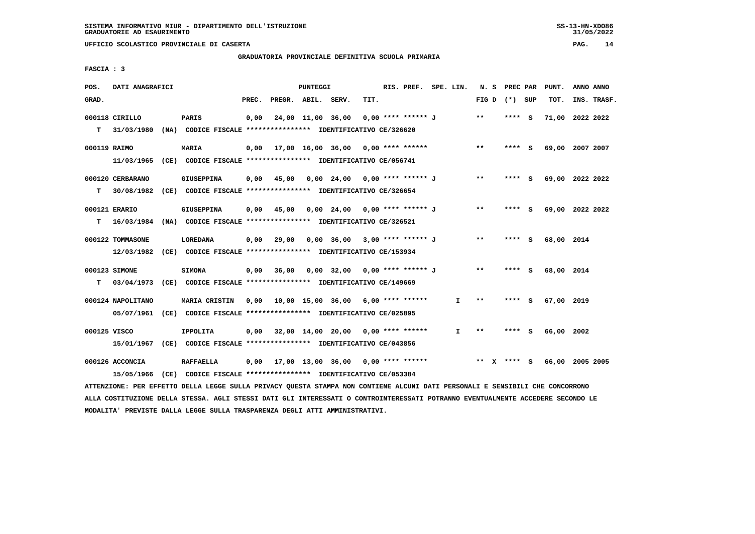# **GRADUATORIA PROVINCIALE DEFINITIVA SCUOLA PRIMARIA**

 **FASCIA : 3**

| POS.         | DATI ANAGRAFICI   |                                                                                                                               |       |                    | PUNTEGGI |                                           |      | RIS. PREF. SPE. LIN. |              |                 |      | N. S PREC PAR | PUNT.           | ANNO ANNO |             |
|--------------|-------------------|-------------------------------------------------------------------------------------------------------------------------------|-------|--------------------|----------|-------------------------------------------|------|----------------------|--------------|-----------------|------|---------------|-----------------|-----------|-------------|
| GRAD.        |                   |                                                                                                                               | PREC. | PREGR. ABIL. SERV. |          |                                           | TIT. |                      |              | FIG D $(*)$ SUP |      |               | TOT.            |           | INS. TRASF. |
|              | 000118 CIRILLO    | PARIS                                                                                                                         | 0,00  |                    |          | 24,00 11,00 36,00 0,00 **** ****** J      |      |                      |              | $* *$           | **** | - S           | 71,00 2022 2022 |           |             |
| т            | 31/03/1980        | (NA) CODICE FISCALE **************** IDENTIFICATIVO CE/326620                                                                 |       |                    |          |                                           |      |                      |              |                 |      |               |                 |           |             |
| 000119 RAIMO |                   | <b>MARIA</b>                                                                                                                  |       |                    |          | $0,00$ 17,00 16,00 36,00 0,00 **** ****** |      |                      |              | $***$           |      | **** S        | 69,00 2007 2007 |           |             |
|              | 11/03/1965        | (CE) CODICE FISCALE **************** IDENTIFICATIVO CE/056741                                                                 |       |                    |          |                                           |      |                      |              |                 |      |               |                 |           |             |
|              |                   |                                                                                                                               |       |                    |          |                                           |      |                      |              |                 |      |               |                 |           |             |
|              | 000120 CERBARANO  | GIUSEPPINA                                                                                                                    | 0,00  | 45,00              |          | 0,00 24,00 0,00 **** ****** J             |      |                      |              | $***$           |      | **** S        | 69,00 2022 2022 |           |             |
| т            | 30/08/1982        | (CE) CODICE FISCALE **************** IDENTIFICATIVO CE/326654                                                                 |       |                    |          |                                           |      |                      |              |                 |      |               |                 |           |             |
|              | 000121 ERARIO     | GIUSEPPINA                                                                                                                    | 0,00  | 45,00              |          | 0,00 24,00 0,00 **** ****** J             |      |                      |              | $* *$           |      | **** S        | 69,00 2022 2022 |           |             |
| т            | 16/03/1984        | (NA) CODICE FISCALE **************** IDENTIFICATIVO CE/326521                                                                 |       |                    |          |                                           |      |                      |              |                 |      |               |                 |           |             |
|              | 000122 TOMMASONE  | <b>LOREDANA</b>                                                                                                               | 0,00  | 29,00              |          | 0,00 36,00 3,00 **** ****** J             |      |                      |              | $***$           |      |               | 68,00 2014      |           |             |
|              |                   |                                                                                                                               |       |                    |          |                                           |      |                      |              |                 |      | **** S        |                 |           |             |
|              | 12/03/1982        | (CE) CODICE FISCALE *************** IDENTIFICATIVO CE/153934                                                                  |       |                    |          |                                           |      |                      |              |                 |      |               |                 |           |             |
|              | 000123 SIMONE     | <b>SIMONA</b>                                                                                                                 | 0,00  | 36,00              |          | 0,00 32,00 0,00 **** ****** J             |      |                      |              | $* *$           |      | **** S        | 68,00 2014      |           |             |
| т            |                   | 03/04/1973 (CE) CODICE FISCALE **************** IDENTIFICATIVO CE/149669                                                      |       |                    |          |                                           |      |                      |              |                 |      |               |                 |           |             |
|              |                   |                                                                                                                               |       |                    |          |                                           |      |                      |              |                 |      |               |                 |           |             |
|              | 000124 NAPOLITANO | MARIA CRISTIN                                                                                                                 |       |                    |          | $0,00$ 10,00 15,00 36,00 6,00 **** ****** |      |                      | I.           | $* *$           | **** | - S           | 67,00 2019      |           |             |
|              | 05/07/1961        |                                                                                                                               |       |                    |          |                                           |      |                      |              |                 |      |               |                 |           |             |
| 000125 VISCO |                   | <b>IPPOLITA</b>                                                                                                               |       |                    |          | $0,00$ 32,00 14,00 20,00 0,00 **** ****** |      |                      | $\mathbf{I}$ | $* *$           |      | **** S        | 66,00 2002      |           |             |
|              |                   | 15/01/1967 (CE) CODICE FISCALE *************** IDENTIFICATIVO CE/043856                                                       |       |                    |          |                                           |      |                      |              |                 |      |               |                 |           |             |
|              |                   |                                                                                                                               |       |                    |          |                                           |      |                      |              |                 |      |               |                 |           |             |
|              | 000126 ACCONCIA   | <b>RAFFAELLA</b>                                                                                                              |       |                    |          | $0,00$ 17,00 13,00 36,00 0,00 **** ****** |      |                      |              | $***$ X         |      | **** S        | 66,00 2005 2005 |           |             |
|              | 15/05/1966        | (CE) CODICE FISCALE **************** IDENTIFICATIVO CE/053384                                                                 |       |                    |          |                                           |      |                      |              |                 |      |               |                 |           |             |
|              |                   | ATTENZIONE: PER EFFETTO DELLA LEGGE SULLA PRIVACY QUESTA STAMPA NON CONTIENE ALCUNI DATI PERSONALI E SENSIBILI CHE CONCORRONO |       |                    |          |                                           |      |                      |              |                 |      |               |                 |           |             |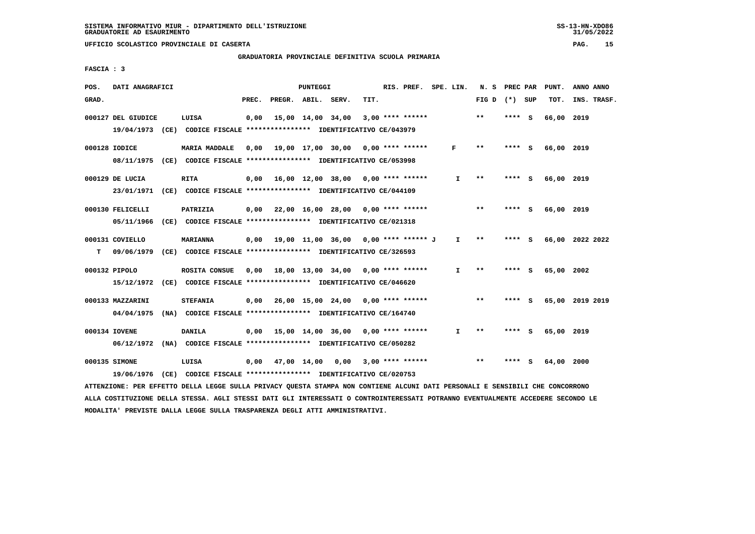## **GRADUATORIA PROVINCIALE DEFINITIVA SCUOLA PRIMARIA**

 **FASCIA : 3**

| POS.  | DATI ANAGRAFICI    |                                                                         |       |                        | <b>PUNTEGGI</b> |                                             |      | RIS. PREF. SPE. LIN. |              | N. S PREC PAR              |         | PUNT.           | ANNO ANNO |             |
|-------|--------------------|-------------------------------------------------------------------------|-------|------------------------|-----------------|---------------------------------------------|------|----------------------|--------------|----------------------------|---------|-----------------|-----------|-------------|
| GRAD. |                    |                                                                         | PREC. | PREGR. ABIL. SERV.     |                 |                                             | TIT. |                      |              | FIG D $(*)$ SUP            |         | TOT.            |           | INS. TRASF. |
|       | 000127 DEL GIUDICE | LUISA                                                                   | 0,00  |                        |                 | 15,00 14,00 34,00                           |      | $3,00$ **** ******   |              | $* *$                      | **** S  | 66,00 2019      |           |             |
|       |                    | 19/04/1973 (CE) CODICE FISCALE *************** IDENTIFICATIVO CE/043979 |       |                        |                 |                                             |      |                      |              |                            |         |                 |           |             |
|       | 000128 IODICE      | <b>MARIA MADDALE</b>                                                    | 0,00  |                        |                 | 19,00 17,00 30,00 0,00 **** ******          |      |                      | F            | $* *$                      | **** S  | 66,00 2019      |           |             |
|       |                    | 08/11/1975 (CE) CODICE FISCALE *************** IDENTIFICATIVO CE/053998 |       |                        |                 |                                             |      |                      |              |                            |         |                 |           |             |
|       | 000129 DE LUCIA    | <b>RITA</b>                                                             |       |                        |                 | $0,00$ 16,00 12,00 38,00 0,00 **** ******   |      |                      | $\mathbf{I}$ | $* *$                      | **** S  | 66,00 2019      |           |             |
|       |                    | 23/01/1971 (CE) CODICE FISCALE *************** IDENTIFICATIVO CE/044109 |       |                        |                 |                                             |      |                      |              |                            |         |                 |           |             |
|       | 000130 FELICELLI   | PATRIZIA                                                                |       |                        |                 | $0,00$ 22,00 16,00 28,00 0,00 **** ******   |      |                      |              | $***$                      | **** S  | 66,00 2019      |           |             |
|       | 05/11/1966         | (CE) CODICE FISCALE **************** IDENTIFICATIVO CE/021318           |       |                        |                 |                                             |      |                      |              |                            |         |                 |           |             |
|       | 000131 COVIELLO    | <b>MARIANNA</b>                                                         |       |                        |                 | $0,00$ 19,00 11,00 36,00 0,00 **** ****** J |      |                      | I.           | $* *$                      | $***$ S | 66,00 2022 2022 |           |             |
| т     |                    | 09/06/1979 (CE) CODICE FISCALE *************** IDENTIFICATIVO CE/326593 |       |                        |                 |                                             |      |                      |              |                            |         |                 |           |             |
|       | 000132 PIPOLO      | ROSITA CONSUE                                                           | 0,00  |                        |                 | 18,00 13,00 34,00 0,00 **** ******          |      |                      | T.           | $\pmb{\times}\pmb{\times}$ | **** S  | 65,00 2002      |           |             |
|       |                    | 15/12/1972 (CE) CODICE FISCALE *************** IDENTIFICATIVO CE/046620 |       |                        |                 |                                             |      |                      |              |                            |         |                 |           |             |
|       | 000133 MAZZARINI   | <b>STEFANIA</b>                                                         | 0,00  |                        |                 | 26,00 15,00 24,00 0,00 **** ******          |      |                      |              | $* *$                      | **** S  | 65,00 2019 2019 |           |             |
|       | 04/04/1975         | (NA) CODICE FISCALE **************** IDENTIFICATIVO CE/164740           |       |                        |                 |                                             |      |                      |              |                            |         |                 |           |             |
|       | 000134 IOVENE      | DANILA                                                                  |       |                        |                 | $0.00$ 15.00 14.00 36.00 0.00 **** ******   |      |                      | I.           | **                         |         | 65,00 2019      |           |             |
|       |                    | 06/12/1972 (NA) CODICE FISCALE *************** IDENTIFICATIVO CE/050282 |       |                        |                 |                                             |      |                      |              |                            |         |                 |           |             |
|       | 000135 SIMONE      | LUISA                                                                   |       | $0,00$ $47,00$ $14,00$ |                 | 0.00                                        |      | $3,00$ **** ******   |              | $**$                       |         | 64,00           | 2000      |             |
|       |                    | 19/06/1976 (CE) CODICE FISCALE *************** IDENTIFICATIVO CE/020753 |       |                        |                 |                                             |      |                      |              |                            |         |                 |           |             |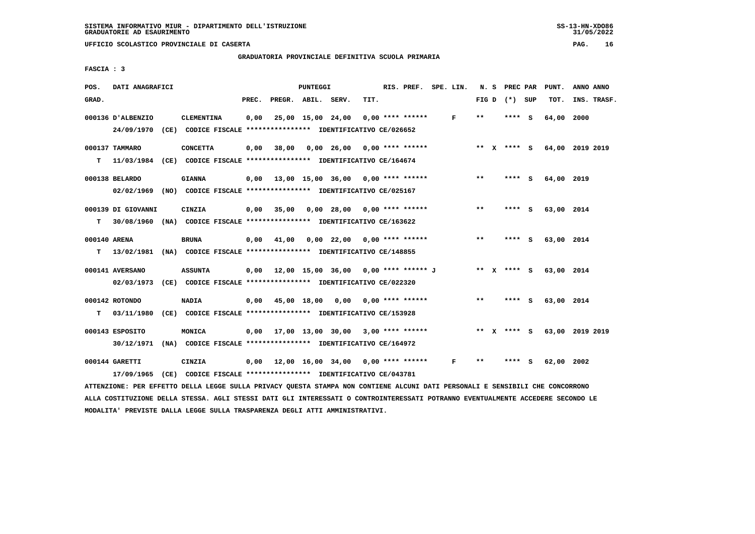**GRADUATORIA PROVINCIALE DEFINITIVA SCUOLA PRIMARIA**

 **FASCIA : 3**

| POS.  | DATI ANAGRAFICI                                                                                 |                   |       |                    | PUNTEGGI |                                             |      | RIS. PREF. SPE. LIN. |              |       | N. S PREC PAR   | PUNT.                  | ANNO ANNO                   |
|-------|-------------------------------------------------------------------------------------------------|-------------------|-------|--------------------|----------|---------------------------------------------|------|----------------------|--------------|-------|-----------------|------------------------|-----------------------------|
| GRAD. |                                                                                                 |                   | PREC. | PREGR. ABIL. SERV. |          |                                             | TIT. |                      |              |       | FIG D $(*)$ SUP | TOT.                   | INS. TRASF.                 |
|       | 000136 D'ALBENZIO<br>24/09/1970 (CE) CODICE FISCALE *************** IDENTIFICATIVO CE/026652    | <b>CLEMENTINA</b> | 0,00  | 25,00 15,00 24,00  |          |                                             |      | $0.00$ **** ******   | $\mathbf{F}$ | $* *$ | **** S          | 64,00                  | 2000                        |
|       | 000137 TAMMARO<br>T 11/03/1984 (CE) CODICE FISCALE *************** IDENTIFICATIVO CE/164674     | <b>CONCETTA</b>   |       |                    |          | $0,00$ 38,00 0,00 26,00 0,00 **** ******    |      |                      |              |       |                 |                        | ** X **** S 64,00 2019 2019 |
|       | 000138 BELARDO<br>02/02/1969 (NO) CODICE FISCALE *************** IDENTIFICATIVO CE/025167       | <b>GIANNA</b>     |       |                    |          | $0,00$ 13,00 15,00 36,00 0,00 **** ******   |      |                      |              | $***$ | **** S          | 64,00 2019             |                             |
|       | 000139 DI GIOVANNI<br>T 30/08/1960 (NA) CODICE FISCALE *************** IDENTIFICATIVO CE/163622 | CINZIA            |       |                    |          | 0,00 35,00 0,00 28,00 0,00 **** ******      |      |                      |              | $***$ | **** S          | 63,00 2014             |                             |
|       | 000140 ARENA<br>T 13/02/1981 (NA) CODICE FISCALE *************** IDENTIFICATIVO CE/148855       | BRUNA             |       |                    |          | $0,00$ 41,00 0,00 22,00 0,00 **** ******    |      |                      |              | $***$ | **** S          | 63,00 2014             |                             |
|       | 000141 AVERSANO<br>02/03/1973 (CE) CODICE FISCALE *************** IDENTIFICATIVO CE/022320      | <b>ASSUNTA</b>    |       |                    |          | $0,00$ 12,00 15,00 36,00 0,00 **** ****** J |      |                      |              |       |                 | ** x **** s 63,00 2014 |                             |
|       | 000142 ROTONDO<br>T 03/11/1980 (CE) CODICE FISCALE *************** IDENTIFICATIVO CE/153928     | <b>NADIA</b>      |       |                    |          | $0,00$ 45,00 18,00 0,00 0,00 **** ******    |      |                      |              | $***$ | **** S          | 63,00 2014             |                             |
|       | 000143 ESPOSITO<br>30/12/1971 (NA) CODICE FISCALE *************** IDENTIFICATIVO CE/164972      | MONICA            |       |                    |          | $0,00$ 17,00 13,00 30,00 3,00 **** ******   |      |                      |              |       | ** x **** s     |                        | 63,00 2019 2019             |
|       | 000144 GARETTI<br>17/09/1965 (CE) CODICE FISCALE *************** IDENTIFICATIVO CE/043781       | CINZIA            |       |                    |          | 0,00 12,00 16,00 34,00 0,00 **** ******     |      |                      | F            | $* *$ | **** S          | 62,00                  | 2002                        |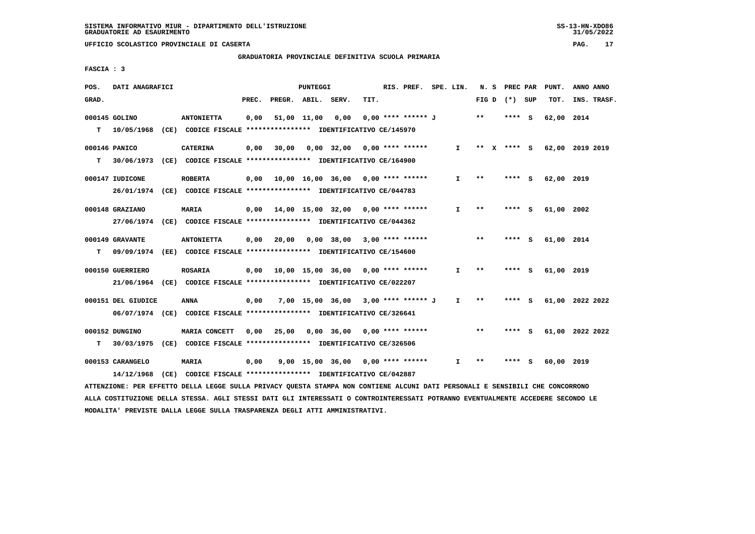## **GRADUATORIA PROVINCIALE DEFINITIVA SCUOLA PRIMARIA**

 **FASCIA : 3**

| POS.  | DATI ANAGRAFICI    |                                                                                                                               |       | PUNTEGGI |                                                 |      | RIS. PREF. SPE. LIN. |              |              | N. S PREC PAR   | PUNT.                       | ANNO ANNO |             |
|-------|--------------------|-------------------------------------------------------------------------------------------------------------------------------|-------|----------|-------------------------------------------------|------|----------------------|--------------|--------------|-----------------|-----------------------------|-----------|-------------|
| GRAD. |                    |                                                                                                                               | PREC. |          | PREGR. ABIL. SERV.                              | TIT. |                      |              |              | FIG D $(*)$ SUP | TOT.                        |           | INS. TRASF. |
|       | 000145 GOLINO      | <b>ANTONIETTA</b>                                                                                                             | 0,00  |          | 51,00 11,00 0,00                                |      | 0,00 **** ****** J   |              | $* *$        | **** S          | 62,00 2014                  |           |             |
| т     |                    | 10/05/1968 (CE) CODICE FISCALE **************** IDENTIFICATIVO CE/145970                                                      |       |          |                                                 |      |                      |              |              |                 |                             |           |             |
|       | 000146 PANICO      | <b>CATERINA</b>                                                                                                               | 0,00  |          | $30,00$ $0,00$ $32,00$ $0,00$ $***$ **** ****** |      |                      | $\mathbf{I}$ |              |                 | ** X **** S 62,00 2019 2019 |           |             |
| т     |                    | 30/06/1973 (CE) CODICE FISCALE *************** IDENTIFICATIVO CE/164900                                                       |       |          |                                                 |      |                      |              |              |                 |                             |           |             |
|       | 000147 IUDICONE    | <b>ROBERTA</b>                                                                                                                |       |          |                                                 |      |                      | I.           | **           | **** S          | 62,00 2019                  |           |             |
|       |                    | 26/01/1974 (CE) CODICE FISCALE *************** IDENTIFICATIVO CE/044783                                                       |       |          |                                                 |      |                      |              |              |                 |                             |           |             |
|       | 000148 GRAZIANO    | <b>MARIA</b>                                                                                                                  |       |          | $0,00$ 14,00 15,00 32,00 0,00 **** ******       |      |                      | I.           | $***$        | **** S          | 61,00 2002                  |           |             |
|       |                    | 27/06/1974 (CE) CODICE FISCALE *************** IDENTIFICATIVO CE/044362                                                       |       |          |                                                 |      |                      |              |              |                 |                             |           |             |
|       | 000149 GRAVANTE    | <b>ANTONIETTA</b>                                                                                                             |       |          | $0,00$ 20,00 0,00 38,00 3,00 **** ******        |      |                      |              | $***$        | **** S          | 61,00 2014                  |           |             |
| т     |                    | 09/09/1974 (EE) CODICE FISCALE *************** IDENTIFICATIVO CE/154600                                                       |       |          |                                                 |      |                      |              |              |                 |                             |           |             |
|       | 000150 GUERRIERO   | <b>ROSARIA</b>                                                                                                                |       |          | $0,00$ 10,00 15,00 36,00 0,00 **** ******       |      |                      | $\mathbf{I}$ | **           | **** S          | 61,00 2019                  |           |             |
|       |                    | 21/06/1964 (CE) CODICE FISCALE *************** IDENTIFICATIVO CE/022207                                                       |       |          |                                                 |      |                      |              |              |                 |                             |           |             |
|       | 000151 DEL GIUDICE | ANNA                                                                                                                          | 0,00  |          | 7,00 15,00 36,00 3,00 **** ****** J             |      |                      | I.           | **           | **** S          | 61,00 2022 2022             |           |             |
|       |                    | 06/07/1974 (CE) CODICE FISCALE *************** IDENTIFICATIVO CE/326641                                                       |       |          |                                                 |      |                      |              |              |                 |                             |           |             |
|       | 000152 DUNGINO     | MARIA CONCETT                                                                                                                 | 0,00  |          |                                                 |      |                      |              | $***$        | **** S          | 61,00 2022 2022             |           |             |
| т     |                    | 30/03/1975 (CE) CODICE FISCALE *************** IDENTIFICATIVO CE/326506                                                       |       |          |                                                 |      |                      |              |              |                 |                             |           |             |
|       | 000153 CARANGELO   | MARIA                                                                                                                         | 0,00  |          | 9,00 15,00 36,00 0,00 **** ******               |      |                      | $\mathbf{I}$ | $\star\star$ | **** S          | 60,00 2019                  |           |             |
|       | 14/12/1968         | (CE) CODICE FISCALE **************** IDENTIFICATIVO CE/042887                                                                 |       |          |                                                 |      |                      |              |              |                 |                             |           |             |
|       |                    | ATTENZIONE: PER EFFETTO DELLA LEGGE SULLA PRIVACY OUESTA STAMPA NON CONTIENE ALCUNI DATI PERSONALI E SENSIBILI CHE CONCORRONO |       |          |                                                 |      |                      |              |              |                 |                             |           |             |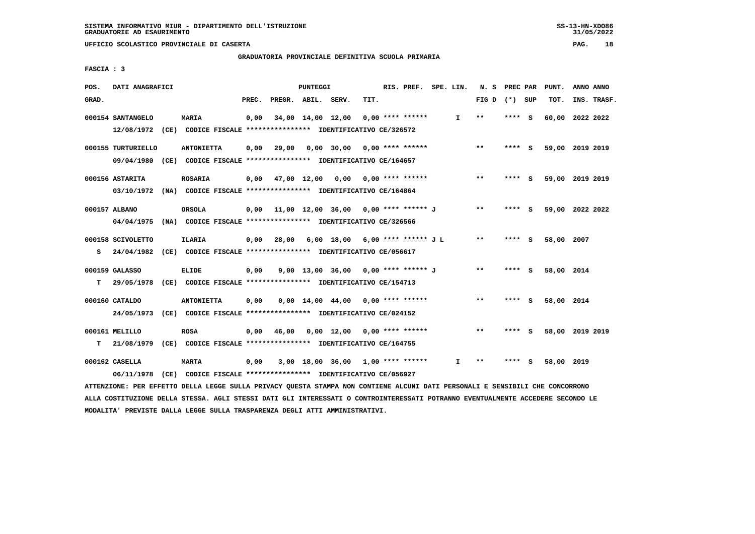# **GRADUATORIA PROVINCIALE DEFINITIVA SCUOLA PRIMARIA**

 **FASCIA : 3**

| POS.  | DATI ANAGRAFICI                                                                              |                   |       |                    | PUNTEGGI |                                              |      | RIS. PREF. SPE. LIN. |              | N. S PREC PAR |         |   | PUNT.           | ANNO ANNO |             |
|-------|----------------------------------------------------------------------------------------------|-------------------|-------|--------------------|----------|----------------------------------------------|------|----------------------|--------------|---------------|---------|---|-----------------|-----------|-------------|
| GRAD. |                                                                                              |                   | PREC. | PREGR. ABIL. SERV. |          |                                              | TIT. |                      |              | FIG D         | (*) SUP |   | TOT.            |           | INS. TRASF. |
|       | 000154 SANTANGELO<br>12/08/1972 (CE) CODICE FISCALE *************** IDENTIFICATIVO CE/326572 | <b>MARIA</b>      | 0,00  |                    |          | 34,00 14,00 12,00                            |      | $0.00$ **** ******   | $\mathbf{I}$ | $* *$         | **** S  |   | 60,00           | 2022 2022 |             |
|       |                                                                                              |                   |       |                    |          |                                              |      |                      |              |               |         |   |                 |           |             |
|       | 000155 TURTURIELLO                                                                           | <b>ANTONIETTA</b> | 0.00  | 29,00              |          | $0.00$ 30.00 0.00 **** ******                |      |                      |              | $***$         | **** S  |   | 59,00 2019 2019 |           |             |
|       | 09/04/1980 (CE) CODICE FISCALE *************** IDENTIFICATIVO CE/164657                      |                   |       |                    |          |                                              |      |                      |              |               |         |   |                 |           |             |
|       | 000156 ASTARITA                                                                              | <b>ROSARIA</b>    |       |                    |          | $0,00$ 47,00 12,00 0,00 0,00 **** ******     |      |                      |              | $***$         | **** S  |   | 59,00 2019 2019 |           |             |
|       | 03/10/1972 (NA) CODICE FISCALE **************** IDENTIFICATIVO CE/164864                     |                   |       |                    |          |                                              |      |                      |              |               |         |   |                 |           |             |
|       | 000157 ALBANO                                                                                | ORSOLA            |       |                    |          | 0,00 11,00 12,00 36,00 0,00 **** ****** J    |      |                      |              | $* *$         | **** S  |   | 59,00 2022 2022 |           |             |
|       | 04/04/1975 (NA) CODICE FISCALE *************** IDENTIFICATIVO CE/326566                      |                   |       |                    |          |                                              |      |                      |              |               |         |   |                 |           |             |
|       |                                                                                              |                   |       |                    |          |                                              |      |                      |              |               |         |   |                 |           |             |
|       | 000158 SCIVOLETTO                                                                            | ILARIA            |       |                    |          | $0.00$ 28.00 6.00 18.00 6.00 **** ****** J L |      |                      |              | $***$         | **** S  |   | 58,00 2007      |           |             |
| s     | 24/04/1982 (CE) CODICE FISCALE *************** IDENTIFICATIVO CE/056617                      |                   |       |                    |          |                                              |      |                      |              |               |         |   |                 |           |             |
|       | 000159 GALASSO                                                                               | <b>ELIDE</b>      | 0,00  |                    |          | 9,00 13,00 36,00 0,00 **** ****** J          |      |                      |              | $***$         | **** S  |   | 58,00 2014      |           |             |
| т     | 29/05/1978 (CE) CODICE FISCALE **************** IDENTIFICATIVO CE/154713                     |                   |       |                    |          |                                              |      |                      |              |               |         |   |                 |           |             |
|       | 000160 CATALDO                                                                               | <b>ANTONIETTA</b> | 0,00  |                    |          | $0.00$ 14.00 44.00 0.00 **** ******          |      |                      |              | $***$         | **** S  |   | 58,00 2014      |           |             |
|       | 24/05/1973 (CE) CODICE FISCALE *************** IDENTIFICATIVO CE/024152                      |                   |       |                    |          |                                              |      |                      |              |               |         |   |                 |           |             |
|       |                                                                                              |                   |       |                    |          |                                              |      |                      |              | $* *$         | **** S  |   | 58,00 2019 2019 |           |             |
| т     | 000161 MELILLO<br>21/08/1979 (CE) CODICE FISCALE **************** IDENTIFICATIVO CE/164755   | <b>ROSA</b>       | 0,00  | 46,00              |          | $0,00$ 12,00 0,00 **** ******                |      |                      |              |               |         |   |                 |           |             |
|       |                                                                                              |                   |       |                    |          |                                              |      |                      |              |               |         |   |                 |           |             |
|       | 000162 CASELLA                                                                               | <b>MARTA</b>      | 0,00  |                    |          | $3,00$ 18,00 36,00 1,00 **** ******          |      |                      | T            | $* *$         | ****    | s | 58,00 2019      |           |             |
|       | 06/11/1978 (CE) CODICE FISCALE *************** IDENTIFICATIVO CE/056927                      |                   |       |                    |          |                                              |      |                      |              |               |         |   |                 |           |             |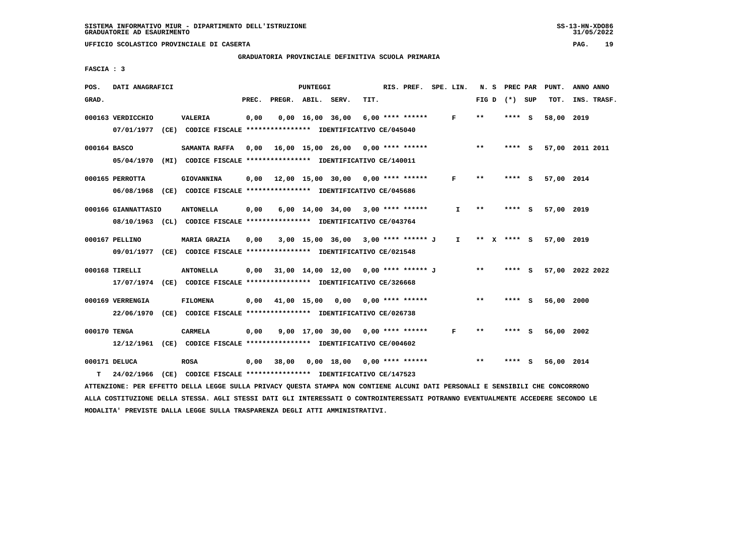**GRADUATORIA PROVINCIALE DEFINITIVA SCUOLA PRIMARIA**

 **FASCIA : 3**

| POS.         | DATI ANAGRAFICI                                                         |                                                               |       |                    | PUNTEGGI |                                      |      | RIS. PREF. SPE. LIN.    |              | N. S                       | PREC PAR |     | PUNT.      | ANNO ANNO       |
|--------------|-------------------------------------------------------------------------|---------------------------------------------------------------|-------|--------------------|----------|--------------------------------------|------|-------------------------|--------------|----------------------------|----------|-----|------------|-----------------|
| GRAD.        |                                                                         |                                                               | PREC. | PREGR. ABIL. SERV. |          |                                      | TIT. |                         |              | FIG D                      | (*) SUP  |     | TOT.       | INS. TRASF.     |
|              | 000163 VERDICCHIO                                                       | <b>VALERIA</b>                                                | 0,00  |                    |          | $0,00 \quad 16,00 \quad 36,00$       |      | $6,00$ **** ******      | F            | $* *$                      | **** S   |     | 58,00      | 2019            |
|              | 07/01/1977                                                              | (CE) CODICE FISCALE **************** IDENTIFICATIVO CE/045040 |       |                    |          |                                      |      |                         |              |                            |          |     |            |                 |
| 000164 BASCO |                                                                         | SAMANTA RAFFA                                                 | 0.00  |                    |          | 16,00 15,00 26,00 0,00 **** ******   |      |                         |              | $***$                      | $***$ S  |     |            | 57,00 2011 2011 |
|              | 05/04/1970                                                              | (MI) CODICE FISCALE **************** IDENTIFICATIVO CE/140011 |       |                    |          |                                      |      |                         |              |                            |          |     |            |                 |
|              | 000165 PERROTTA                                                         | GIOVANNINA                                                    | 0,00  |                    |          | 12,00 15,00 30,00 0,00 **** ******   |      |                         | F            | $* *$                      | ****     | - S | 57,00 2014 |                 |
|              | 06/08/1968 (CE) CODICE FISCALE *************** IDENTIFICATIVO CE/045686 |                                                               |       |                    |          |                                      |      |                         |              |                            |          |     |            |                 |
|              | 000166 GIANNATTASIO                                                     | <b>ANTONELLA</b>                                              | 0,00  |                    |          | $6,00$ 14,00 34,00 3,00 **** ******  |      |                         | I.           | $\pmb{\times}\pmb{\times}$ | **** S   |     | 57,00 2019 |                 |
|              | 08/10/1963 (CL) CODICE FISCALE *************** IDENTIFICATIVO CE/043764 |                                                               |       |                    |          |                                      |      |                         |              |                            |          |     |            |                 |
|              | 000167 PELLINO                                                          | <b>MARIA GRAZIA</b>                                           | 0,00  |                    |          | 3,00 15,00 36,00 3,00 **** ****** J  |      |                         | $\mathbf{I}$ | ** X **** S                |          |     | 57,00 2019 |                 |
|              | 09/01/1977 (CE) CODICE FISCALE *************** IDENTIFICATIVO CE/021548 |                                                               |       |                    |          |                                      |      |                         |              |                            |          |     |            |                 |
|              |                                                                         |                                                               |       |                    |          |                                      |      |                         |              |                            |          |     |            |                 |
|              | 000168 TIRELLI                                                          | <b>ANTONELLA</b>                                              | 0.00  |                    |          | 31,00 14,00 12,00 0,00 **** ****** J |      |                         |              | $***$                      | $***$ S  |     |            | 57,00 2022 2022 |
|              | 17/07/1974 (CE) CODICE FISCALE *************** IDENTIFICATIVO CE/326668 |                                                               |       |                    |          |                                      |      |                         |              |                            |          |     |            |                 |
|              | 000169 VERRENGIA                                                        | <b>FILOMENA</b>                                               | 0,00  | 41,00 15,00        |          |                                      |      | $0,00$ 0,00 **** ****** |              | $* *$                      | **** S   |     | 56,00 2000 |                 |
|              | 22/06/1970                                                              | (CE) CODICE FISCALE **************** IDENTIFICATIVO CE/026738 |       |                    |          |                                      |      |                         |              |                            |          |     |            |                 |
| 000170 TENGA |                                                                         | <b>CARMELA</b>                                                | 0,00  |                    |          | $9,00$ 17,00 30,00 0,00 **** ******  |      |                         | F            | $* *$                      | ****     | - S | 56,00 2002 |                 |
|              | 12/12/1961 (CE) CODICE FISCALE *************** IDENTIFICATIVO CE/004602 |                                                               |       |                    |          |                                      |      |                         |              |                            |          |     |            |                 |
|              |                                                                         |                                                               |       |                    |          |                                      |      |                         |              |                            |          |     |            |                 |
|              | 000171 DELUCA                                                           | <b>ROSA</b>                                                   | 0,00  | 38,00              |          | 0,00 18,00                           |      | $0.00$ **** ******      |              | $* *$                      | ****     | - S | 56,00 2014 |                 |
| т            | 24/02/1966                                                              | (CE) CODICE FISCALE *************** IDENTIFICATIVO CE/147523  |       |                    |          |                                      |      |                         |              |                            |          |     |            |                 |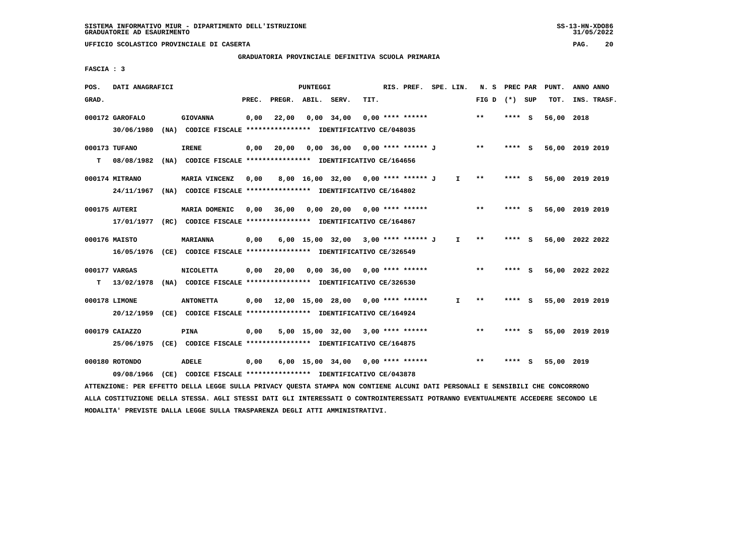## **GRADUATORIA PROVINCIALE DEFINITIVA SCUOLA PRIMARIA**

 **FASCIA : 3**

| POS.  | DATI ANAGRAFICI |                                                               |       |                    | PUNTEGGI |                                            |      | RIS. PREF.         | SPE. LIN.    | N.S                        | PREC PAR |     | PUNT.      | ANNO ANNO       |  |
|-------|-----------------|---------------------------------------------------------------|-------|--------------------|----------|--------------------------------------------|------|--------------------|--------------|----------------------------|----------|-----|------------|-----------------|--|
| GRAD. |                 |                                                               | PREC. | PREGR. ABIL. SERV. |          |                                            | TIT. |                    |              | FIG D                      | (*) SUP  |     | TOT.       | INS. TRASF.     |  |
|       | 000172 GAROFALO | <b>GIOVANNA</b>                                               | 0,00  | 22,00              |          | $0,00$ 34,00                               |      | $0.00$ **** ****** |              | $**$                       | ****     | - S | 56,00 2018 |                 |  |
|       | 30/06/1980      | (NA) CODICE FISCALE **************** IDENTIFICATIVO CE/048035 |       |                    |          |                                            |      |                    |              |                            |          |     |            |                 |  |
|       | 000173 TUFANO   | <b>IRENE</b>                                                  | 0,00  | 20,00              |          | 0,00 36,00 0,00 **** ****** J              |      |                    |              | $***$                      | $***$ S  |     |            | 56,00 2019 2019 |  |
| т     | 08/08/1982      | (NA) CODICE FISCALE **************** IDENTIFICATIVO CE/164656 |       |                    |          |                                            |      |                    |              |                            |          |     |            |                 |  |
|       | 000174 MITRANO  | MARIA VINCENZ                                                 | 0,00  |                    |          | 8,00 16,00 32,00 0,00 **** ****** J        |      |                    | $\mathbf{I}$ | $* *$                      | ****     | - S |            | 56,00 2019 2019 |  |
|       | 24/11/1967      | (NA) CODICE FISCALE **************** IDENTIFICATIVO CE/164802 |       |                    |          |                                            |      |                    |              |                            |          |     |            |                 |  |
|       | 000175 AUTERI   | MARIA DOMENIC                                                 | 0.00  | 36,00              |          | $0,00$ 20,00 0,00 **** ******              |      |                    |              | $* *$                      | **** S   |     |            | 56,00 2019 2019 |  |
|       | 17/01/1977      | (RC) CODICE FISCALE **************** IDENTIFICATIVO CE/164867 |       |                    |          |                                            |      |                    |              |                            |          |     |            |                 |  |
|       | 000176 MAISTO   | <b>MARIANNA</b>                                               | 0,00  |                    |          | 6,00 15,00 32,00 3,00 **** ****** J        |      |                    | $\mathbf{I}$ | $\pmb{\times}\pmb{\times}$ | **** S   |     |            | 56,00 2022 2022 |  |
|       | 16/05/1976      | (CE) CODICE FISCALE *************** IDENTIFICATIVO CE/326549  |       |                    |          |                                            |      |                    |              |                            |          |     |            |                 |  |
|       | 000177 VARGAS   | <b>NICOLETTA</b>                                              | 0,00  | 20,00              |          | $0,00$ 36,00 0,00 **** ******              |      |                    |              | $***$                      | **** S   |     |            | 56,00 2022 2022 |  |
| т     | 13/02/1978      | (NA) CODICE FISCALE *************** IDENTIFICATIVO CE/326530  |       |                    |          |                                            |      |                    |              |                            |          |     |            |                 |  |
|       | 000178 LIMONE   | <b>ANTONETTA</b>                                              | 0.00  |                    |          | $12,00$ $15,00$ $28,00$ $0,00$ **** ****** |      |                    | I.           | **                         | **** S   |     |            | 55,00 2019 2019 |  |
|       | 20/12/1959      | (CE) CODICE FISCALE **************** IDENTIFICATIVO CE/164924 |       |                    |          |                                            |      |                    |              |                            |          |     |            |                 |  |
|       | 000179 CAIAZZO  | PINA                                                          | 0,00  |                    |          | 5,00 15,00 32,00 3,00 **** ******          |      |                    |              | $**$                       | ****     | - 5 |            | 55,00 2019 2019 |  |
|       | 25/06/1975      | (CE) CODICE FISCALE **************** IDENTIFICATIVO CE/164875 |       |                    |          |                                            |      |                    |              |                            |          |     |            |                 |  |
|       | 000180 ROTONDO  | <b>ADELE</b>                                                  | 0,00  |                    |          | 6,00 15,00 34,00                           |      | $0.00$ **** ****** |              | $**$                       | ****     | s   | 55,00 2019 |                 |  |
|       | 09/08/1966      | (CE) CODICE FISCALE **************** IDENTIFICATIVO CE/043878 |       |                    |          |                                            |      |                    |              |                            |          |     |            |                 |  |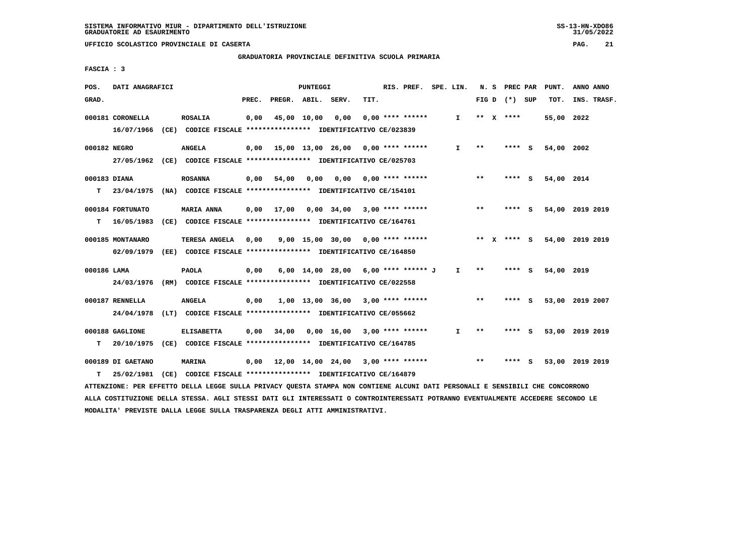**GRADUATORIA PROVINCIALE DEFINITIVA SCUOLA PRIMARIA**

 **FASCIA : 3**

| POS.         | DATI ANAGRAFICI   |                                                                                                                                 |       |                                           | <b>PUNTEGGI</b> |                                        |      | RIS. PREF. SPE. LIN. |    |       |                 | N. S PREC PAR PUNT. | ANNO ANNO |             |
|--------------|-------------------|---------------------------------------------------------------------------------------------------------------------------------|-------|-------------------------------------------|-----------------|----------------------------------------|------|----------------------|----|-------|-----------------|---------------------|-----------|-------------|
| GRAD.        |                   |                                                                                                                                 | PREC. | PREGR. ABIL. SERV.                        |                 |                                        | TIT. |                      |    |       | FIG D $(*)$ SUP | TOT.                |           | INS. TRASF. |
|              | 000181 CORONELLA  | <b>ROSALIA</b>                                                                                                                  | 0,00  |                                           | 45,00 10,00     | 0,00                                   |      | $0.00$ **** ******   | I. |       | ** $X$ ****     | 55,00 2022          |           |             |
|              |                   | 16/07/1966 (CE) CODICE FISCALE *************** IDENTIFICATIVO CE/023839                                                         |       |                                           |                 |                                        |      |                      |    |       |                 |                     |           |             |
| 000182 NEGRO |                   | <b>ANGELA</b>                                                                                                                   | 0,00  | 15,00 13,00 26,00 0,00 **** ******        |                 |                                        |      |                      | I. | $* *$ | $***$ S         | 54,00 2002          |           |             |
|              |                   | 27/05/1962 (CE) CODICE FISCALE *************** IDENTIFICATIVO CE/025703                                                         |       |                                           |                 |                                        |      |                      |    |       |                 |                     |           |             |
|              |                   |                                                                                                                                 |       |                                           |                 |                                        |      |                      |    |       |                 |                     |           |             |
| 000183 DIANA |                   | <b>ROSANNA</b>                                                                                                                  | 0,00  | 54,00                                     |                 | $0,00$ $0,00$ $0,00$ $***$ **** ****** |      |                      |    | $**$  | $***$ S         | 54,00 2014          |           |             |
| т            | 23/04/1975        | (NA) CODICE FISCALE *************** IDENTIFICATIVO CE/154101                                                                    |       |                                           |                 |                                        |      |                      |    |       |                 |                     |           |             |
|              | 000184 FORTUNATO  | <b>MARIA ANNA</b>                                                                                                               | 0,00  |                                           |                 | 17,00  0,00  34,00  3,00  ****  ****** |      |                      |    | $* *$ | **** S          | 54,00 2019 2019     |           |             |
| т            | 16/05/1983        | (CE) CODICE FISCALE **************** IDENTIFICATIVO CE/164761                                                                   |       |                                           |                 |                                        |      |                      |    |       |                 |                     |           |             |
|              |                   |                                                                                                                                 |       |                                           |                 |                                        |      |                      |    |       |                 |                     |           |             |
|              | 000185 MONTANARO  | TERESA ANGELA                                                                                                                   | 0,00  |                                           |                 | $9,00$ 15,00 30,00 0,00 **** ******    |      |                      |    |       | ** X **** S     | 54,00 2019 2019     |           |             |
|              | 02/09/1979        | (EE) CODICE FISCALE **************** IDENTIFICATIVO CE/164850                                                                   |       |                                           |                 |                                        |      |                      |    |       |                 |                     |           |             |
| 000186 LAMA  |                   | <b>PAOLA</b>                                                                                                                    | 0,00  |                                           |                 | 6,00 14,00 28,00 6,00 **** ****** J    |      |                      | I. | $* *$ | **** S          | 54,00 2019          |           |             |
|              | 24/03/1976        | (RM) CODICE FISCALE **************** IDENTIFICATIVO CE/022558                                                                   |       |                                           |                 |                                        |      |                      |    |       |                 |                     |           |             |
|              | 000187 RENNELLA   | <b>ANGELA</b>                                                                                                                   |       |                                           |                 |                                        |      |                      |    | $* *$ | $***$ S         | 53,00 2019 2007     |           |             |
|              |                   |                                                                                                                                 | 0,00  |                                           |                 | $1,00$ 13,00 36,00 3,00 **** ******    |      |                      |    |       |                 |                     |           |             |
|              | 24/04/1978        | (LT) CODICE FISCALE **************** IDENTIFICATIVO CE/055662                                                                   |       |                                           |                 |                                        |      |                      |    |       |                 |                     |           |             |
|              | 000188 GAGLIONE   | <b>ELISABETTA</b>                                                                                                               | 0,00  | 34,00                                     |                 | $0,00$ 16,00 3,00 **** ******          |      |                      | I. | $***$ | **** S          | 53,00 2019 2019     |           |             |
| т            |                   | 20/10/1975 (CE) CODICE FISCALE *************** IDENTIFICATIVO CE/164785                                                         |       |                                           |                 |                                        |      |                      |    |       |                 |                     |           |             |
|              | 000189 DI GAETANO | <b>MARINA</b>                                                                                                                   |       | $0,00$ 12,00 14,00 24,00 3,00 **** ****** |                 |                                        |      |                      |    | $* *$ | **** S          | 53,00 2019 2019     |           |             |
| т            | 25/02/1981        | (CE) CODICE FISCALE **************** IDENTIFICATIVO CE/164879                                                                   |       |                                           |                 |                                        |      |                      |    |       |                 |                     |           |             |
|              |                   | ATTENZIONE: PER EFFETTO DELLA LEGGE SULLA PRIVACY OUESTA STAMPA NON CONTIENE ALCUNI DATI PERSONALI E SENSIBILI CHE CONCORRONO   |       |                                           |                 |                                        |      |                      |    |       |                 |                     |           |             |
|              |                   | ALLA COSTITUZIONE DELLA STESSA. AGLI STESSI DATI GLI INTERESSATI O CONTROINTERESSATI POTRANNO EVENTUALMENTE ACCEDERE SECONDO LE |       |                                           |                 |                                        |      |                      |    |       |                 |                     |           |             |

 **MODALITA' PREVISTE DALLA LEGGE SULLA TRASPARENZA DEGLI ATTI AMMINISTRATIVI.**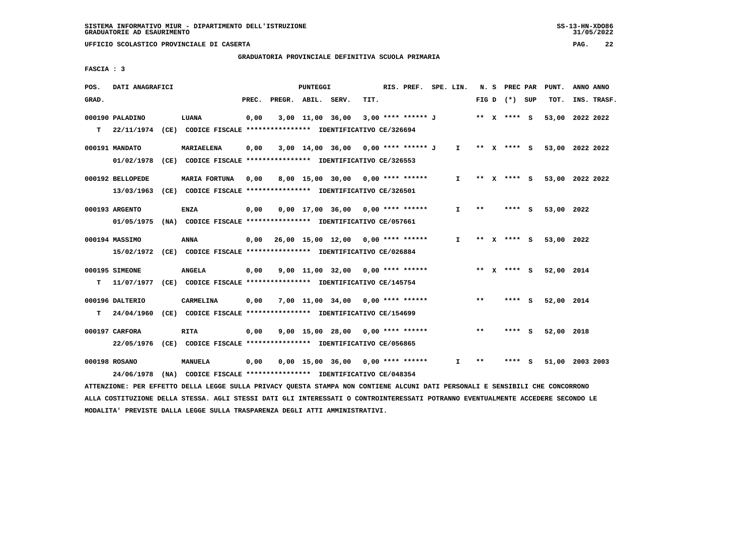**GRADUATORIA PROVINCIALE DEFINITIVA SCUOLA PRIMARIA**

 **FASCIA : 3**

| POS.  | DATI ANAGRAFICI  |                                                                         |       |                    | PUNTEGGI |                                     |      | RIS. PREF. SPE. LIN. |                               |       | N. S PREC PAR   |     | PUNT.                       | ANNO ANNO |             |
|-------|------------------|-------------------------------------------------------------------------|-------|--------------------|----------|-------------------------------------|------|----------------------|-------------------------------|-------|-----------------|-----|-----------------------------|-----------|-------------|
| GRAD. |                  |                                                                         | PREC. | PREGR. ABIL. SERV. |          |                                     | TIT. |                      |                               |       | FIG D $(*)$ SUP |     | TOT.                        |           | INS. TRASF. |
|       | 000190 PALADINO  | LUANA                                                                   | 0,00  |                    |          | 3,00 11,00 36,00                    |      | 3,00 **** ****** J   |                               |       | ** x **** s     |     | 53,00 2022 2022             |           |             |
| T.    |                  | 22/11/1974 (CE) CODICE FISCALE *************** IDENTIFICATIVO CE/326694 |       |                    |          |                                     |      |                      |                               |       |                 |     |                             |           |             |
|       | 000191 MANDATO   | <b>MARIAELENA</b>                                                       | 0,00  |                    |          | 3,00 14,00 36,00 0,00 **** ****** J |      |                      | $\mathbf{I}$ and $\mathbf{I}$ |       |                 |     | ** X **** S 53,00 2022 2022 |           |             |
|       | 01/02/1978       | (CE) CODICE FISCALE **************** IDENTIFICATIVO CE/326553           |       |                    |          |                                     |      |                      |                               |       |                 |     |                             |           |             |
|       | 000192 BELLOPEDE | MARIA FORTUNA                                                           | 0,00  |                    |          | 8,00 15,00 30,00 0,00 **** ******   |      |                      | I.                            |       | ** X **** S     |     | 53,00 2022 2022             |           |             |
|       |                  | 13/03/1963 (CE) CODICE FISCALE *************** IDENTIFICATIVO CE/326501 |       |                    |          |                                     |      |                      |                               |       |                 |     |                             |           |             |
|       | 000193 ARGENTO   | <b>ENZA</b>                                                             | 0,00  |                    |          | $0,00$ 17,00 36,00 0,00 **** ****** |      |                      | I.                            | $* *$ | **** S          |     | 53,00 2022                  |           |             |
|       |                  | 01/05/1975 (NA) CODICE FISCALE *************** IDENTIFICATIVO CE/057661 |       |                    |          |                                     |      |                      |                               |       |                 |     |                             |           |             |
|       | 000194 MASSIMO   | <b>ANNA</b>                                                             | 0,00  |                    |          | 26,00 15,00 12,00 0,00 **** ******  |      |                      | I.                            |       | ** X **** S     |     | 53,00 2022                  |           |             |
|       |                  | 15/02/1972 (CE) CODICE FISCALE *************** IDENTIFICATIVO CE/026884 |       |                    |          |                                     |      |                      |                               |       |                 |     |                             |           |             |
|       | 000195 SIMEONE   | <b>ANGELA</b>                                                           | 0,00  |                    |          | $9,00$ 11,00 32,00 0,00 **** ****** |      |                      |                               |       |                 |     | ** x **** s 52,00 2014      |           |             |
| т     | 11/07/1977       | (CE) CODICE FISCALE **************** IDENTIFICATIVO CE/145754           |       |                    |          |                                     |      |                      |                               |       |                 |     |                             |           |             |
|       | 000196 DALTERIO  | CARMELINA                                                               | 0,00  |                    |          | $7,00$ 11,00 34,00 0,00 **** ****** |      |                      |                               | **    | **** S          |     | 52,00 2014                  |           |             |
| т     | 24/04/1960       | (CE) CODICE FISCALE **************** IDENTIFICATIVO CE/154699           |       |                    |          |                                     |      |                      |                               |       |                 |     |                             |           |             |
|       | 000197 CARFORA   | RITA                                                                    | 0,00  |                    |          | $9,00$ 15,00 28,00 0,00 **** ****** |      |                      |                               | $* *$ | **** S          |     | 52,00 2018                  |           |             |
|       | 22/05/1976       | (CE) CODICE FISCALE *************** IDENTIFICATIVO CE/056865            |       |                    |          |                                     |      |                      |                               |       |                 |     |                             |           |             |
|       | 000198 ROSANO    | <b>MANUELA</b>                                                          | 0,00  |                    |          | $0,00$ 15,00 36,00 0,00 **** ****** |      |                      | I.                            | $* *$ | ****            | - 5 | 51,00 2003 2003             |           |             |
|       | 24/06/1978       | (NA) CODICE FISCALE **************** IDENTIFICATIVO CE/048354           |       |                    |          |                                     |      |                      |                               |       |                 |     |                             |           |             |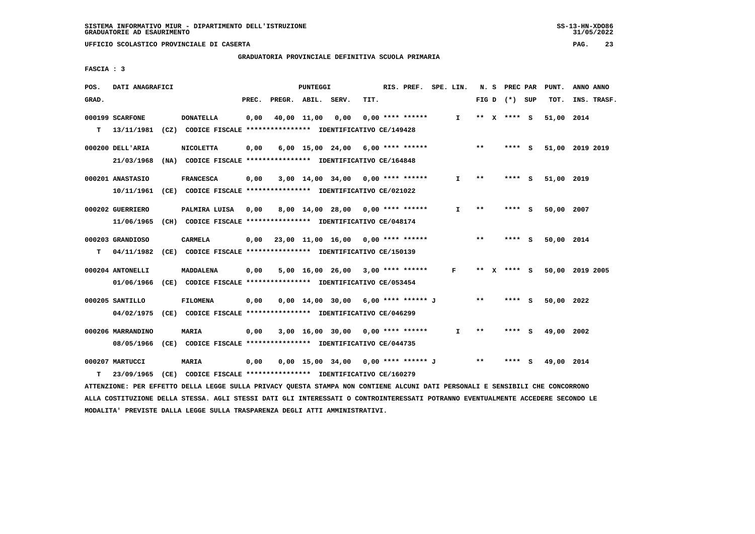**GRADUATORIA PROVINCIALE DEFINITIVA SCUOLA PRIMARIA**

 **FASCIA : 3**

| POS.  | DATI ANAGRAFICI   |                                                                                                                               |       |                    | PUNTEGGI |                                           |      | RIS. PREF. SPE. LIN. |              |       | N. S PREC PAR   | PUNT.           | ANNO ANNO |             |
|-------|-------------------|-------------------------------------------------------------------------------------------------------------------------------|-------|--------------------|----------|-------------------------------------------|------|----------------------|--------------|-------|-----------------|-----------------|-----------|-------------|
| GRAD. |                   |                                                                                                                               | PREC. | PREGR. ABIL. SERV. |          |                                           | TIT. |                      |              |       | FIG D $(*)$ SUP | TOT.            |           | INS. TRASF. |
|       | 000199 SCARFONE   | <b>DONATELLA</b>                                                                                                              | 0,00  |                    |          | 40,00 11,00 0,00                          |      | 0,00 **** ******     | $\mathbf{I}$ |       | ** x **** s     | 51,00 2014      |           |             |
|       | T 13/11/1981      | (CZ) CODICE FISCALE **************** IDENTIFICATIVO CE/149428                                                                 |       |                    |          |                                           |      |                      |              |       |                 |                 |           |             |
|       | 000200 DELL'ARIA  | <b>NICOLETTA</b>                                                                                                              | 0,00  |                    |          | $6,00$ 15,00 24,00 6,00 **** ******       |      |                      |              | $***$ | **** S          | 51,00 2019 2019 |           |             |
|       | 21/03/1968        | (NA) CODICE FISCALE **************** IDENTIFICATIVO CE/164848                                                                 |       |                    |          |                                           |      |                      |              |       |                 |                 |           |             |
|       |                   |                                                                                                                               |       |                    |          |                                           |      |                      |              |       |                 |                 |           |             |
|       | 000201 ANASTASIO  | <b>FRANCESCA</b>                                                                                                              | 0,00  |                    |          | $3,00$ 14,00 34,00 0,00 **** ******       |      |                      | Ι.           | $**$  | **** S          | 51,00 2019      |           |             |
|       |                   | 10/11/1961 (CE) CODICE FISCALE *************** IDENTIFICATIVO CE/021022                                                       |       |                    |          |                                           |      |                      |              |       |                 |                 |           |             |
|       | 000202 GUERRIERO  | PALMIRA LUISA                                                                                                                 | 0,00  |                    |          | 8,00 14,00 28,00 0,00 **** ******         |      |                      | I.           | $* *$ | **** S          | 50,00 2007      |           |             |
|       | 11/06/1965        | (CH) CODICE FISCALE **************** IDENTIFICATIVO CE/048174                                                                 |       |                    |          |                                           |      |                      |              |       |                 |                 |           |             |
|       |                   |                                                                                                                               |       |                    |          |                                           |      |                      |              |       |                 |                 |           |             |
|       | 000203 GRANDIOSO  | CARMELA                                                                                                                       |       |                    |          | $0,00$ 23,00 11,00 16,00 0,00 **** ****** |      |                      |              | $***$ | **** S          | 50,00 2014      |           |             |
| т     | 04/11/1982        | (CE) CODICE FISCALE **************** IDENTIFICATIVO CE/150139                                                                 |       |                    |          |                                           |      |                      |              |       |                 |                 |           |             |
|       | 000204 ANTONELLI  | <b>MADDALENA</b>                                                                                                              | 0,00  |                    |          | 5,00 16,00 26,00 3,00 **** ******         |      |                      | $\mathbf{F}$ |       | ** x **** S     | 50,00 2019 2005 |           |             |
|       | 01/06/1966        | (CE) CODICE FISCALE **************** IDENTIFICATIVO CE/053454                                                                 |       |                    |          |                                           |      |                      |              |       |                 |                 |           |             |
|       |                   |                                                                                                                               |       |                    |          |                                           |      |                      |              |       |                 |                 |           |             |
|       | 000205 SANTILLO   | FILOMENA                                                                                                                      | 0,00  |                    |          | $0,00$ 14,00 30,00 6,00 **** ****** J     |      |                      |              | $* *$ | **** S          | 50,00 2022      |           |             |
|       | 04/02/1975        | (CE) CODICE FISCALE **************** IDENTIFICATIVO CE/046299                                                                 |       |                    |          |                                           |      |                      |              |       |                 |                 |           |             |
|       | 000206 MARRANDINO | <b>MARIA</b>                                                                                                                  | 0,00  |                    |          | $3,00$ 16,00 30,00 0,00 **** ******       |      |                      | I.           | $***$ | $***$ S         | 49,00 2002      |           |             |
|       | 08/05/1966        | (CE) CODICE FISCALE **************** IDENTIFICATIVO CE/044735                                                                 |       |                    |          |                                           |      |                      |              |       |                 |                 |           |             |
|       |                   |                                                                                                                               |       |                    |          |                                           |      |                      |              |       |                 |                 |           |             |
|       | 000207 MARTUCCI   | MARIA                                                                                                                         | 0,00  |                    |          | 0,00 15,00 34,00 0,00 **** ****** J       |      |                      |              | $* *$ | **** S          | 49,00 2014      |           |             |
| т     | 23/09/1965        | (CE) CODICE FISCALE **************** IDENTIFICATIVO CE/160279                                                                 |       |                    |          |                                           |      |                      |              |       |                 |                 |           |             |
|       |                   | ATTENZIONE: PER EFFETTO DELLA LEGGE SULLA PRIVACY OUESTA STAMPA NON CONTIENE ALCUNI DATI PERSONALI E SENSIBILI CHE CONCORRONO |       |                    |          |                                           |      |                      |              |       |                 |                 |           |             |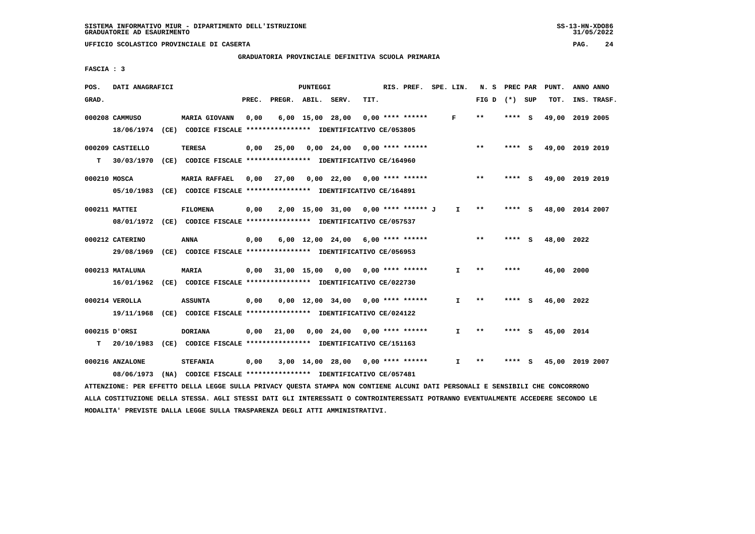# **GRADUATORIA PROVINCIALE DEFINITIVA SCUOLA PRIMARIA**

 **FASCIA : 3**

| POS.         | DATI ANAGRAFICI  |                                                                                                                               |       |                    | PUNTEGGI |                                                        |      | RIS. PREF.         | SPE. LIN.    | N. S PREC PAR   |        | PUNT.           | ANNO ANNO |             |
|--------------|------------------|-------------------------------------------------------------------------------------------------------------------------------|-------|--------------------|----------|--------------------------------------------------------|------|--------------------|--------------|-----------------|--------|-----------------|-----------|-------------|
| GRAD.        |                  |                                                                                                                               | PREC. | PREGR. ABIL. SERV. |          |                                                        | TIT. |                    |              | FIG D $(*)$ SUP |        | TOT.            |           | INS. TRASF. |
|              | 000208 CAMMUSO   | <b>MARIA GIOVANN</b>                                                                                                          | 0,00  |                    |          | 6,00 15,00 28,00                                       |      | $0.00$ **** ****** | F            | $***$           | **** S | 49,00 2019 2005 |           |             |
|              |                  | 18/06/1974 (CE) CODICE FISCALE *************** IDENTIFICATIVO CE/053805                                                       |       |                    |          |                                                        |      |                    |              |                 |        |                 |           |             |
|              | 000209 CASTIELLO | <b>TERESA</b>                                                                                                                 | 0,00  | 25,00              |          | $0,00$ 24,00 0,00 **** ******                          |      |                    |              | $***$           | **** S | 49,00 2019 2019 |           |             |
| т            | 30/03/1970       | (CE) CODICE FISCALE *************** IDENTIFICATIVO CE/164960                                                                  |       |                    |          |                                                        |      |                    |              |                 |        |                 |           |             |
| 000210 MOSCA |                  | <b>MARIA RAFFAEL</b>                                                                                                          | 0,00  | 27,00              |          | $0,00$ 22,00 0,00 **** ******                          |      |                    |              | $**$            | **** S | 49,00 2019 2019 |           |             |
|              |                  | 05/10/1983 (CE) CODICE FISCALE *************** IDENTIFICATIVO CE/164891                                                       |       |                    |          |                                                        |      |                    |              |                 |        |                 |           |             |
|              | 000211 MATTEI    | <b>FILOMENA</b>                                                                                                               | 0,00  |                    |          | 2,00 15,00 31,00 0,00 **** ******* J                   |      |                    | $\mathbf{I}$ | $* *$           | **** S | 48,00 2014 2007 |           |             |
|              |                  | 08/01/1972 (CE) CODICE FISCALE *************** IDENTIFICATIVO CE/057537                                                       |       |                    |          |                                                        |      |                    |              |                 |        |                 |           |             |
|              | 000212 CATERINO  | <b>ANNA</b>                                                                                                                   | 0,00  |                    |          | $6,00$ 12,00 24,00 6,00 **** ******                    |      |                    |              | $***$           | **** S | 48,00 2022      |           |             |
|              |                  | 29/08/1969 (CE) CODICE FISCALE *************** IDENTIFICATIVO CE/056953                                                       |       |                    |          |                                                        |      |                    |              |                 |        |                 |           |             |
|              | 000213 MATALUNA  | <b>MARIA</b>                                                                                                                  | 0,00  | 31,00 15,00        |          | 0,00                                                   |      | $0.00$ **** ****** | I.           | $* *$           | ****   | 46,00 2000      |           |             |
|              |                  | 16/01/1962 (CE) CODICE FISCALE *************** IDENTIFICATIVO CE/022730                                                       |       |                    |          |                                                        |      |                    |              |                 |        |                 |           |             |
|              | 000214 VEROLLA   | <b>ASSUNTA</b>                                                                                                                | 0,00  |                    |          | 0,00 12,00 34,00                                       |      | $0.00$ **** ****** | $\mathbf{I}$ | $***$           | **** S | 46,00 2022      |           |             |
|              |                  | 19/11/1968 (CE) CODICE FISCALE *************** IDENTIFICATIVO CE/024122                                                       |       |                    |          |                                                        |      |                    |              |                 |        |                 |           |             |
|              | 000215 D'ORSI    | <b>DORIANA</b>                                                                                                                |       |                    |          | $0,00$ $21,00$ $0,00$ $24,00$ $0,00$ $***$ **** ****** |      |                    | $\mathbf{I}$ | $* *$           | **** S | 45,00 2014      |           |             |
| т            |                  | 20/10/1983 (CE) CODICE FISCALE **************** IDENTIFICATIVO CE/151163                                                      |       |                    |          |                                                        |      |                    |              |                 |        |                 |           |             |
|              | 000216 ANZALONE  | <b>STEFANIA</b>                                                                                                               | 0,00  |                    |          | 3,00 14,00 28,00 0,00 **** ******                      |      |                    | I.           | $***$           | **** S | 45,00 2019 2007 |           |             |
|              | 08/06/1973       | (NA) CODICE FISCALE **************** IDENTIFICATIVO CE/057481                                                                 |       |                    |          |                                                        |      |                    |              |                 |        |                 |           |             |
|              |                  | ATTENZIONE: PER EFFETTO DELLA LEGGE SULLA PRIVACY OUESTA STAMPA NON CONTIENE ALCUNI DATI PERSONALI E SENSIBILI CHE CONCORRONO |       |                    |          |                                                        |      |                    |              |                 |        |                 |           |             |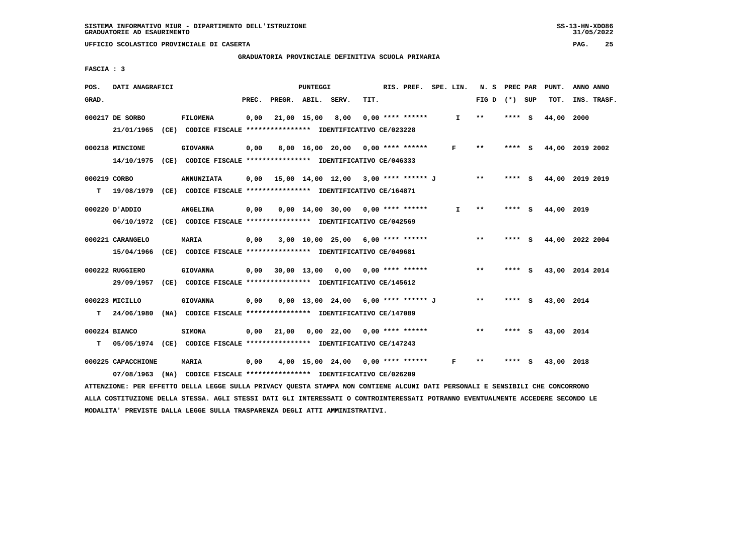**GRADUATORIA PROVINCIALE DEFINITIVA SCUOLA PRIMARIA**

 **FASCIA : 3**

| POS.              | DATI ANAGRAFICI                |                                                                                               |       |              | PUNTEGGI    |                                             |      | RIS. PREF.         | SPE. LIN.    | N. S PREC PAR              |        |     | PUNT.      | ANNO ANNO       |
|-------------------|--------------------------------|-----------------------------------------------------------------------------------------------|-------|--------------|-------------|---------------------------------------------|------|--------------------|--------------|----------------------------|--------|-----|------------|-----------------|
| GRAD.             |                                |                                                                                               | PREC. | PREGR. ABIL. |             | SERV.                                       | TIT. |                    |              | FIG D $(*)$ SUP            |        |     | TOT.       | INS. TRASF.     |
|                   | 000217 DE SORBO<br>21/01/1965  | <b>FILOMENA</b><br>(CE) CODICE FISCALE **************** IDENTIFICATIVO CE/023228              | 0,00  |              | 21,00 15,00 | 8,00                                        |      | $0.00$ **** ****** | $\mathbf{I}$ | **                         | **** S |     | 44,00      | 2000            |
|                   | 000218 MINCIONE                | <b>GIOVANNA</b><br>14/10/1975 (CE) CODICE FISCALE *************** IDENTIFICATIVO CE/046333    | 0,00  |              |             | 8,00 16,00 20,00 0,00 **** ******           |      |                    | F            | $\pmb{\times}\pmb{\times}$ | **** S |     |            | 44,00 2019 2002 |
| 000219 CORBO<br>т |                                | <b>ANNUNZIATA</b><br>19/08/1979 (CE) CODICE FISCALE **************** IDENTIFICATIVO CE/164871 |       |              |             | $0.00$ 15.00 14.00 12.00 3.00 **** ****** J |      |                    |              | $***$                      | **** S |     |            | 44,00 2019 2019 |
|                   | 000220 D'ADDIO                 | ANGELINA<br>06/10/1972 (CE) CODICE FISCALE *************** IDENTIFICATIVO CE/042569           | 0,00  |              |             | $0,00$ 14,00 30,00 0,00 **** ******         |      |                    | I.           | **                         | ****   | - 5 | 44,00 2019 |                 |
|                   | 000221 CARANGELO<br>15/04/1966 | <b>MARIA</b><br>(CE) CODICE FISCALE **************** IDENTIFICATIVO CE/049681                 | 0,00  |              |             | $3,00$ 10,00 25,00 6,00 **** ******         |      |                    |              | $**$                       | **** S |     |            | 44,00 2022 2004 |
|                   | 000222 RUGGIERO<br>29/09/1957  | <b>GIOVANNA</b><br>(CE) CODICE FISCALE **************** IDENTIFICATIVO CE/145612              |       |              |             | $0,00$ $30,00$ $13,00$ $0,00$               |      | $0.00$ **** ****** |              | $\star\star$               | **** S |     |            | 43,00 2014 2014 |
| т                 | 000223 MICILLO<br>24/06/1980   | <b>GIOVANNA</b><br>(NA) CODICE FISCALE **************** IDENTIFICATIVO CE/147089              | 0.00  |              |             | $0,00$ 13,00 24,00 6,00 **** ****** J       |      |                    |              | $* *$                      | **** S |     | 43,00 2014 |                 |
| T.                | 000224 BIANCO                  | <b>SIMONA</b><br>05/05/1974 (CE) CODICE FISCALE *************** IDENTIFICATIVO CE/147243      | 0,00  | 21,00        |             | $0,00$ 22,00 0,00 **** ******               |      |                    |              | $***$                      | **** S |     | 43,00 2014 |                 |
|                   | 000225 CAPACCHIONE             | MARIA<br>07/08/1963 (NA) CODICE FISCALE *************** IDENTIFICATIVO CE/026209              | 0,00  |              |             | $4,00$ 15,00 24,00 0,00 **** ******         |      |                    | F            | **                         | ****   | S   | 43,00 2018 |                 |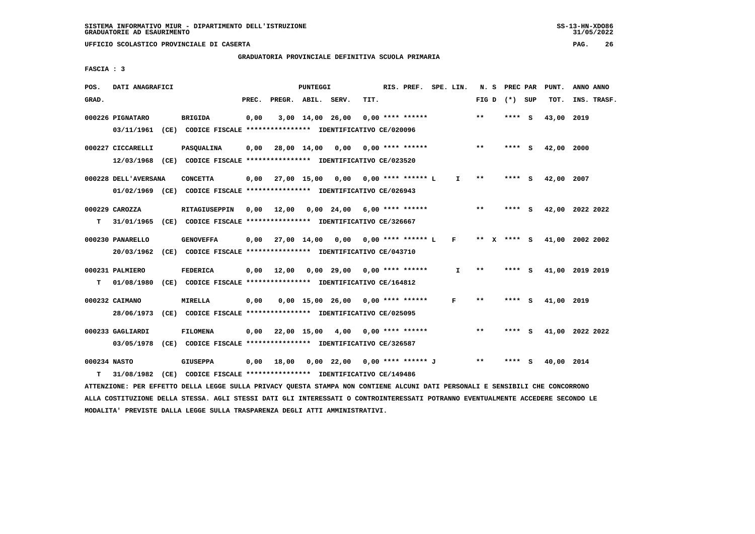## **GRADUATORIA PROVINCIALE DEFINITIVA SCUOLA PRIMARIA**

 **FASCIA : 3**

| POS.         | DATI ANAGRAFICI      |                                                                                                                               |       |                    | PUNTEGGI |                                            |      | RIS. PREF. SPE. LIN. |              |              | N. S PREC PAR |     | PUNT.                       | ANNO ANNO   |  |
|--------------|----------------------|-------------------------------------------------------------------------------------------------------------------------------|-------|--------------------|----------|--------------------------------------------|------|----------------------|--------------|--------------|---------------|-----|-----------------------------|-------------|--|
| GRAD.        |                      |                                                                                                                               | PREC. | PREGR. ABIL. SERV. |          |                                            | TIT. |                      |              | FIG D        | (*) SUP       |     | TOT.                        | INS. TRASF. |  |
|              | 000226 PIGNATARO     | <b>BRIGIDA</b>                                                                                                                | 0,00  |                    |          | 3,00 14,00 26,00                           |      | $0.00$ **** ******   |              | $***$        | **** S        |     | 43,00 2019                  |             |  |
|              |                      | 03/11/1961 (CE) CODICE FISCALE *************** IDENTIFICATIVO CE/020096                                                       |       |                    |          |                                            |      |                      |              |              |               |     |                             |             |  |
|              | 000227 CICCARELLI    | <b>PASQUALINA</b>                                                                                                             |       |                    |          | $0,00$ 28,00 14,00 0,00 0,00 **** ******   |      |                      |              | $***$        | **** S        |     | 42,00 2000                  |             |  |
|              |                      | 12/03/1968 (CE) CODICE FISCALE *************** IDENTIFICATIVO CE/023520                                                       |       |                    |          |                                            |      |                      |              |              |               |     |                             |             |  |
|              | 000228 DELL'AVERSANA | <b>CONCETTA</b>                                                                                                               |       |                    |          | 0,00 27,00 15,00 0,00 0,00 **** ****** L   |      |                      | $\mathbf{I}$ | $\star\star$ | **** S        |     | 42,00 2007                  |             |  |
|              |                      | 01/02/1969 (CE) CODICE FISCALE *************** IDENTIFICATIVO CE/026943                                                       |       |                    |          |                                            |      |                      |              |              |               |     |                             |             |  |
|              | 000229 CAROZZA       | RITAGIUSEPPIN                                                                                                                 |       |                    |          | $0,00$ 12,00 0,00 24,00 6,00 **** ******   |      |                      |              | $***$        | $***$ S       |     | 42,00 2022 2022             |             |  |
| т            |                      | 31/01/1965 (CE) CODICE FISCALE *************** IDENTIFICATIVO CE/326667                                                       |       |                    |          |                                            |      |                      |              |              |               |     |                             |             |  |
|              | 000230 PANARELLO     | <b>GENOVEFFA</b>                                                                                                              |       |                    |          | $0,00$ 27,00 14,00 0,00 0,00 **** ****** L |      |                      | $\mathbf{F}$ |              |               |     | ** X **** S 41,00 2002 2002 |             |  |
|              | 20/03/1962           | (CE) CODICE FISCALE **************** IDENTIFICATIVO CE/043710                                                                 |       |                    |          |                                            |      |                      |              |              |               |     |                             |             |  |
|              | 000231 PALMIERO      | <b>FEDERICA</b>                                                                                                               |       | $0,00$ 12,00       |          | $0.00$ 29.00 0.00 **** ******              |      |                      | I.           | $* *$        | **** S        |     | 41,00 2019 2019             |             |  |
| т            |                      | 01/08/1980 (CE) CODICE FISCALE *************** IDENTIFICATIVO CE/164812                                                       |       |                    |          |                                            |      |                      |              |              |               |     |                             |             |  |
|              | 000232 CAIMANO       | <b>MIRELLA</b>                                                                                                                | 0,00  |                    |          | $0.00$ 15.00 26.00 0.00 **** ******        |      |                      | F            | $* *$        | **** S        |     | 41,00 2019                  |             |  |
|              |                      | 28/06/1973 (CE) CODICE FISCALE *************** IDENTIFICATIVO CE/025095                                                       |       |                    |          |                                            |      |                      |              |              |               |     |                             |             |  |
|              | 000233 GAGLIARDI     | <b>FILOMENA</b>                                                                                                               |       |                    |          | $0.00$ 22.00 15.00 4.00 0.00 **** ******   |      |                      |              | $***$        | **** S        |     | 41,00 2022 2022             |             |  |
|              |                      | 03/05/1978 (CE) CODICE FISCALE *************** IDENTIFICATIVO CE/326587                                                       |       |                    |          |                                            |      |                      |              |              |               |     |                             |             |  |
| 000234 NASTO |                      | <b>GIUSEPPA</b>                                                                                                               |       | $0,00$ 18,00       |          | 0,00 22,00 0,00 **** ****** J              |      |                      |              | $***$        | ****          | - S | 40,00 2014                  |             |  |
| т            | 31/08/1982           | (CE) CODICE FISCALE *************** IDENTIFICATIVO CE/149486                                                                  |       |                    |          |                                            |      |                      |              |              |               |     |                             |             |  |
|              |                      | ATTENZIONE: PER EFFETTO DELLA LEGGE SULLA PRIVACY QUESTA STAMPA NON CONTIENE ALCUNI DATI PERSONALI E SENSIBILI CHE CONCORRONO |       |                    |          |                                            |      |                      |              |              |               |     |                             |             |  |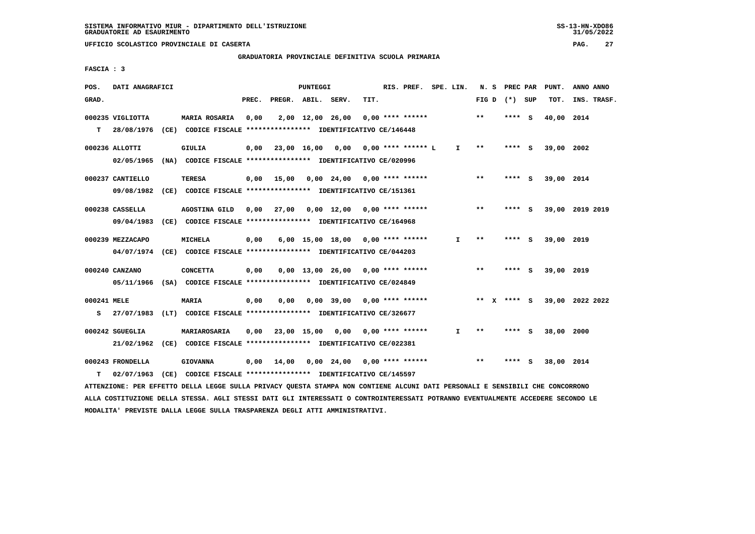#### **GRADUATORIA PROVINCIALE DEFINITIVA SCUOLA PRIMARIA**

 **FASCIA : 3**

| POS.        | DATI ANAGRAFICI  |                                                                         |       |                    | PUNTEGGI |                                                   |      | RIS. PREF. SPE. LIN. |              |       | N. S PREC PAR   |   | PUNT.      | ANNO ANNO       |
|-------------|------------------|-------------------------------------------------------------------------|-------|--------------------|----------|---------------------------------------------------|------|----------------------|--------------|-------|-----------------|---|------------|-----------------|
| GRAD.       |                  |                                                                         | PREC. | PREGR. ABIL. SERV. |          |                                                   | TIT. |                      |              |       | FIG D $(*)$ SUP |   | TOT.       | INS. TRASF.     |
|             | 000235 VIGLIOTTA | <b>MARIA ROSARIA</b>                                                    | 0,00  |                    |          | 2,00 12,00 26,00                                  |      | $0.00$ **** ******   |              | $* *$ | **** S          |   | 40,00      | 2014            |
| T.          | 28/08/1976       | (CE) CODICE FISCALE **************** IDENTIFICATIVO CE/146448           |       |                    |          |                                                   |      |                      |              |       |                 |   |            |                 |
|             | 000236 ALLOTTI   | GIULIA                                                                  | 0.00  | 23,00 16,00        |          |                                                   |      |                      | $\mathbf{I}$ | $* *$ | **** S          |   | 39,00 2002 |                 |
|             | 02/05/1965       | (NA) CODICE FISCALE **************** IDENTIFICATIVO CE/020996           |       |                    |          |                                                   |      |                      |              |       |                 |   |            |                 |
|             | 000237 CANTIELLO | TERESA                                                                  |       | $0,00$ 15,00       |          | $0.00 \quad 24.00 \quad 0.00 \quad *** \quad ***$ |      |                      |              | $***$ | **** S          |   | 39,00 2014 |                 |
|             | 09/08/1982       | (CE) CODICE FISCALE **************** IDENTIFICATIVO CE/151361           |       |                    |          |                                                   |      |                      |              |       |                 |   |            |                 |
|             | 000238 CASSELLA  | AGOSTINA GILD                                                           |       |                    |          | $0.00$ 27,00 $0.00$ 12,00 $0.00$ **** ******      |      |                      |              | $* *$ | **** S          |   |            | 39,00 2019 2019 |
|             | 09/04/1983       | (CE) CODICE FISCALE **************** IDENTIFICATIVO CE/164968           |       |                    |          |                                                   |      |                      |              |       |                 |   |            |                 |
|             | 000239 MEZZACAPO | MICHELA                                                                 | 0,00  |                    |          | 6,00 15,00 18,00                                  |      | $0.00$ **** ******   | I.           | $***$ | **** S          |   | 39,00 2019 |                 |
|             | 04/07/1974       | (CE) CODICE FISCALE **************** IDENTIFICATIVO CE/044203           |       |                    |          |                                                   |      |                      |              |       |                 |   |            |                 |
|             | 000240 CANZANO   | <b>CONCETTA</b>                                                         | 0,00  |                    |          | $0.00$ 13.00 26.00 0.00 **** ******               |      |                      |              | $***$ | **** S          |   | 39,00 2019 |                 |
|             |                  | 05/11/1966 (SA) CODICE FISCALE *************** IDENTIFICATIVO CE/024849 |       |                    |          |                                                   |      |                      |              |       |                 |   |            |                 |
| 000241 MELE |                  | <b>MARIA</b>                                                            | 0,00  | 0.00               |          | $0,00$ 39,00 0,00 **** ******                     |      |                      |              | ** X  | **** S          |   |            | 39,00 2022 2022 |
| s           |                  | 27/07/1983 (LT) CODICE FISCALE *************** IDENTIFICATIVO CE/326677 |       |                    |          |                                                   |      |                      |              |       |                 |   |            |                 |
|             |                  |                                                                         |       |                    |          |                                                   |      |                      |              |       |                 |   |            |                 |
|             | 000242 SGUEGLIA  | MARIAROSARIA                                                            | 0,00  | 23,00 15,00        |          | 0.00                                              |      | 0,00 **** ******     | I.           | $* *$ | **** S          |   | 38,00 2000 |                 |
|             | 21/02/1962       | (CE) CODICE FISCALE **************** IDENTIFICATIVO CE/022381           |       |                    |          |                                                   |      |                      |              |       |                 |   |            |                 |
|             | 000243 FRONDELLA | <b>GIOVANNA</b>                                                         | 0.00  | 14,00              |          | 0,00 24,00                                        |      | $0.00$ **** ******   |              | $* *$ | ****            | ్ | 38,00 2014 |                 |
| т           | 02/07/1963       | (CE) CODICE FISCALE **************** IDENTIFICATIVO CE/145597           |       |                    |          |                                                   |      |                      |              |       |                 |   |            |                 |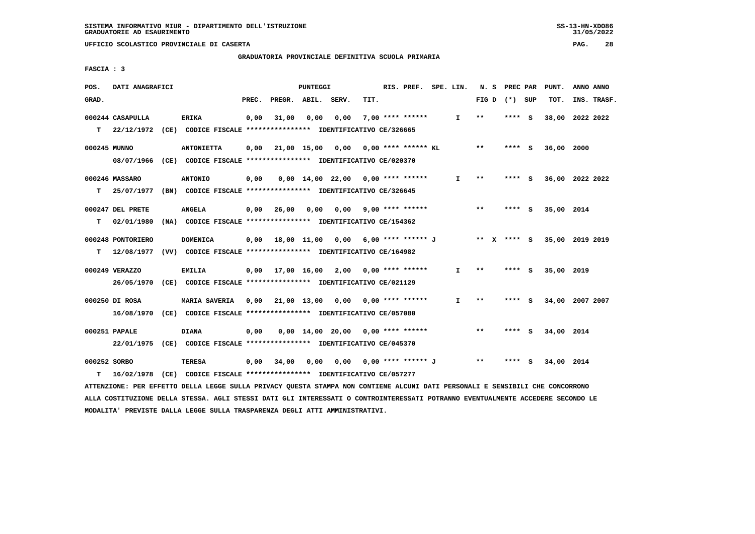**GRADUATORIA PROVINCIALE DEFINITIVA SCUOLA PRIMARIA**

 **FASCIA : 3**

| POS.         | DATI ANAGRAFICI   |                                                                           |       |                    | PUNTEGGI |                                          |      | RIS. PREF. SPE. LIN.    |              |                            |         | N. S PREC PAR PUNT. | ANNO ANNO                                                            |
|--------------|-------------------|---------------------------------------------------------------------------|-------|--------------------|----------|------------------------------------------|------|-------------------------|--------------|----------------------------|---------|---------------------|----------------------------------------------------------------------|
| GRAD.        |                   |                                                                           | PREC. | PREGR. ABIL. SERV. |          |                                          | TIT. |                         |              | FIG D $(*)$ SUP            |         | TOT.                | INS. TRASF.                                                          |
|              | 000244 CASAPULLA  | <b>ERIKA</b>                                                              | 0,00  | 31,00              | 0,00     | 0,00                                     |      | 7,00 **** ******        | $\mathbf{I}$ | $\pmb{\times}\pmb{\times}$ | **** S  |                     | 38,00 2022 2022                                                      |
|              |                   | T 22/12/1972 (CE) CODICE FISCALE *************** IDENTIFICATIVO CE/326665 |       |                    |          |                                          |      |                         |              |                            |         |                     |                                                                      |
| 000245 MUNNO |                   | <b>ANTONIETTA</b>                                                         | 0,00  |                    |          | 21,00 15,00 0,00 0,00 **** ****** KL     |      |                         |              | $***$                      | **** S  | 36,00 2000          |                                                                      |
|              |                   | 08/07/1966 (CE) CODICE FISCALE *************** IDENTIFICATIVO CE/020370   |       |                    |          |                                          |      |                         |              |                            |         |                     |                                                                      |
|              | 000246 MASSARO    | <b>ANTONIO</b>                                                            | 0,00  |                    |          | $0.00$ 14.00 22.00 0.00 **** ******      |      |                         | I.           | $* *$                      | **** S  |                     | 36,00 2022 2022                                                      |
| т            | 25/07/1977        | (BN) CODICE FISCALE **************** IDENTIFICATIVO CE/326645             |       |                    |          |                                          |      |                         |              |                            |         |                     |                                                                      |
|              | 000247 DEL PRETE  | ANGELA                                                                    | 0,00  | 26,00              | 0,00     |                                          |      | $0,00$ 9,00 **** ****** |              | $***$                      | $***$ S | 35,00 2014          |                                                                      |
| т            | 02/01/1980        | (NA) CODICE FISCALE **************** IDENTIFICATIVO CE/154362             |       |                    |          |                                          |      |                         |              |                            |         |                     |                                                                      |
|              | 000248 PONTORIERO | <b>DOMENICA</b>                                                           |       |                    |          |                                          |      |                         |              |                            |         |                     | 0,00 18,00 11,00 0,00 6,00 **** ****** J ** X **** S 35,00 2019 2019 |
| т            |                   | 12/08/1977 (VV) CODICE FISCALE **************** IDENTIFICATIVO CE/164982  |       |                    |          |                                          |      |                         |              |                            |         |                     |                                                                      |
|              | 000249 VERAZZO    | <b>EMILIA</b>                                                             |       |                    |          | $0,00$ 17,00 16,00 2,00 0,00 **** ****** |      |                         | $\mathbf{I}$ | $***$                      | **** S  | 35,00 2019          |                                                                      |
|              |                   | 26/05/1970 (CE) CODICE FISCALE *************** IDENTIFICATIVO CE/021129   |       |                    |          |                                          |      |                         |              |                            |         |                     |                                                                      |
|              | 000250 DI ROSA    | MARIA SAVERIA 0,00 21,00 13,00 0,00 0,00 **** ******                      |       |                    |          |                                          |      |                         | I.           | $***$                      | **** S  |                     | 34,00 2007 2007                                                      |
|              |                   | 16/08/1970 (CE) CODICE FISCALE *************** IDENTIFICATIVO CE/057080   |       |                    |          |                                          |      |                         |              |                            |         |                     |                                                                      |
|              | 000251 PAPALE     | <b>DIANA</b>                                                              | 0,00  |                    |          | $0.00$ 14.00 20.00 0.00 **** ******      |      |                         |              | $* *$                      | **** S  | 34,00 2014          |                                                                      |
|              |                   | 22/01/1975 (CE) CODICE FISCALE *************** IDENTIFICATIVO CE/045370   |       |                    |          |                                          |      |                         |              |                            |         |                     |                                                                      |
| 000252 SORBO |                   | TERESA                                                                    | 0,00  | 34,00              | 0,00     | 0,00                                     |      | 0,00 **** ****** J      |              | $\star\star$               | **** S  | 34,00 2014          |                                                                      |
| т            |                   | 16/02/1978 (CE) CODICE FISCALE *************** IDENTIFICATIVO CE/057277   |       |                    |          |                                          |      |                         |              |                            |         |                     |                                                                      |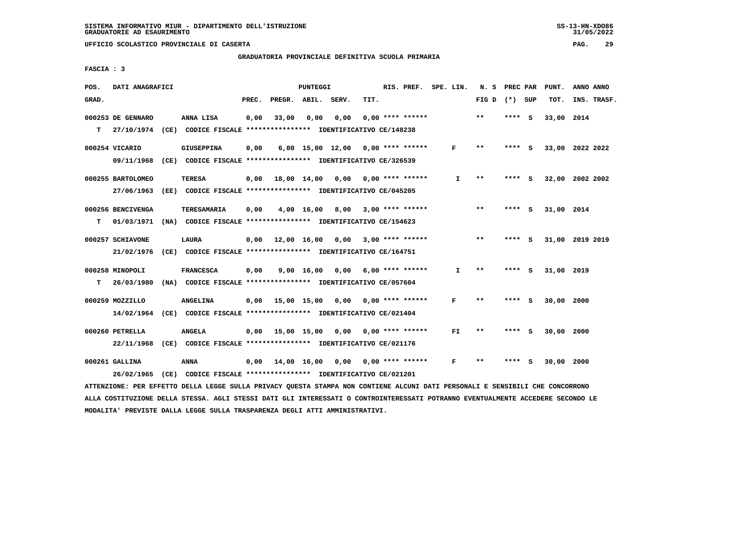#### **GRADUATORIA PROVINCIALE DEFINITIVA SCUOLA PRIMARIA**

 **FASCIA : 3**

| POS.  | DATI ANAGRAFICI               |      |                                                               |       |                  | <b>PUNTEGGI</b> |                                     |      | RIS. PREF.                | SPE. LIN. |     | N.S   | PREC PAR |     | PUNT.      | ANNO ANNO       |
|-------|-------------------------------|------|---------------------------------------------------------------|-------|------------------|-----------------|-------------------------------------|------|---------------------------|-----------|-----|-------|----------|-----|------------|-----------------|
| GRAD. |                               |      |                                                               | PREC. | PREGR. ABIL.     |                 | SERV.                               | TIT. |                           |           |     | FIG D | (*) SUP  |     | TOT.       | INS. TRASF.     |
|       | 000253 DE GENNARO             |      | ANNA LISA                                                     | 0,00  | 33,00            | 0.00            | 0.00                                |      | $0.00$ **** ******        |           |     | $***$ | ****     | - S | 33,00      | 2014            |
| т     | 27/10/1974                    |      | (CE) CODICE FISCALE **************** IDENTIFICATIVO CE/148238 |       |                  |                 |                                     |      |                           |           |     |       |          |     |            |                 |
|       | 000254 VICARIO                |      | <b>GIUSEPPINA</b>                                             | 0,00  |                  |                 | $6,00$ 15,00 12,00 0,00 **** ****** |      |                           |           | F   | $* *$ | ****     | - S |            | 33,00 2022 2022 |
|       | 09/11/1968                    |      | (CE) CODICE FISCALE **************** IDENTIFICATIVO CE/326539 |       |                  |                 |                                     |      |                           |           |     |       |          |     |            |                 |
|       | 000255 BARTOLOMEO             |      | <b>TERESA</b>                                                 | 0.00  |                  | 18,00 14,00     | 0,00                                |      | 0,00 **** ******          |           | I.  | $**$  | **** S   |     |            | 32,00 2002 2002 |
|       | 27/06/1963                    | (EE) | CODICE FISCALE **************** IDENTIFICATIVO CE/045205      |       |                  |                 |                                     |      |                           |           |     |       |          |     |            |                 |
|       | 000256 BENCIVENGA             |      | <b>TERESAMARIA</b>                                            | 0.00  |                  | 4,00 16,00      | 8,00                                |      | $3,00$ **** ******        |           |     | $* *$ | ****     | - S | 31,00 2014 |                 |
| т     | 01/03/1971                    |      | (NA) CODICE FISCALE **************** IDENTIFICATIVO CE/154623 |       |                  |                 |                                     |      |                           |           |     |       |          |     |            |                 |
|       | 000257 SCHIAVONE              |      | LAURA                                                         | 0.00  | 12,00 16,00      |                 |                                     |      | $0.00$ 3.00 **** ******   |           |     | $* *$ | ****     | - S |            | 31,00 2019 2019 |
|       | 21/02/1976                    |      | (CE) CODICE FISCALE **************** IDENTIFICATIVO CE/164751 |       |                  |                 |                                     |      |                           |           |     |       |          |     |            |                 |
|       | 000258 MINOPOLI               |      | <b>FRANCESCA</b>                                              | 0,00  |                  | 9,00 16,00      | 0,00                                |      | $6,00$ **** ******        |           | I.  | $**$  | ****     | - 5 | 31,00      | 2019            |
| T.    | 26/03/1980                    |      | (NA) CODICE FISCALE **************** IDENTIFICATIVO CE/057604 |       |                  |                 |                                     |      |                           |           |     |       |          |     |            |                 |
|       | 000259 MOZZILLO               |      | <b>ANGELINA</b>                                               | 0,00  | 15,00 15,00 0,00 |                 |                                     |      | 0,00 **** ******          |           | F   | $* *$ | ****     | - 5 | 30,00      | 2000            |
|       | 14/02/1964                    |      | (CE) CODICE FISCALE **************** IDENTIFICATIVO CE/021404 |       |                  |                 |                                     |      |                           |           |     |       |          |     |            |                 |
|       |                               |      | <b>ANGELA</b>                                                 |       |                  |                 |                                     |      |                           |           | FI. | $* *$ | ****     | - S |            |                 |
|       | 000260 PETRELLA<br>22/11/1968 | (CE) | CODICE FISCALE **************** IDENTIFICATIVO CE/021176      | 0,00  | 15,00 15,00      |                 | 0,00                                |      | 0,00 **** ******          |           |     |       |          |     | 30,00 2000 |                 |
|       |                               |      |                                                               |       |                  |                 |                                     |      |                           |           |     |       |          |     |            |                 |
|       | 000261 GALLINA                |      | <b>ANNA</b>                                                   | 0.00  |                  | 14,00 16,00     |                                     |      | $0.00$ $0.00$ **** ****** |           | F   | **    |          |     | 30,00 2000 |                 |
|       | 26/02/1965                    |      | (CE) CODICE FISCALE **************** IDENTIFICATIVO CE/021201 |       |                  |                 |                                     |      |                           |           |     |       |          |     |            |                 |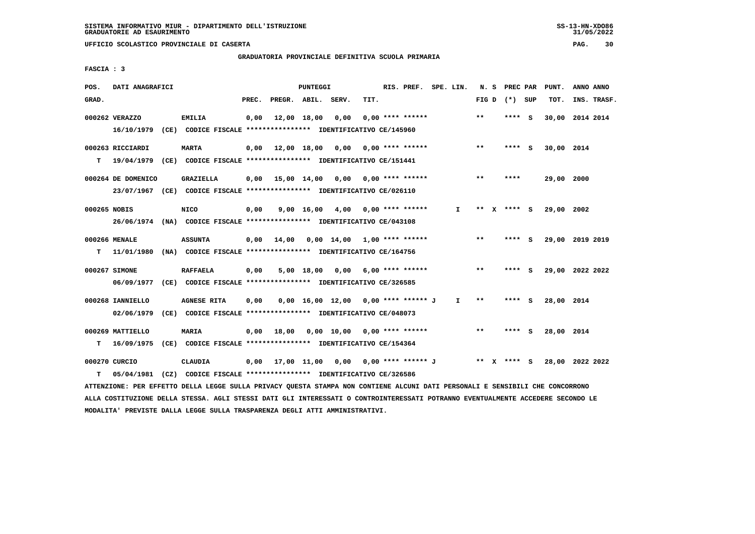$31/05/2022$ 

 **UFFICIO SCOLASTICO PROVINCIALE DI CASERTA PAG. 30**

## **GRADUATORIA PROVINCIALE DEFINITIVA SCUOLA PRIMARIA**

 **FASCIA : 3**

| POS.         | DATI ANAGRAFICI    |                                                                                                                               |                                                              |                    | PUNTEGGI |                                          |      | RIS. PREF. SPE. LIN. |    |       | N. S PREC PAR   | PUNT.           | ANNO ANNO |             |
|--------------|--------------------|-------------------------------------------------------------------------------------------------------------------------------|--------------------------------------------------------------|--------------------|----------|------------------------------------------|------|----------------------|----|-------|-----------------|-----------------|-----------|-------------|
| GRAD.        |                    |                                                                                                                               | PREC.                                                        | PREGR. ABIL. SERV. |          |                                          | TIT. |                      |    |       | FIG D $(*)$ SUP | TOT.            |           | INS. TRASF. |
|              | 000262 VERAZZO     | <b>EMILIA</b>                                                                                                                 | 0,00                                                         |                    |          | 12,00 18,00 0,00                         |      | $0.00$ **** ******   |    | $* *$ | **** S          | 30,00 2014 2014 |           |             |
|              |                    | 16/10/1979 (CE) CODICE FISCALE *************** IDENTIFICATIVO CE/145960                                                       |                                                              |                    |          |                                          |      |                      |    |       |                 |                 |           |             |
|              | 000263 RICCIARDI   | <b>MARTA</b>                                                                                                                  |                                                              |                    |          | $0,00$ 12,00 18,00 0,00 0,00 **** ****** |      |                      |    | $***$ | **** S          | 30,00 2014      |           |             |
|              |                    | T 19/04/1979 (CE) CODICE FISCALE *************** IDENTIFICATIVO CE/151441                                                     |                                                              |                    |          |                                          |      |                      |    |       |                 |                 |           |             |
|              | 000264 DE DOMENICO | <b>GRAZIELLA</b>                                                                                                              |                                                              |                    |          | $0,00$ 15,00 14,00 0,00 0,00 **** ****** |      |                      |    | $***$ | ****            | 29,00 2000      |           |             |
|              |                    | 23/07/1967 (CE) CODICE FISCALE *************** IDENTIFICATIVO CE/026110                                                       |                                                              |                    |          |                                          |      |                      |    |       |                 |                 |           |             |
| 000265 NOBIS |                    | <b>NICO</b>                                                                                                                   | 0,00                                                         |                    |          | 9,00 16,00 4,00 0,00 **** ******         |      |                      | I. |       | ** X **** S     | 29,00 2002      |           |             |
|              |                    | 26/06/1974 (NA) CODICE FISCALE **************** IDENTIFICATIVO CE/043108                                                      |                                                              |                    |          |                                          |      |                      |    |       |                 |                 |           |             |
|              | 000266 MENALE      | <b>ASSUNTA</b>                                                                                                                |                                                              |                    |          | $0,00$ 14,00 0,00 14,00 1,00 **** ****** |      |                      |    | $***$ | **** S          | 29,00 2019 2019 |           |             |
|              |                    | T 11/01/1980 (NA) CODICE FISCALE *************** IDENTIFICATIVO CE/164756                                                     |                                                              |                    |          |                                          |      |                      |    |       |                 |                 |           |             |
|              | 000267 SIMONE      | <b>RAFFAELA</b>                                                                                                               | 0,00                                                         |                    |          | 5,00 18,00 0,00 6,00 **** ******         |      |                      |    | $***$ | **** S          | 29,00 2022 2022 |           |             |
|              |                    | 06/09/1977 (CE) CODICE FISCALE *************** IDENTIFICATIVO CE/326585                                                       |                                                              |                    |          |                                          |      |                      |    |       |                 |                 |           |             |
|              | 000268 IANNIELLO   | <b>AGNESE RITA</b>                                                                                                            | 0,00                                                         |                    |          | $0,00$ 16,00 12,00 0,00 **** ****** J    |      |                      | T. | $* *$ | **** S          | 28,00 2014      |           |             |
|              | 02/06/1979         | (CE) CODICE FISCALE *************** IDENTIFICATIVO CE/048073                                                                  |                                                              |                    |          |                                          |      |                      |    |       |                 |                 |           |             |
|              | 000269 MATTIELLO   | <b>MARIA</b>                                                                                                                  |                                                              |                    |          | $0,00$ 18,00 0,00 10,00 0,00 **** ****** |      |                      |    | $**$  | **** S          | 28,00 2014      |           |             |
|              |                    | T 16/09/1975 (CE) CODICE FISCALE *************** IDENTIFICATIVO CE/154364                                                     |                                                              |                    |          |                                          |      |                      |    |       |                 |                 |           |             |
|              | 000270 CURCIO      | <b>CLAUDIA</b>                                                                                                                | 0,00 17,00 11,00 0,00 0,00 **** ****** J         ** X **** S |                    |          |                                          |      |                      |    |       |                 | 28,00 2022 2022 |           |             |
| т            | 05/04/1981         | (CZ) CODICE FISCALE **************** IDENTIFICATIVO CE/326586                                                                 |                                                              |                    |          |                                          |      |                      |    |       |                 |                 |           |             |
|              |                    | ATTENZIONE: PER EFFETTO DELLA LEGGE SULLA PRIVACY QUESTA STAMPA NON CONTIENE ALCUNI DATI PERSONALI E SENSIBILI CHE CONCORRONO |                                                              |                    |          |                                          |      |                      |    |       |                 |                 |           |             |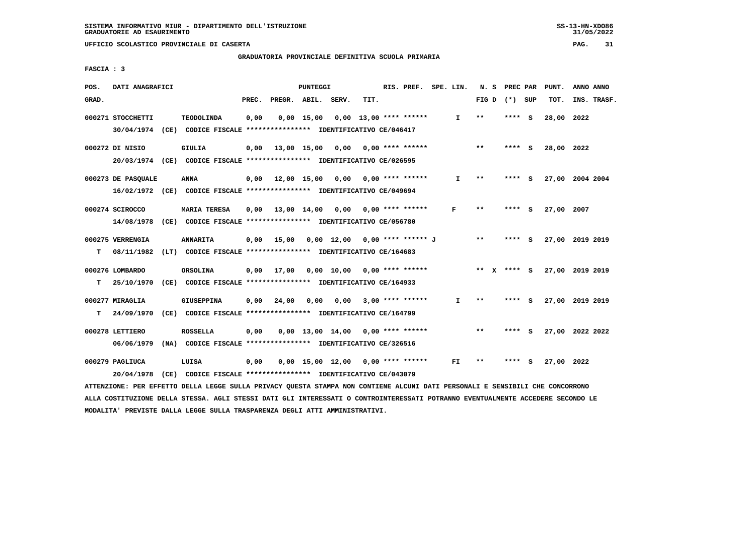## **GRADUATORIA PROVINCIALE DEFINITIVA SCUOLA PRIMARIA**

 **FASCIA : 3**

| POS.  | DATI ANAGRAFICI                 |                                                                                                |       |                                          | <b>PUNTEGGI</b> |                                                   |      | RIS. PREF. SPE. LIN.      |              |                 | N. S PREC PAR |     | PUNT.      | ANNO ANNO       |
|-------|---------------------------------|------------------------------------------------------------------------------------------------|-------|------------------------------------------|-----------------|---------------------------------------------------|------|---------------------------|--------------|-----------------|---------------|-----|------------|-----------------|
| GRAD. |                                 |                                                                                                | PREC. | PREGR. ABIL. SERV.                       |                 |                                                   | TIT. |                           |              | FIG D $(*)$ SUP |               |     | TOT.       | INS. TRASF.     |
|       | 000271 STOCCHETTI<br>30/04/1974 | <b>TEODOLINDA</b><br>(CE) CODICE FISCALE *************** IDENTIFICATIVO CE/046417              | 0,00  |                                          | $0,00$ 15,00    |                                                   |      | $0,00$ 13,00 **** ******  | $\mathbf{I}$ | $* *$           | **** S        |     | 28,00      | 2022            |
|       | 000272 DI NISIO                 | GIULIA<br>20/03/1974 (CE) CODICE FISCALE *************** IDENTIFICATIVO CE/026595              |       | $0,00$ 13,00 15,00 0,00 0,00 **** ****** |                 |                                                   |      |                           |              | $***$           | **** S        |     | 28,00 2022 |                 |
|       | 000273 DE PASQUALE              | <b>ANNA</b><br>16/02/1972 (CE) CODICE FISCALE *************** IDENTIFICATIVO CE/049694         |       | $0,00$ $12,00$ $15,00$                   |                 |                                                   |      | $0,00$ $0,00$ **** ****** | $\mathbf{I}$ | $***$           | ****          | - S |            | 27,00 2004 2004 |
|       | 000274 SCIROCCO                 | <b>MARIA TERESA</b><br>14/08/1978 (CE) CODICE FISCALE *************** IDENTIFICATIVO CE/056780 |       | 0,00 13,00 14,00 0,00                    |                 |                                                   |      | $0.00$ **** ******        | F            | $* *$           | ****          | - S | 27,00 2007 |                 |
| т     | 000275 VERRENGIA<br>08/11/1982  | <b>ANNARITA</b><br>(LT) CODICE FISCALE **************** IDENTIFICATIVO CE/164683               |       | $0,00$ 15,00                             |                 | 0,00 12,00 0,00 **** ****** J                     |      |                           |              | $* *$           | **** S        |     |            | 27,00 2019 2019 |
| T.    | 000276 LOMBARDO<br>25/10/1970   | ORSOLINA<br>(CE) CODICE FISCALE **************** IDENTIFICATIVO CE/164933                      |       | $0,00$ 17,00                             |                 | $0.00 \quad 10.00 \quad 0.00 \quad *** \quad ***$ |      |                           |              | ** x **** s     |               |     |            | 27,00 2019 2019 |
| т     | 000277 MIRAGLIA<br>24/09/1970   | <b>GIUSEPPINA</b><br>(CE) CODICE FISCALE **************** IDENTIFICATIVO CE/164799             | 0,00  | 24,00                                    | 0,00            | 0,00                                              |      | $3,00$ **** ******        | $\mathbf{I}$ | $* *$           | ****          | - S |            | 27,00 2019 2019 |
|       | 000278 LETTIERO<br>06/06/1979   | <b>ROSSELLA</b><br>(NA) CODICE FISCALE **************** IDENTIFICATIVO CE/326516               | 0,00  |                                          |                 | $0.00$ 13.00 14.00 0.00 **** ******               |      |                           |              | $* *$           | **** S        |     |            | 27,00 2022 2022 |
|       | 000279 PAGLIUCA<br>20/04/1978   | LUISA<br>(CE) CODICE FISCALE **************** IDENTIFICATIVO CE/043079                         | 0,00  |                                          |                 | $0,00$ 15,00 12,00 0,00 **** ******               |      |                           | FI.          | $\star\star$    |               |     | 27,00 2022 |                 |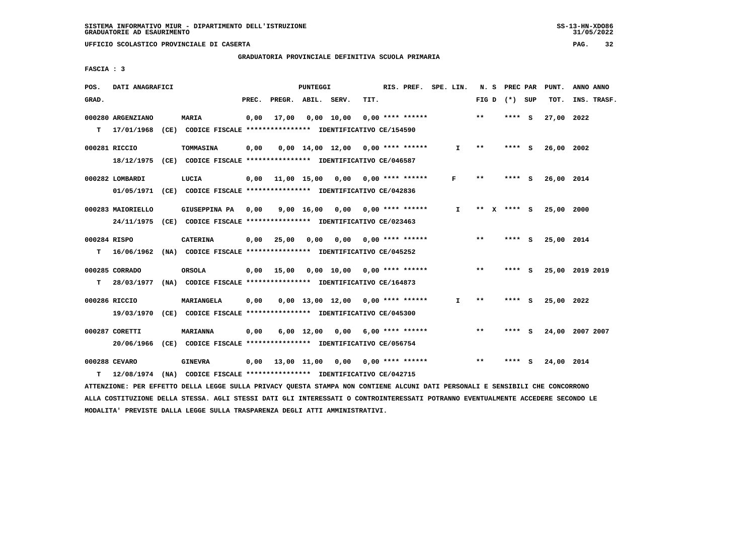$31/05/2022$ 

 **UFFICIO SCOLASTICO PROVINCIALE DI CASERTA PAG. 32**

## **GRADUATORIA PROVINCIALE DEFINITIVA SCUOLA PRIMARIA**

 **FASCIA : 3**

| POS.         | DATI ANAGRAFICI   |                                                                          |       |                                          | PUNTEGGI   |                                        |      | RIS. PREF. SPE. LIN.    |    | N. S  | <b>PREC PAR</b> |          | PUNT.      | ANNO ANNO       |
|--------------|-------------------|--------------------------------------------------------------------------|-------|------------------------------------------|------------|----------------------------------------|------|-------------------------|----|-------|-----------------|----------|------------|-----------------|
| GRAD.        |                   |                                                                          | PREC. | PREGR. ABIL. SERV.                       |            |                                        | TIT. |                         |    |       | FIG D $(*)$ SUP |          | TOT.       | INS. TRASF.     |
|              | 000280 ARGENZIANO | <b>MARIA</b>                                                             | 0,00  | 17,00                                    | 0,00 10,00 |                                        |      | $0.00$ **** ******      |    | $***$ | $***$ S         |          | 27,00 2022 |                 |
| T.           | 17/01/1968        | (CE) CODICE FISCALE **************** IDENTIFICATIVO CE/154590            |       |                                          |            |                                        |      |                         |    |       |                 |          |            |                 |
|              | 000281 RICCIO     | TOMMASINA                                                                | 0,00  |                                          |            | $0.00$ 14.00 12.00 0.00 **** ******    |      |                         | Ι. | $* *$ | **** S          |          | 26,00 2002 |                 |
|              | 18/12/1975        | (CE) CODICE FISCALE **************** IDENTIFICATIVO CE/046587            |       |                                          |            |                                        |      |                         |    |       |                 |          |            |                 |
|              | 000282 LOMBARDI   | LUCIA                                                                    |       | $0,00$ 11,00 15,00 0,00 0,00 **** ****** |            |                                        |      |                         | F  | $***$ | **** S          |          | 26,00 2014 |                 |
|              |                   | 01/05/1971 (CE) CODICE FISCALE *************** IDENTIFICATIVO CE/042836  |       |                                          |            |                                        |      |                         |    |       |                 |          |            |                 |
|              | 000283 MAIORIELLO | <b>GIUSEPPINA PA</b>                                                     | 0,00  |                                          |            | 9,00 16,00 0,00 0,00 **** ******       |      |                         | I. |       | ** X **** S     |          | 25,00 2000 |                 |
|              |                   | 24/11/1975 (CE) CODICE FISCALE *************** IDENTIFICATIVO CE/023463  |       |                                          |            |                                        |      |                         |    |       |                 |          |            |                 |
| 000284 RISPO |                   | <b>CATERINA</b>                                                          | 0,00  | 25,00                                    |            | $0.00$ $0.00$ $0.00$ $***$ **** ****** |      |                         |    | $* *$ | **** S          |          | 25,00 2014 |                 |
| т            |                   | 16/06/1962 (NA) CODICE FISCALE *************** IDENTIFICATIVO CE/045252  |       |                                          |            |                                        |      |                         |    |       |                 |          |            |                 |
|              | 000285 CORRADO    | <b>ORSOLA</b>                                                            |       | $0,00$ 15,00                             |            | 0,00 10,00 0,00 **** ******            |      |                         |    | $***$ | **** S          |          |            | 25,00 2019 2019 |
| т            |                   | 28/03/1977 (NA) CODICE FISCALE **************** IDENTIFICATIVO CE/164873 |       |                                          |            |                                        |      |                         |    |       |                 |          |            |                 |
|              | 000286 RICCIO     | MARIANGELA                                                               | 0,00  |                                          |            | $0.00$ 13.00 12.00 0.00 **** ******    |      |                         | I. | * *   | ****            | - S      | 25,00 2022 |                 |
|              |                   | 19/03/1970 (CE) CODICE FISCALE *************** IDENTIFICATIVO CE/045300  |       |                                          |            |                                        |      |                         |    |       |                 |          |            |                 |
|              | 000287 CORETTI    | <b>MARIANNA</b>                                                          | 0,00  |                                          | 6,00 12,00 |                                        |      | $0.00$ 6.00 **** ****** |    | $* *$ | **** S          |          |            | 24,00 2007 2007 |
|              | 20/06/1966        | (CE) CODICE FISCALE *************** IDENTIFICATIVO CE/056754             |       |                                          |            |                                        |      |                         |    |       |                 |          |            |                 |
|              | 000288 CEVARO     | <b>GINEVRA</b>                                                           |       | 0,00 13,00 11,00 0,00                    |            |                                        |      | $0,00$ **** ******      |    | $* *$ | ****            | <b>S</b> | 24,00 2014 |                 |
| т            |                   | 12/08/1974 (NA) CODICE FISCALE *************** IDENTIFICATIVO CE/042715  |       |                                          |            |                                        |      |                         |    |       |                 |          |            |                 |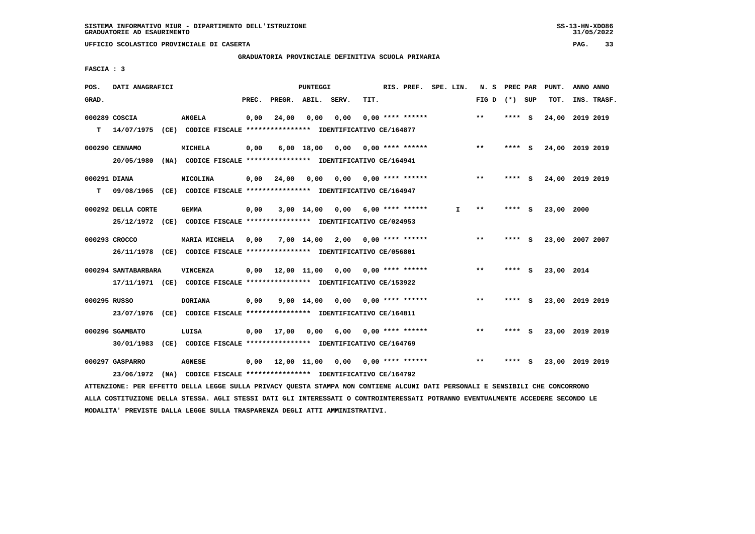## **GRADUATORIA PROVINCIALE DEFINITIVA SCUOLA PRIMARIA**

 **FASCIA : 3**

| POS.         | DATI ANAGRAFICI     |                                                                                                                               |       |                    | PUNTEGGI     |                                   |      | RIS. PREF. SPE. LIN.      |    | N. S PREC PAR   |        |     | PUNT.           | ANNO ANNO |             |
|--------------|---------------------|-------------------------------------------------------------------------------------------------------------------------------|-------|--------------------|--------------|-----------------------------------|------|---------------------------|----|-----------------|--------|-----|-----------------|-----------|-------------|
| GRAD.        |                     |                                                                                                                               | PREC. | PREGR. ABIL. SERV. |              |                                   | TIT. |                           |    | FIG D $(*)$ SUP |        |     | TOT.            |           | INS. TRASF. |
|              | 000289 COSCIA       | <b>ANGELA</b>                                                                                                                 | 0,00  | 24,00              | 0,00         | 0,00                              |      | $0.00$ **** ******        |    | $* *$           | **** S |     | 24,00 2019 2019 |           |             |
| т            | 14/07/1975          | (CE) CODICE FISCALE **************** IDENTIFICATIVO CE/164877                                                                 |       |                    |              |                                   |      |                           |    |                 |        |     |                 |           |             |
|              | 000290 CENNAMO      | <b>MICHELA</b>                                                                                                                | 0,00  |                    | $6,00$ 18,00 | 0,00 0,00 **** ******             |      |                           |    | $* *$           | **** S |     | 24,00 2019 2019 |           |             |
|              |                     | 20/05/1980 (NA) CODICE FISCALE *************** IDENTIFICATIVO CE/164941                                                       |       |                    |              |                                   |      |                           |    |                 |        |     |                 |           |             |
| 000291 DIANA |                     | <b>NICOLINA</b>                                                                                                               | 0,00  | 24,00              | 0,00         |                                   |      | $0,00$ $0,00$ **** ****** |    | $* *$           | **** S |     | 24,00 2019 2019 |           |             |
| т            |                     | 09/08/1965 (CE) CODICE FISCALE **************** IDENTIFICATIVO CE/164947                                                      |       |                    |              |                                   |      |                           |    |                 |        |     |                 |           |             |
|              | 000292 DELLA CORTE  | <b>GEMMA</b>                                                                                                                  | 0,00  |                    |              | 3,00 14,00 0,00                   |      | $6.00$ **** ******        | I. | $***$           | **** S |     | 23,00 2000      |           |             |
|              |                     | 25/12/1972 (CE) CODICE FISCALE *************** IDENTIFICATIVO CE/024953                                                       |       |                    |              |                                   |      |                           |    |                 |        |     |                 |           |             |
|              | 000293 CROCCO       | MARIA MICHELA                                                                                                                 | 0,00  |                    | 7,00 14,00   |                                   |      | $2,00$ 0,00 **** ******   |    | $***$           | **** S |     | 23,00 2007 2007 |           |             |
|              |                     | 26/11/1978 (CE) CODICE FISCALE *************** IDENTIFICATIVO CE/056801                                                       |       |                    |              |                                   |      |                           |    |                 |        |     |                 |           |             |
|              | 000294 SANTABARBARA | <b>VINCENZA</b>                                                                                                               | 0,00  |                    |              | 12,00 11,00 0,00 0,00 **** ****** |      |                           |    | $***$           | **** S |     | 23,00 2014      |           |             |
|              |                     | 17/11/1971 (CE) CODICE FISCALE *************** IDENTIFICATIVO CE/153922                                                       |       |                    |              |                                   |      |                           |    |                 |        |     |                 |           |             |
| 000295 RUSSO |                     | <b>DORIANA</b>                                                                                                                | 0,00  |                    |              | 9,00 14,00 0,00                   |      | $0.00$ **** ******        |    | $**$            | ****   | - S | 23,00 2019 2019 |           |             |
|              |                     | 23/07/1976 (CE) CODICE FISCALE *************** IDENTIFICATIVO CE/164811                                                       |       |                    |              |                                   |      |                           |    |                 |        |     |                 |           |             |
|              | 000296 SGAMBATO     | LUISA                                                                                                                         |       | $0,00$ 17,00       |              | $0,00$ 6,00 0,00 **** ******      |      |                           |    | $***$           | **** S |     | 23,00 2019 2019 |           |             |
|              | 30/01/1983          | (CE) CODICE FISCALE **************** IDENTIFICATIVO CE/164769                                                                 |       |                    |              |                                   |      |                           |    |                 |        |     |                 |           |             |
|              | 000297 GASPARRO     | <b>AGNESE</b>                                                                                                                 | 0,00  |                    |              | 12,00 11,00 0,00 0,00 **** ****** |      |                           |    | $* *$           | **** S |     | 23,00 2019 2019 |           |             |
|              | 23/06/1972          | (NA) CODICE FISCALE **************** IDENTIFICATIVO CE/164792                                                                 |       |                    |              |                                   |      |                           |    |                 |        |     |                 |           |             |
|              |                     | ATTENZIONE: PER EFFETTO DELLA LEGGE SULLA PRIVACY QUESTA STAMPA NON CONTIENE ALCUNI DATI PERSONALI E SENSIBILI CHE CONCORRONO |       |                    |              |                                   |      |                           |    |                 |        |     |                 |           |             |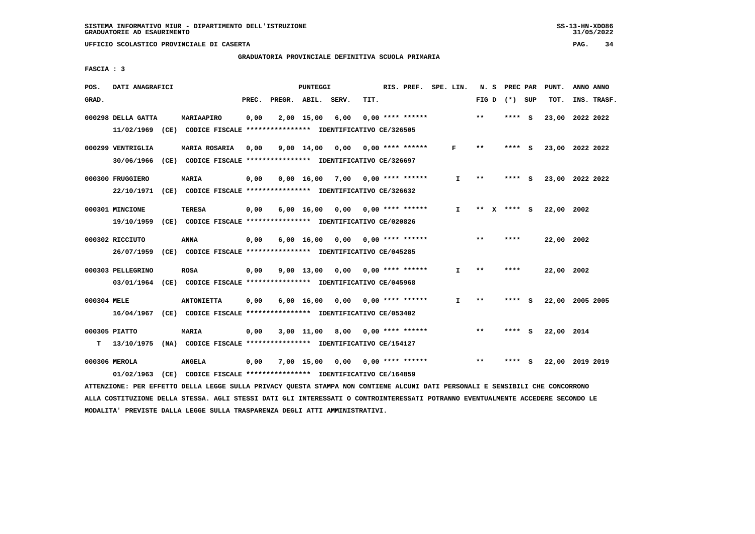## **GRADUATORIA PROVINCIALE DEFINITIVA SCUOLA PRIMARIA**

 **FASCIA : 3**

| POS.        | DATI ANAGRAFICI                                                                               |                                                               |       |                    | <b>PUNTEGGI</b>    |                 |      | RIS. PREF. SPE. LIN.           |              |       | N. S PREC PAR   |     | PUNT.           | ANNO ANNO |             |
|-------------|-----------------------------------------------------------------------------------------------|---------------------------------------------------------------|-------|--------------------|--------------------|-----------------|------|--------------------------------|--------------|-------|-----------------|-----|-----------------|-----------|-------------|
| GRAD.       |                                                                                               |                                                               | PREC. | PREGR. ABIL. SERV. |                    |                 | TIT. |                                |              |       | FIG D $(*)$ SUP |     | TOT.            |           | INS. TRASF. |
|             | 000298 DELLA GATTA<br>11/02/1969 (CE) CODICE FISCALE *************** IDENTIFICATIVO CE/326505 | MARIAAPIRO                                                    | 0,00  |                    | 2,00 15,00         | 6,00            |      | $0.00$ **** ******             |              | $***$ | **** S          |     | 23,00           | 2022 2022 |             |
|             | 000299 VENTRIGLIA                                                                             | MARIA ROSARIA                                                 | 0.00  |                    | $9,00 \quad 14,00$ | 0.00            |      | 0,00 **** ******               | F            | $* *$ | **** S          |     | 23,00 2022 2022 |           |             |
|             | 30/06/1966                                                                                    | (CE) CODICE FISCALE **************** IDENTIFICATIVO CE/326697 |       |                    |                    |                 |      |                                |              |       |                 |     |                 |           |             |
|             | 000300 FRUGGIERO                                                                              | MARIA                                                         | 0,00  |                    |                    | 0,00 16,00 7,00 |      | $0.00$ **** ******             | I.           | $* *$ | ****            | - S | 23,00 2022 2022 |           |             |
|             | 22/10/1971 (CE) CODICE FISCALE *************** IDENTIFICATIVO CE/326632                       |                                                               |       |                    |                    |                 |      |                                |              |       |                 |     |                 |           |             |
|             | 000301 MINCIONE                                                                               | <b>TERESA</b>                                                 | 0,00  |                    | $6,00 \quad 16,00$ |                 |      | $0.00$ $0.00$ $***$ **** ***** | $\mathbf{I}$ |       | ** $X$ **** S   |     | 22.00 2002      |           |             |
|             | 19/10/1959 (CE) CODICE FISCALE *************** IDENTIFICATIVO CE/020826                       |                                                               |       |                    |                    |                 |      |                                |              |       |                 |     |                 |           |             |
|             | 000302 RICCIUTO                                                                               | <b>ANNA</b>                                                   | 0,00  |                    | 6,00 16,00         | 0,00            |      | $0.00$ **** ******             |              | $***$ | ****            |     | 22,00 2002      |           |             |
|             | 26/07/1959                                                                                    | (CE) CODICE FISCALE **************** IDENTIFICATIVO CE/045285 |       |                    |                    |                 |      |                                |              |       |                 |     |                 |           |             |
|             | 000303 PELLEGRINO                                                                             | <b>ROSA</b>                                                   | 0,00  |                    | $9,00 \quad 13,00$ | 0,00            |      | 0,00 **** ******               | $\mathbf{I}$ | $* *$ | ****            |     | 22,00 2002      |           |             |
|             | 03/01/1964 (CE) CODICE FISCALE *************** IDENTIFICATIVO CE/045968                       |                                                               |       |                    |                    |                 |      |                                |              |       |                 |     |                 |           |             |
| 000304 MELE |                                                                                               | <b>ANTONIETTA</b>                                             | 0,00  |                    | $6,00 \quad 16,00$ | 0,00            |      | $0.00$ **** ******             | I.           | $* *$ | ****            | - 5 | 22,00 2005 2005 |           |             |
|             | 16/04/1967 (CE) CODICE FISCALE *************** IDENTIFICATIVO CE/053402                       |                                                               |       |                    |                    |                 |      |                                |              |       |                 |     |                 |           |             |
|             | 000305 PIATTO                                                                                 | <b>MARIA</b>                                                  | 0,00  |                    | 3,00 11,00         | 8,00            |      | $0.00$ **** ******             |              | $***$ | ****            | - S | 22,00 2014      |           |             |
| T.          | 13/10/1975 (NA) CODICE FISCALE *************** IDENTIFICATIVO CE/154127                       |                                                               |       |                    |                    |                 |      |                                |              |       |                 |     |                 |           |             |
|             | 000306 MEROLA<br>01/02/1963 (CE) CODICE FISCALE *************** IDENTIFICATIVO CE/164859      | <b>ANGELA</b>                                                 | 0,00  |                    | 7,00 15,00         | 0,00            |      | $0.00$ **** ******             |              | $* *$ | ****            | - s | 22,00 2019 2019 |           |             |
|             |                                                                                               |                                                               |       |                    |                    |                 |      |                                |              |       |                 |     |                 |           |             |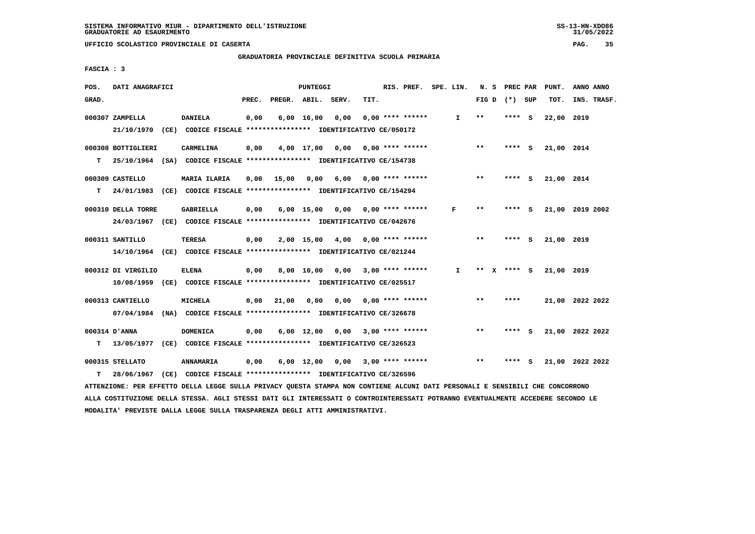$31/05/2022$ 

 **UFFICIO SCOLASTICO PROVINCIALE DI CASERTA PAG. 35**

 **GRADUATORIA PROVINCIALE DEFINITIVA SCUOLA PRIMARIA**

 **FASCIA : 3**

| POS.  | DATI ANAGRAFICI    |                                                                                                                               |       |                    | PUNTEGGI           |                                    |      | RIS. PREF. SPE. LIN.      |              |       | N. S PREC PAR   |     | PUNT.      | ANNO ANNO       |  |
|-------|--------------------|-------------------------------------------------------------------------------------------------------------------------------|-------|--------------------|--------------------|------------------------------------|------|---------------------------|--------------|-------|-----------------|-----|------------|-----------------|--|
| GRAD. |                    |                                                                                                                               | PREC. | PREGR. ABIL. SERV. |                    |                                    | TIT. |                           |              |       | FIG D $(*)$ SUP |     | TOT.       | INS. TRASF.     |  |
|       | 000307 ZAMPELLA    | DANIELA                                                                                                                       | 0,00  |                    | $6,00 \quad 16,00$ | 0,00                               |      | 0,00 **** ******          | $\mathbf{I}$ | $***$ | ****            | - S | 22,00 2019 |                 |  |
|       |                    | 21/10/1970 (CE) CODICE FISCALE *************** IDENTIFICATIVO CE/050172                                                       |       |                    |                    |                                    |      |                           |              |       |                 |     |            |                 |  |
|       | 000308 BOTTIGLIERI | <b>CARMELINA</b>                                                                                                              | 0,00  |                    | 4,00 17,00         |                                    |      | $0,00$ $0,00$ **** ****** |              | $***$ | **** S          |     | 21,00 2014 |                 |  |
| T.    |                    | 25/10/1964 (SA) CODICE FISCALE **************** IDENTIFICATIVO CE/154738                                                      |       |                    |                    |                                    |      |                           |              |       |                 |     |            |                 |  |
|       | 000309 CASTELLO    | <b>MARIA ILARIA</b>                                                                                                           | 0.00  | 15,00 0,00         |                    |                                    |      | $6,00$ 0,00 **** ******   |              | $***$ | **** S          |     | 21,00 2014 |                 |  |
| т     |                    | 24/01/1983 (CE) CODICE FISCALE *************** IDENTIFICATIVO CE/154294                                                       |       |                    |                    |                                    |      |                           |              |       |                 |     |            |                 |  |
|       | 000310 DELLA TORRE | <b>GABRIELLA</b>                                                                                                              | 0,00  |                    |                    | 6,00 15,00 0,00                    |      | $0,00$ **** ******        | F            | **    | **** S          |     |            | 21,00 2019 2002 |  |
|       |                    | 24/03/1967 (CE) CODICE FISCALE *************** IDENTIFICATIVO CE/042676                                                       |       |                    |                    |                                    |      |                           |              |       |                 |     |            |                 |  |
|       | 000311 SANTILLO    | <b>TERESA</b>                                                                                                                 | 0,00  |                    | 2,00 15,00         |                                    |      | $4,00$ 0,00 **** ******   |              | $***$ | **** S          |     | 21,00 2019 |                 |  |
|       |                    | 14/10/1964 (CE) CODICE FISCALE *************** IDENTIFICATIVO CE/021244                                                       |       |                    |                    |                                    |      |                           |              |       |                 |     |            |                 |  |
|       | 000312 DI VIRGILIO | <b>ELENA</b>                                                                                                                  | 0,00  |                    | 8,00 10,00         |                                    |      | $0,00$ 3,00 **** ******   | $\mathbf{I}$ |       | ** X **** S     |     | 21,00 2019 |                 |  |
|       |                    | 10/08/1959 (CE) CODICE FISCALE *************** IDENTIFICATIVO CE/025517                                                       |       |                    |                    |                                    |      |                           |              |       |                 |     |            |                 |  |
|       | 000313 CANTIELLO   | <b>MICHELA</b>                                                                                                                |       | $0,00$ 21,00       | 0,00               | 0,00                               |      | $0.00$ **** ******        |              | $* *$ | ****            |     |            | 21,00 2022 2022 |  |
|       |                    | 07/04/1984 (NA) CODICE FISCALE *************** IDENTIFICATIVO CE/326678                                                       |       |                    |                    |                                    |      |                           |              |       |                 |     |            |                 |  |
|       | 000314 D'ANNA      | <b>DOMENICA</b>                                                                                                               | 0,00  |                    |                    | $6,00$ 12,00 0,00 3,00 **** ****** |      |                           |              | $***$ | **** S          |     |            | 21,00 2022 2022 |  |
| т     |                    | 13/05/1977 (CE) CODICE FISCALE **************** IDENTIFICATIVO CE/326523                                                      |       |                    |                    |                                    |      |                           |              |       |                 |     |            |                 |  |
|       | 000315 STELLATO    | ANNAMARIA                                                                                                                     | 0,00  |                    | $6,00 \quad 12,00$ | 0,00                               |      | $3,00$ **** ******        |              | $* *$ | **** S          |     |            | 21,00 2022 2022 |  |
| т     | 28/06/1967         | (CE) CODICE FISCALE **************** IDENTIFICATIVO CE/326596                                                                 |       |                    |                    |                                    |      |                           |              |       |                 |     |            |                 |  |
|       |                    | ATTENZIONE: PER EFFETTO DELLA LEGGE SULLA PRIVACY QUESTA STAMPA NON CONTIENE ALCUNI DATI PERSONALI E SENSIBILI CHE CONCORRONO |       |                    |                    |                                    |      |                           |              |       |                 |     |            |                 |  |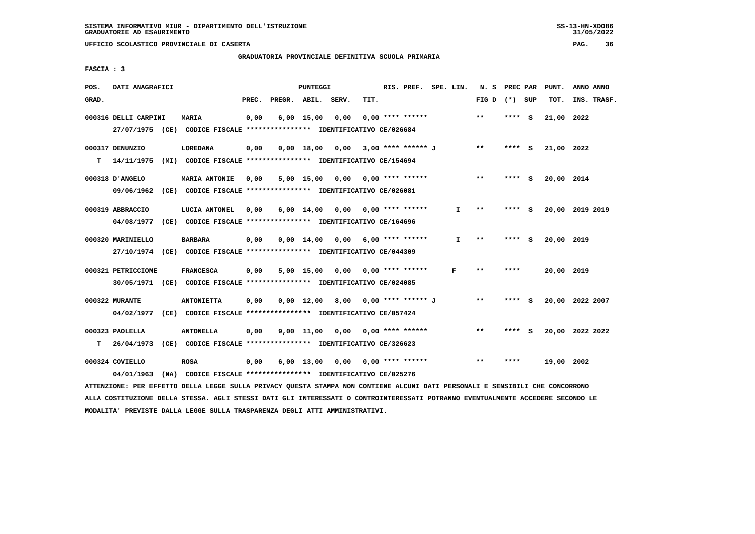## **GRADUATORIA PROVINCIALE DEFINITIVA SCUOLA PRIMARIA**

 **FASCIA : 3**

| POS.  | DATI ANAGRAFICI      |                                                                         |       |                    | <b>PUNTEGGI</b>               |                         |      | RIS. PREF. SPE. LIN.    |              | N. S PREC PAR   |        |     | PUNT.      | ANNO ANNO       |
|-------|----------------------|-------------------------------------------------------------------------|-------|--------------------|-------------------------------|-------------------------|------|-------------------------|--------------|-----------------|--------|-----|------------|-----------------|
| GRAD. |                      |                                                                         | PREC. | PREGR. ABIL. SERV. |                               |                         | TIT. |                         |              | FIG D $(*)$ SUP |        |     | TOT.       | INS. TRASF.     |
|       | 000316 DELLI CARPINI | MARIA                                                                   | 0,00  |                    | $6,00$ 15,00                  | 0.00                    |      | $0.00$ **** ******      |              | **              | ****   | ్   | 21,00 2022 |                 |
|       |                      | 27/07/1975 (CE) CODICE FISCALE *************** IDENTIFICATIVO CE/026684 |       |                    |                               |                         |      |                         |              |                 |        |     |            |                 |
|       | 000317 DENUNZIO      | <b>LOREDANA</b>                                                         | 0,00  |                    | 0.00 18.00                    | 0,00 3,00 **** ****** J |      |                         |              | $***$           | **** S |     | 21,00 2022 |                 |
| т     | 14/11/1975           | (MI) CODICE FISCALE **************** IDENTIFICATIVO CE/154694           |       |                    |                               |                         |      |                         |              |                 |        |     |            |                 |
|       | 000318 D'ANGELO      | <b>MARIA ANTONIE</b>                                                    | 0,00  |                    | 5,00 15,00                    | 0,00                    |      | $0.00$ **** ******      |              | $**$            | ****   | - S | 20,00 2014 |                 |
|       | 09/06/1962           | (CE) CODICE FISCALE **************** IDENTIFICATIVO CE/026081           |       |                    |                               |                         |      |                         |              |                 |        |     |            |                 |
|       | 000319 ABBRACCIO     | LUCIA ANTONEL                                                           | 0,00  |                    | $6,00 \quad 14,00$            | 0,00                    |      | 0,00 **** ******        | I.           | $**$            | **** S |     |            | 20,00 2019 2019 |
|       |                      | 04/08/1977 (CE) CODICE FISCALE *************** IDENTIFICATIVO CE/164696 |       |                    |                               |                         |      |                         |              |                 |        |     |            |                 |
|       | 000320 MARINIELLO    | <b>BARBARA</b>                                                          | 0,00  |                    | $0.00 \quad 14.00 \quad 0.00$ |                         |      | $6.00$ **** ******      | $\mathbf{I}$ | $***$           | **** S |     | 20,00 2019 |                 |
|       |                      | 27/10/1974 (CE) CODICE FISCALE *************** IDENTIFICATIVO CE/044309 |       |                    |                               |                         |      |                         |              |                 |        |     |            |                 |
|       | 000321 PETRICCIONE   | <b>FRANCESCA</b>                                                        | 0.00  |                    | 5,00 15,00                    |                         |      | $0,00$ 0,00 **** ****** | F            | **              | ****   |     | 20,00 2019 |                 |
|       |                      | 30/05/1971 (CE) CODICE FISCALE *************** IDENTIFICATIVO CE/024085 |       |                    |                               |                         |      |                         |              |                 |        |     |            |                 |
|       | 000322 MURANTE       | <b>ANTONIETTA</b>                                                       | 0.00  |                    | $0.00 \quad 12.00$            |                         |      | 8,00 0,00 **** ****** J |              | $**$            | ****   | ్   |            | 20,00 2022 2007 |
|       |                      | 04/02/1977 (CE) CODICE FISCALE *************** IDENTIFICATIVO CE/057424 |       |                    |                               |                         |      |                         |              |                 |        |     |            |                 |
|       | 000323 PAOLELLA      | <b>ANTONELLA</b>                                                        | 0,00  |                    | $9,00$ 11,00                  | 0,00                    |      | $0.00$ **** ******      |              | $* *$           | ****   | - S |            | 20,00 2022 2022 |
| т     | 26/04/1973           | (CE) CODICE FISCALE **************** IDENTIFICATIVO CE/326623           |       |                    |                               |                         |      |                         |              |                 |        |     |            |                 |
|       | 000324 COVIELLO      | <b>ROSA</b>                                                             | 0,00  |                    | $6,00 \quad 13,00$            | 0.00                    |      | $0.00$ **** ******      |              | $* *$           | ****   |     | 19,00 2002 |                 |
|       | 04/01/1963           | (NA) CODICE FISCALE **************** IDENTIFICATIVO CE/025276           |       |                    |                               |                         |      |                         |              |                 |        |     |            |                 |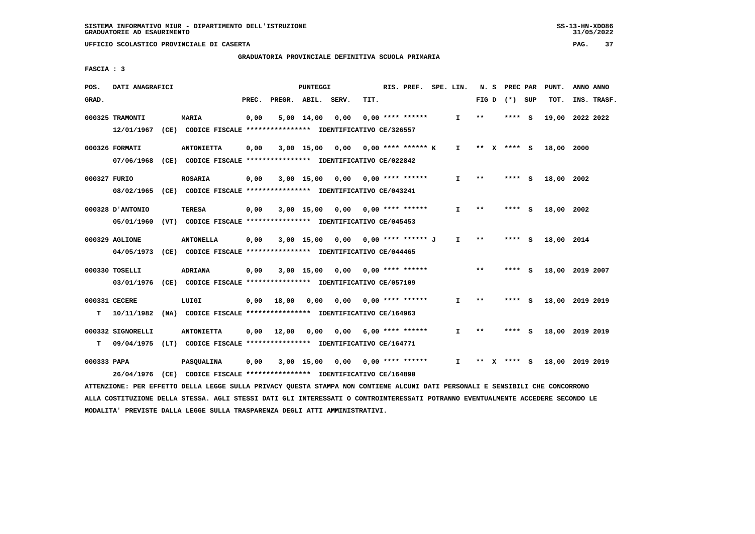## **GRADUATORIA PROVINCIALE DEFINITIVA SCUOLA PRIMARIA**

 **FASCIA : 3**

| POS.        | DATI ANAGRAFICI   |                                                                                                                               |       |                                       | PUNTEGGI     |                                    |      | RIS. PREF. SPE. LIN. |              |       | N. S PREC PAR   | PUNT.      | ANNO ANNO       |  |
|-------------|-------------------|-------------------------------------------------------------------------------------------------------------------------------|-------|---------------------------------------|--------------|------------------------------------|------|----------------------|--------------|-------|-----------------|------------|-----------------|--|
| GRAD.       |                   |                                                                                                                               | PREC. | PREGR. ABIL. SERV.                    |              |                                    | TIT. |                      |              |       | FIG D $(*)$ SUP | TOT.       | INS. TRASF.     |  |
|             | 000325 TRAMONTI   | <b>MARIA</b>                                                                                                                  | 0,00  |                                       |              | $5,00$ 14,00 0,00                  |      | $0.00$ **** ******   | $\mathbf{I}$ | **    | $***$ S         |            | 19,00 2022 2022 |  |
|             |                   | 12/01/1967 (CE) CODICE FISCALE **************** IDENTIFICATIVO CE/326557                                                      |       |                                       |              |                                    |      |                      |              |       |                 |            |                 |  |
|             | 000326 FORMATI    | <b>ANTONIETTA</b>                                                                                                             | 0,00  |                                       |              | 3,00 15,00 0,00 0,00 **** ****** K |      |                      | $\mathbf{I}$ |       | ** x **** S     | 18,00 2000 |                 |  |
|             |                   | 07/06/1968 (CE) CODICE FISCALE *************** IDENTIFICATIVO CE/022842                                                       |       |                                       |              |                                    |      |                      |              |       |                 |            |                 |  |
|             | 000327 FURIO      | <b>ROSARIA</b>                                                                                                                | 0,00  |                                       | $3,00$ 15,00 |                                    |      |                      | I.           | $***$ | $***$ S         | 18,00 2002 |                 |  |
|             |                   | 08/02/1965 (CE) CODICE FISCALE *************** IDENTIFICATIVO CE/043241                                                       |       |                                       |              |                                    |      |                      |              |       |                 |            |                 |  |
|             | 000328 D'ANTONIO  | <b>TERESA</b>                                                                                                                 | 0,00  |                                       |              | 3,00 15,00 0,00                    |      | $0.00$ **** ******   | $\mathbf{I}$ | $**$  | **** S          | 18,00 2002 |                 |  |
|             | 05/01/1960        | (VT) CODICE FISCALE **************** IDENTIFICATIVO CE/045453                                                                 |       |                                       |              |                                    |      |                      |              |       |                 |            |                 |  |
|             | 000329 AGLIONE    | <b>ANTONELLA</b>                                                                                                              | 0,00  |                                       |              | 3,00 15,00 0,00 0,00 **** ****** J |      |                      | $\mathbf{I}$ | $* *$ | $***$ S         | 18,00 2014 |                 |  |
|             |                   | 04/05/1973 (CE) CODICE FISCALE *************** IDENTIFICATIVO CE/044465                                                       |       |                                       |              |                                    |      |                      |              |       |                 |            |                 |  |
|             | 000330 TOSELLI    | ADRIANA                                                                                                                       | 0,00  |                                       |              | 3,00 15,00 0,00 0,00 **** ******   |      |                      |              | $***$ | $***$ S         |            | 18,00 2019 2007 |  |
|             |                   | 03/01/1976 (CE) CODICE FISCALE *************** IDENTIFICATIVO CE/057109                                                       |       |                                       |              |                                    |      |                      |              |       |                 |            |                 |  |
|             | 000331 CECERE     | LUIGI                                                                                                                         |       | $0,00$ 18,00                          |              | 0,00 0,00                          |      | 0,00 **** ******     | I.           | $* *$ | **** S          |            | 18,00 2019 2019 |  |
| т           |                   | 10/11/1982 (NA) CODICE FISCALE **************** IDENTIFICATIVO CE/164963                                                      |       |                                       |              |                                    |      |                      |              |       |                 |            |                 |  |
|             | 000332 SIGNORELLI | <b>ANTONIETTA</b>                                                                                                             |       | 0,00 12,00 0,00 0,00 6,00 **** ****** |              |                                    |      |                      | $\mathbf{I}$ | $* *$ | **** S          |            | 18,00 2019 2019 |  |
| т           |                   | 09/04/1975 (LT) CODICE FISCALE *************** IDENTIFICATIVO CE/164771                                                       |       |                                       |              |                                    |      |                      |              |       |                 |            |                 |  |
| 000333 PAPA |                   | <b>PASQUALINA</b>                                                                                                             | 0,00  |                                       |              | 3,00 15,00 0,00 0,00 **** ******   |      |                      | $\mathbf{I}$ |       | ** x **** s     |            | 18,00 2019 2019 |  |
|             | 26/04/1976        | (CE) CODICE FISCALE **************** IDENTIFICATIVO CE/164890                                                                 |       |                                       |              |                                    |      |                      |              |       |                 |            |                 |  |
|             |                   | ATTENZIONE: PER EFFETTO DELLA LEGGE SULLA PRIVACY QUESTA STAMPA NON CONTIENE ALCUNI DATI PERSONALI E SENSIBILI CHE CONCORRONO |       |                                       |              |                                    |      |                      |              |       |                 |            |                 |  |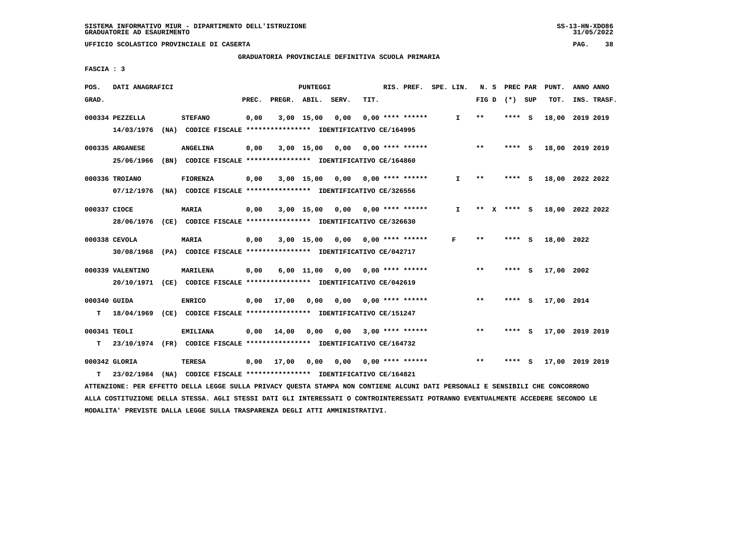## **GRADUATORIA PROVINCIALE DEFINITIVA SCUOLA PRIMARIA**

 **FASCIA : 3**

| POS.              | DATI ANAGRAFICI                |                                                                                             |       |                    | PUNTEGGI              |      |      | RIS. PREF. SPE. LIN.      |              | N. S    | <b>PREC PAR</b> |     | PUNT.      | ANNO ANNO       |
|-------------------|--------------------------------|---------------------------------------------------------------------------------------------|-------|--------------------|-----------------------|------|------|---------------------------|--------------|---------|-----------------|-----|------------|-----------------|
| GRAD.             |                                |                                                                                             | PREC. | PREGR. ABIL. SERV. |                       |      | TIT. |                           |              | FIG D   | (*) SUP         |     | TOT.       | INS. TRASF.     |
|                   | 000334 PEZZELLA<br>14/03/1976  | <b>STEFANO</b><br>(NA) CODICE FISCALE **************** IDENTIFICATIVO CE/164995             | 0,00  |                    | $3,00$ 15,00          | 0,00 |      | $0.00$ **** ******        | $\mathbf{I}$ | $**$    | ****            | - S | 18,00      | 2019 2019       |
|                   | 000335 ARGANESE<br>25/06/1966  | <b>ANGELINA</b><br>(BN) CODICE FISCALE **************** IDENTIFICATIVO CE/164860            | 0,00  |                    | 3,00 15,00 0,00       |      |      | 0,00 **** ******          |              | $***$   | **** S          |     |            | 18,00 2019 2019 |
|                   | 000336 TROIANO<br>07/12/1976   | <b>FIORENZA</b><br>(NA) CODICE FISCALE *************** IDENTIFICATIVO CE/326556             | 0,00  |                    | $3,00$ 15,00          |      |      | $0,00$ $0,00$ **** ****** | $\mathbf{I}$ | $* *$   | **** S          |     |            | 18,00 2022 2022 |
| 000337 CIOCE      | 28/06/1976                     | <b>MARIA</b><br>(CE) CODICE FISCALE **************** IDENTIFICATIVO CE/326630               | 0,00  |                    | $3,00$ 15,00          |      |      | $0,00$ $0,00$ **** ****** | I.           | **<br>x | **** S          |     |            | 18,00 2022 2022 |
|                   | 000338 CEVOLA<br>30/08/1968    | <b>MARIA</b><br>(PA) CODICE FISCALE **************** IDENTIFICATIVO CE/042717               | 0,00  |                    | $3,00$ 15,00          | 0,00 |      | 0,00 **** ******          | F            | $**$    | **** S          |     | 18,00 2022 |                 |
|                   | 000339 VALENTINO<br>20/10/1971 | MARILENA<br>(CE) CODICE FISCALE **************** IDENTIFICATIVO CE/042619                   | 0,00  |                    | $6,00$ $11,00$ $0,00$ |      |      | 0,00 **** ******          |              | $***$   | ****            | - S | 17,00 2002 |                 |
| 000340 GUIDA<br>т |                                | <b>ENRICO</b><br>18/04/1969 (CE) CODICE FISCALE **************** IDENTIFICATIVO CE/151247   | 0,00  | 17,00              | 0,00                  | 0.00 |      | 0,00 **** ******          |              | $***$   | **** S          |     | 17,00 2014 |                 |
| 000341 TEOLI<br>т |                                | <b>EMILIANA</b><br>23/10/1974 (FR) CODICE FISCALE **************** IDENTIFICATIVO CE/164732 | 0,00  | 14,00              | 0,00                  | 0,00 |      | $3,00$ **** ******        |              | $* *$   | ****            | - 5 |            | 17,00 2019 2019 |
| т                 | 000342 GLORIA                  | TERESA<br>23/02/1984 (NA) CODICE FISCALE **************** IDENTIFICATIVO CE/164821          | 0,00  | 17,00              | 0,00                  |      |      | $0,00$ $0,00$ **** ****** |              | $**$    | ****            | - S |            | 17,00 2019 2019 |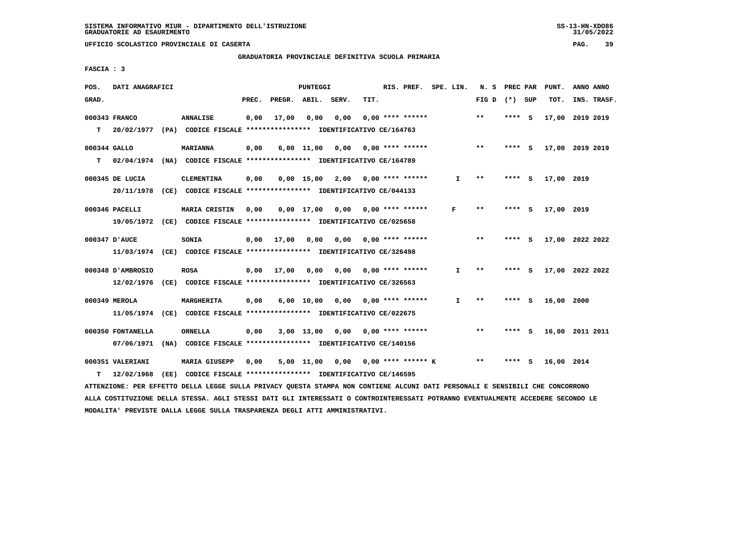## **GRADUATORIA PROVINCIALE DEFINITIVA SCUOLA PRIMARIA**

 **FASCIA : 3**

| POS.         | DATI ANAGRAFICI   |                                                                         |       |                    | PUNTEGGI           |                                        |      | RIS. PREF.                | SPE. LIN. |              | N.S             | PREC PAR |          | PUNT.      | ANNO ANNO       |  |
|--------------|-------------------|-------------------------------------------------------------------------|-------|--------------------|--------------------|----------------------------------------|------|---------------------------|-----------|--------------|-----------------|----------|----------|------------|-----------------|--|
| GRAD.        |                   |                                                                         | PREC. | PREGR. ABIL. SERV. |                    |                                        | TIT. |                           |           |              | FIG D $(*)$ SUP |          |          | TOT.       | INS. TRASF.     |  |
|              | 000343 FRANCO     | <b>ANNALISE</b>                                                         | 0,00  | 17,00              | 0,00               | 0,00                                   |      | $0.00$ **** ******        |           |              | $**$            | **** S   |          | 17,00      | 2019 2019       |  |
| T.           | 20/02/1977        | (PA) CODICE FISCALE **************** IDENTIFICATIVO CE/164763           |       |                    |                    |                                        |      |                           |           |              |                 |          |          |            |                 |  |
| 000344 GALLO |                   | <b>MARIANNA</b>                                                         | 0,00  |                    | $6,00$ 11,00       | 0,00                                   |      | 0,00 **** ******          |           |              | $***$           | **** S   |          |            | 17,00 2019 2019 |  |
| T.           | 02/04/1974        | (NA) CODICE FISCALE **************** IDENTIFICATIVO CE/164789           |       |                    |                    |                                        |      |                           |           |              |                 |          |          |            |                 |  |
|              | 000345 DE LUCIA   | <b>CLEMENTINA</b>                                                       | 0,00  |                    | $0.00$ 15.00       |                                        |      | $2,00$ 0,00 **** ******   |           | $\mathbf{I}$ | $***$           | ****     | - S      | 17,00 2019 |                 |  |
|              | 20/11/1978        | (CE) CODICE FISCALE *************** IDENTIFICATIVO CE/044133            |       |                    |                    |                                        |      |                           |           |              |                 |          |          |            |                 |  |
|              | 000346 PACELLI    | MARIA CRISTIN                                                           | 0,00  |                    | $0.00$ 17.00       |                                        |      | $0,00$ $0,00$ **** ****** |           | F            | $***$           | $***$ S  |          | 17,00 2019 |                 |  |
|              |                   | 19/05/1972 (CE) CODICE FISCALE *************** IDENTIFICATIVO CE/025658 |       |                    |                    |                                        |      |                           |           |              |                 |          |          |            |                 |  |
|              | 000347 D'AUCE     | SONIA                                                                   | 0,00  | 17,00              | 0,00               | 0.00                                   |      | 0,00 **** ******          |           |              | $**$            | ****     | - S      |            | 17,00 2022 2022 |  |
|              |                   | 11/03/1974 (CE) CODICE FISCALE *************** IDENTIFICATIVO CE/326498 |       |                    |                    |                                        |      |                           |           |              |                 |          |          |            |                 |  |
|              | 000348 D'AMBROSIO | <b>ROSA</b>                                                             | 0,00  | 17,00              |                    | $0.00$ $0.00$ $0.00$ $***$ **** ****** |      |                           |           | I.           | $* *$           | ****     | <b>S</b> |            | 17,00 2022 2022 |  |
|              | 12/02/1976        | (CE) CODICE FISCALE **************** IDENTIFICATIVO CE/326563           |       |                    |                    |                                        |      |                           |           |              |                 |          |          |            |                 |  |
|              | 000349 MEROLA     | MARGHERITA                                                              | 0,00  |                    | $6,00 \quad 10,00$ |                                        |      | $0.00$ $0.00$ **** ****** |           | $\mathbf{I}$ | $* *$           | **** S   |          | 16,00 2000 |                 |  |
|              |                   | 11/05/1974 (CE) CODICE FISCALE *************** IDENTIFICATIVO CE/022675 |       |                    |                    |                                        |      |                           |           |              |                 |          |          |            |                 |  |
|              | 000350 FONTANELLA | <b>ORNELLA</b>                                                          | 0,00  |                    | $3,00$ 13,00       |                                        |      | $0,00$ $0,00$ **** ****** |           |              | $* *$           | ****     | - S      |            | 16,00 2011 2011 |  |
|              | 07/06/1971        | (NA) CODICE FISCALE **************** IDENTIFICATIVO CE/140156           |       |                    |                    |                                        |      |                           |           |              |                 |          |          |            |                 |  |
|              | 000351 VALERIANI  | <b>MARIA GIUSEPP</b>                                                    | 0,00  |                    | 5,00 11,00         | 0,00                                   |      | $0.00$ **** ****** K      |           |              | $* *$           |          | s        | 16,00 2014 |                 |  |
| т            | 12/02/1968        | (EE) CODICE FISCALE **************** IDENTIFICATIVO CE/146595           |       |                    |                    |                                        |      |                           |           |              |                 |          |          |            |                 |  |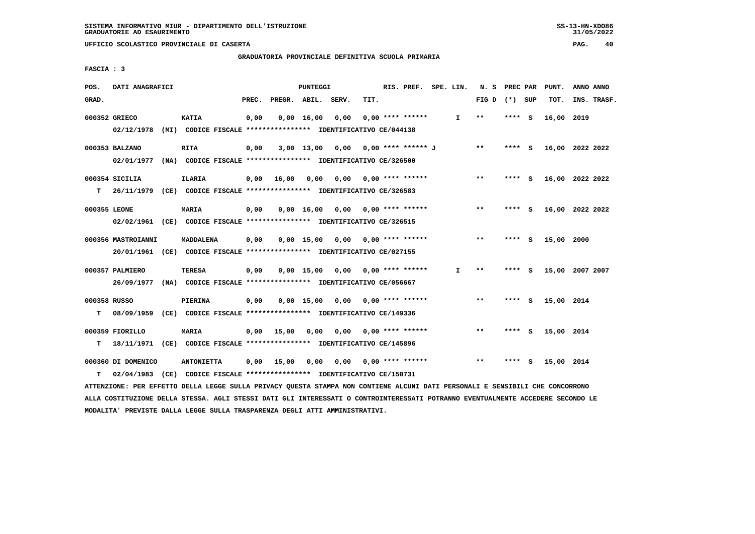**GRADUATORIA PROVINCIALE DEFINITIVA SCUOLA PRIMARIA**

 **FASCIA : 3**

| POS.              | DATI ANAGRAFICI                                                                               |                   |       |                       | PUNTEGGI     |                                                                      |      | RIS. PREF. SPE. LIN.            |              | N. S PREC PAR |         |     | PUNT.      | ANNO ANNO       |
|-------------------|-----------------------------------------------------------------------------------------------|-------------------|-------|-----------------------|--------------|----------------------------------------------------------------------|------|---------------------------------|--------------|---------------|---------|-----|------------|-----------------|
| GRAD.             |                                                                                               |                   | PREC. | PREGR. ABIL.          |              | SERV.                                                                | TIT. |                                 |              | FIG D         | (*) SUP |     | TOT.       | INS. TRASF.     |
|                   | 000352 GRIECO<br>02/12/1978 (MI) CODICE FISCALE **************** IDENTIFICATIVO CE/044138     | <b>KATIA</b>      | 0,00  |                       | 0.00 16.00   | 0,00                                                                 |      | $0.00$ **** ******              | $\mathbf{I}$ | $* *$         | **** S  |     | 16,00 2019 |                 |
|                   | 000353 BALZANO<br>02/01/1977 (NA) CODICE FISCALE **************** IDENTIFICATIVO CE/326500    | <b>RITA</b>       | 0,00  |                       |              | 3,00 13,00 0,00                                                      |      | 0,00 **** ****** J              |              | $* *$         | **** S  |     |            | 16,00 2022 2022 |
| т                 | 000354 SICILIA<br>26/11/1979 (CE) CODICE FISCALE *************** IDENTIFICATIVO CE/326583     | <b>ILARIA</b>     |       | $0,00$ $16,00$ $0,00$ |              |                                                                      |      | $0.00$ $0.00$ **** ******       |              | $***$         | **** S  |     |            | 16,00 2022 2022 |
| 000355 LEONE      | 02/02/1961 (CE) CODICE FISCALE *************** IDENTIFICATIVO CE/326515                       | <b>MARIA</b>      | 0,00  |                       |              | $0.00$ 16.00 0.00 0.00 **** ******                                   |      |                                 |              | $* *$         | **** S  |     |            | 16,00 2022 2022 |
|                   | 000356 MASTROIANNI<br>20/01/1961 (CE) CODICE FISCALE *************** IDENTIFICATIVO CE/027155 | MADDALENA         | 0,00  |                       | $0,00$ 15,00 |                                                                      |      | $0,00$ $0,00$ **** ******       |              | $* *$         | $***5$  |     | 15,00 2000 |                 |
|                   | 000357 PALMIERO<br>26/09/1977 (NA) CODICE FISCALE *************** IDENTIFICATIVO CE/056667    | <b>TERESA</b>     | 0,00  |                       |              | $0.00$ 15.00 0.00 0.00 **** ******                                   |      |                                 | $\mathbf{I}$ | $* *$         | **** S  |     |            | 15,00 2007 2007 |
| 000358 RUSSO<br>т | 08/09/1959 (CE) CODICE FISCALE *************** IDENTIFICATIVO CE/149336                       | PIERINA           | 0,00  |                       |              | 0,00 15,00 0,00                                                      |      | $0.00$ **** ******              |              | $***$         | **** S  |     | 15,00 2014 |                 |
| T.                | 000359 FIORILLO<br>18/11/1971 (CE) CODICE FISCALE *************** IDENTIFICATIVO CE/145896    | <b>MARIA</b>      |       | $0,00$ 15,00          | 0,00         |                                                                      |      | $0.00$ $0.00$ $***$ **** ****** |              | $* *$         | **** S  |     | 15,00 2014 |                 |
| т                 | 000360 DI DOMENICO<br>02/04/1983                                                              | <b>ANTONIETTA</b> |       | $0,00$ 15,00          | 0,00         | 0,00<br>(CE) CODICE FISCALE *************** IDENTIFICATIVO CE/150731 |      | $0.00$ **** ******              |              | $***$         | ****    | - S | 15,00 2014 |                 |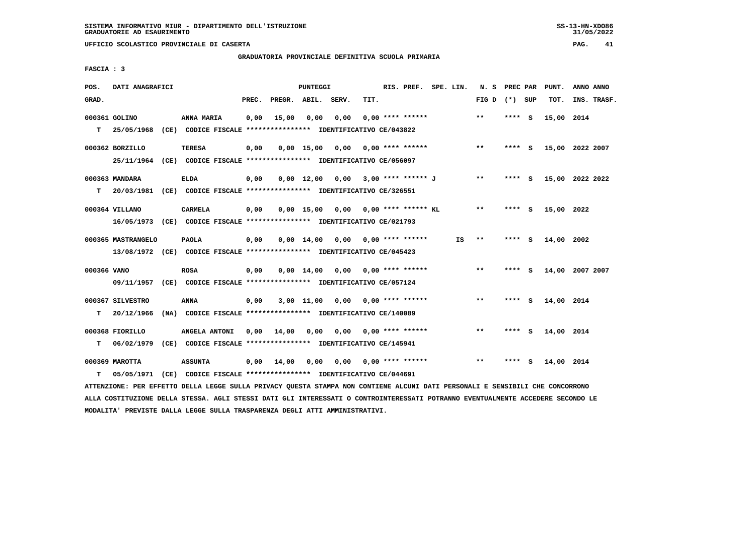**GRADUATORIA PROVINCIALE DEFINITIVA SCUOLA PRIMARIA**

 **FASCIA : 3**

| POS.        | DATI ANAGRAFICI                                                          |                                                               |       |        | PUNTEGGI           |       |      | RIS. PREF.                | SPE. LIN. | N. S            | PREC PAR |     | PUNT.      | ANNO ANNO       |
|-------------|--------------------------------------------------------------------------|---------------------------------------------------------------|-------|--------|--------------------|-------|------|---------------------------|-----------|-----------------|----------|-----|------------|-----------------|
| GRAD.       |                                                                          |                                                               | PREC. | PREGR. | ABIL.              | SERV. | TIT. |                           |           | FIG D $(*)$ SUP |          |     | TOT.       | INS. TRASF.     |
|             | 000361 GOLINO                                                            | ANNA MARIA                                                    | 0,00  | 15,00  | 0,00               | 0,00  |      | $0.00$ **** ******        |           | $* *$           | **** S   |     | 15,00 2014 |                 |
| T.          | 25/05/1968                                                               | (CE) CODICE FISCALE **************** IDENTIFICATIVO CE/043822 |       |        |                    |       |      |                           |           |                 |          |     |            |                 |
|             | 000362 BORZILLO                                                          | <b>TERESA</b>                                                 | 0,00  |        | $0,00$ 15,00       | 0,00  |      | $0.00$ **** ******        |           | $**$            | $***$ S  |     |            | 15,00 2022 2007 |
|             | 25/11/1964 (CE) CODICE FISCALE *************** IDENTIFICATIVO CE/056097  |                                                               |       |        |                    |       |      |                           |           |                 |          |     |            |                 |
|             | 000363 MANDARA                                                           | <b>ELDA</b>                                                   | 0,00  |        | $0,00$ 12,00       | 0,00  |      | 3,00 **** ****** J        |           | $* *$           | **** S   |     |            | 15,00 2022 2022 |
| T.          | 20/03/1981 (CE) CODICE FISCALE *************** IDENTIFICATIVO CE/326551  |                                                               |       |        |                    |       |      |                           |           |                 |          |     |            |                 |
|             | 000364 VILLANO                                                           | CARMELA                                                       | 0,00  |        | $0,00$ 15,00       | 0,00  |      | $0.00$ **** ****** KL     |           | **              | **** S   |     | 15,00 2022 |                 |
|             | 16/05/1973 (CE) CODICE FISCALE **************** IDENTIFICATIVO CE/021793 |                                                               |       |        |                    |       |      |                           |           |                 |          |     |            |                 |
|             | 000365 MASTRANGELO                                                       | <b>PAOLA</b>                                                  | 0,00  |        | $0,00 \quad 14,00$ | 0,00  |      | $0.00$ **** ******        | IS        | $* *$           | **** S   |     | 14,00      | 2002            |
|             | 13/08/1972 (CE) CODICE FISCALE *************** IDENTIFICATIVO CE/045423  |                                                               |       |        |                    |       |      |                           |           |                 |          |     |            |                 |
| 000366 VANO |                                                                          | <b>ROSA</b>                                                   | 0,00  |        | $0.00 \quad 14.00$ |       |      | $0,00$ $0,00$ **** ****** |           | $**$            | **** S   |     |            | 14,00 2007 2007 |
|             | 09/11/1957                                                               | (CE) CODICE FISCALE **************** IDENTIFICATIVO CE/057124 |       |        |                    |       |      |                           |           |                 |          |     |            |                 |
|             |                                                                          |                                                               |       |        |                    |       |      |                           |           |                 |          |     |            |                 |
|             | 000367 SILVESTRO                                                         | <b>ANNA</b>                                                   | 0,00  |        | $3,00$ 11,00       |       |      | $0.00$ $0.00$ **** ****** |           | $***$           | **** S   |     | 14,00 2014 |                 |
| т           | 20/12/1966                                                               | (NA) CODICE FISCALE **************** IDENTIFICATIVO CE/140089 |       |        |                    |       |      |                           |           |                 |          |     |            |                 |
|             | 000368 FIORILLO                                                          | ANGELA ANTONI                                                 | 0.00  | 14,00  | 0,00               | 0.00  |      | $0.00$ **** ******        |           | $***$           | ****     | - S | 14,00 2014 |                 |
| т           | 06/02/1979                                                               | (CE) CODICE FISCALE **************** IDENTIFICATIVO CE/145941 |       |        |                    |       |      |                           |           |                 |          |     |            |                 |
|             | 000369 MAROTTA                                                           | <b>ASSUNTA</b>                                                | 0,00  | 14,00  | 0,00               | 0,00  |      | $0.00$ **** ******        |           | $**$            | ****     | s   | 14,00 2014 |                 |
| т           | 05/05/1971                                                               | (CE) CODICE FISCALE *************** IDENTIFICATIVO CE/044691  |       |        |                    |       |      |                           |           |                 |          |     |            |                 |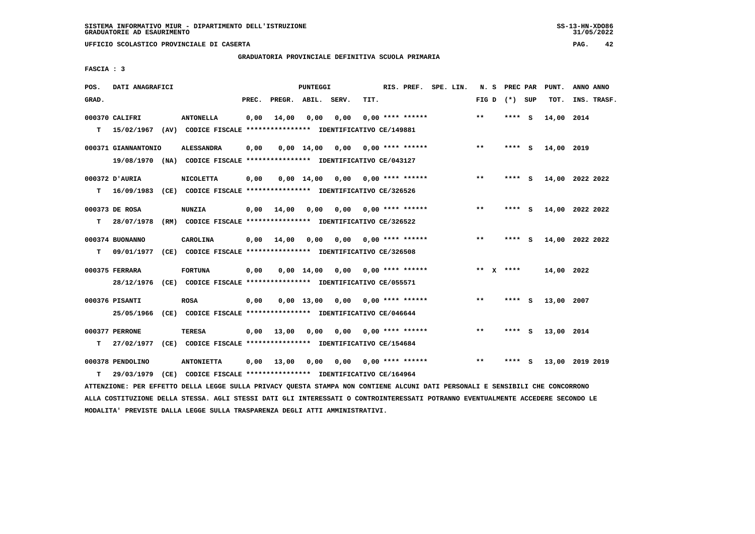$31/05/2022$ 

 **UFFICIO SCOLASTICO PROVINCIALE DI CASERTA PAG. 42**

 **GRADUATORIA PROVINCIALE DEFINITIVA SCUOLA PRIMARIA**

 **FASCIA : 3**

| POS.  | DATI ANAGRAFICI     |                                                                          |       |                    | PUNTEGGI           |                                    |                           | RIS. PREF. SPE. LIN. |  |       | N. S PREC PAR   |     | PUNT.      | ANNO ANNO       |
|-------|---------------------|--------------------------------------------------------------------------|-------|--------------------|--------------------|------------------------------------|---------------------------|----------------------|--|-------|-----------------|-----|------------|-----------------|
| GRAD. |                     |                                                                          | PREC. | PREGR. ABIL. SERV. |                    |                                    | TIT.                      |                      |  |       | FIG D $(*)$ SUP |     | TOT.       | INS. TRASF.     |
|       | 000370 CALIFRI      | <b>ANTONELLA</b>                                                         | 0,00  | 14,00              | 0,00               | 0,00                               |                           | $0.00$ **** ******   |  | $* *$ | **** S          |     | 14,00 2014 |                 |
| т     |                     | 15/02/1967 (AV) CODICE FISCALE *************** IDENTIFICATIVO CE/149881  |       |                    |                    |                                    |                           |                      |  |       |                 |     |            |                 |
|       | 000371 GIANNANTONIO | <b>ALESSANDRA</b>                                                        | 0,00  |                    | $0,00 \quad 14,00$ | 0,00 0,00 **** ******              |                           |                      |  | $**$  | $***$ S         |     | 14,00 2019 |                 |
|       |                     | 19/08/1970 (NA) CODICE FISCALE *************** IDENTIFICATIVO CE/043127  |       |                    |                    |                                    |                           |                      |  |       |                 |     |            |                 |
|       | 000372 D'AURIA      | <b>NICOLETTA</b>                                                         | 0,00  |                    |                    | $0.00$ 14.00 0.00 0.00 **** ****** |                           |                      |  | $***$ | **** S          |     |            | 14,00 2022 2022 |
| т     |                     | 16/09/1983 (CE) CODICE FISCALE **************** IDENTIFICATIVO CE/326526 |       |                    |                    |                                    |                           |                      |  |       |                 |     |            |                 |
|       | 000373 DE ROSA      | <b>NUNZIA</b>                                                            | 0,00  | 14,00              | 0,00               |                                    | 0,00 0,00 **** ******     |                      |  | $***$ | $***5$          |     |            | 14,00 2022 2022 |
| т     | 28/07/1978          | (RM) CODICE FISCALE **************** IDENTIFICATIVO CE/326522            |       |                    |                    |                                    |                           |                      |  |       |                 |     |            |                 |
|       | 000374 BUONANNO     | <b>CAROLINA</b>                                                          | 0,00  | 14,00              | 0.00               | 0,00                               | 0,00 **** ******          |                      |  | **    | $***$ S         |     |            | 14,00 2022 2022 |
| т     | 09/01/1977          | (CE) CODICE FISCALE **************** IDENTIFICATIVO CE/326508            |       |                    |                    |                                    |                           |                      |  |       |                 |     |            |                 |
|       | 000375 FERRARA      | <b>FORTUNA</b>                                                           | 0,00  |                    |                    | $0,00 \quad 14,00 \quad 0,00$      |                           | $0.00$ **** ******   |  |       | ** $X$ ****     |     | 14,00 2022 |                 |
|       |                     | 28/12/1976 (CE) CODICE FISCALE *************** IDENTIFICATIVO CE/055571  |       |                    |                    |                                    |                           |                      |  |       |                 |     |            |                 |
|       | 000376 PISANTI      | <b>ROSA</b>                                                              | 0,00  |                    | $0,00 \quad 13,00$ |                                    | $0,00$ $0,00$ **** ****** |                      |  | $***$ | **** S          |     | 13,00 2007 |                 |
|       | 25/05/1966          | (CE) CODICE FISCALE **************** IDENTIFICATIVO CE/046644            |       |                    |                    |                                    |                           |                      |  |       |                 |     |            |                 |
|       | 000377 PERRONE      | TERESA                                                                   | 0.00  | 13,00              | 0,00               |                                    | $0.00$ $0.00$ **** ****** |                      |  | $***$ | **** S          |     | 13,00 2014 |                 |
| т     | 27/02/1977          | (CE) CODICE FISCALE **************** IDENTIFICATIVO CE/154684            |       |                    |                    |                                    |                           |                      |  |       |                 |     |            |                 |
|       | 000378 PENDOLINO    | <b>ANTONIETTA</b>                                                        | 0,00  | 13,00              | 0,00               |                                    | $0,00$ $0,00$ **** ****** |                      |  | **    | ****            | - 5 |            | 13,00 2019 2019 |
| т     | 29/03/1979          | (CE) CODICE FISCALE **************** IDENTIFICATIVO CE/164964            |       |                    |                    |                                    |                           |                      |  |       |                 |     |            |                 |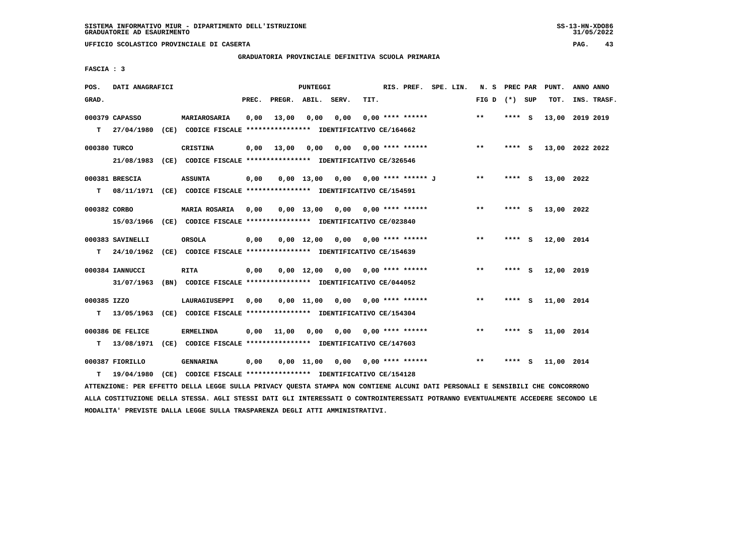**GRADUATORIA PROVINCIALE DEFINITIVA SCUOLA PRIMARIA**

 **FASCIA : 3**

| POS.         | DATI ANAGRAFICI                |                                                                               |       |              | <b>PUNTEGGI</b> |                                      |      | RIS. PREF. SPE. LIN.      |  | N. S PREC PAR   |          |     | PUNT.           | ANNO ANNO |             |
|--------------|--------------------------------|-------------------------------------------------------------------------------|-------|--------------|-----------------|--------------------------------------|------|---------------------------|--|-----------------|----------|-----|-----------------|-----------|-------------|
| GRAD.        |                                |                                                                               | PREC. | PREGR. ABIL. |                 | SERV.                                | TIT. |                           |  | FIG D $(*)$ SUP |          |     | TOT.            |           | INS. TRASF. |
|              | 000379 CAPASSO<br>T 27/04/1980 | MARIAROSARIA<br>(CE) CODICE FISCALE **************** IDENTIFICATIVO CE/164662 | 0,00  | 13,00        | 0,00            | 0,00                                 |      | $0.00$ **** ******        |  | $**$            | **** S   |     | 13,00 2019 2019 |           |             |
|              |                                |                                                                               |       |              |                 |                                      |      |                           |  |                 |          |     |                 |           |             |
| 000380 TURCO |                                | <b>CRISTINA</b>                                                               | 0,00  | 13,00        |                 | 0,00 0,00 0,00 **** ******           |      |                           |  | $* *$           | $***$ S  |     | 13,00 2022 2022 |           |             |
|              |                                | 21/08/1983 (CE) CODICE FISCALE *************** IDENTIFICATIVO CE/326546       |       |              |                 |                                      |      |                           |  |                 |          |     |                 |           |             |
|              | 000381 BRESCIA                 | <b>ASSUNTA</b>                                                                | 0,00  |              |                 | $0,00$ 13,00 0,00 0,00 **** ****** J |      |                           |  | $***$           | **** S   |     | 13,00 2022      |           |             |
| т            |                                | 08/11/1971 (CE) CODICE FISCALE **************** IDENTIFICATIVO CE/154591      |       |              |                 |                                      |      |                           |  |                 |          |     |                 |           |             |
| 000382 CORBO |                                | <b>MARIA ROSARIA</b>                                                          | 0,00  |              |                 | $0,00$ 13,00 0,00 0,00 **** ******   |      |                           |  | $**$            | **** S   |     | 13,00 2022      |           |             |
|              | 15/03/1966                     | (CE) CODICE FISCALE **************** IDENTIFICATIVO CE/023840                 |       |              |                 |                                      |      |                           |  |                 |          |     |                 |           |             |
|              |                                |                                                                               |       |              |                 |                                      |      |                           |  |                 |          |     |                 |           |             |
|              | 000383 SAVINELLI               | ORSOLA                                                                        | 0,00  |              |                 | $0,00$ 12,00 0,00 0,00 **** ******   |      |                           |  | $**$            | **** S   |     | 12,00 2014      |           |             |
| T.           | 24/10/1962                     | (CE) CODICE FISCALE **************** IDENTIFICATIVO CE/154639                 |       |              |                 |                                      |      |                           |  |                 |          |     |                 |           |             |
|              | 000384 IANNUCCI                | <b>RITA</b>                                                                   | 0,00  |              |                 | $0,00$ $12,00$ $0,00$                |      | $0.00$ **** ******        |  | $\star\star$    | **** $S$ |     | 12,00 2019      |           |             |
|              | 31/07/1963                     | (BN) CODICE FISCALE **************** IDENTIFICATIVO CE/044052                 |       |              |                 |                                      |      |                           |  |                 |          |     |                 |           |             |
| 000385 IZZO  |                                | LAURAGIUSEPPI                                                                 | 0.00  |              |                 | $0,00$ 11,00 0,00 0,00 **** ******   |      |                           |  | $* *$           | **** S   |     | 11,00 2014      |           |             |
|              | $T = 13/05/1963$               | (CE) CODICE FISCALE **************** IDENTIFICATIVO CE/154304                 |       |              |                 |                                      |      |                           |  |                 |          |     |                 |           |             |
|              |                                |                                                                               |       |              |                 |                                      |      |                           |  |                 |          |     |                 |           |             |
|              | 000386 DE FELICE               | <b>ERMELINDA</b>                                                              | 0,00  | 11,00        | 0,00            |                                      |      | $0,00$ $0,00$ **** ****** |  | $***$           | **** S   |     | 11,00 2014      |           |             |
|              | T 13/08/1971                   | (CE) CODICE FISCALE **************** IDENTIFICATIVO CE/147603                 |       |              |                 |                                      |      |                           |  |                 |          |     |                 |           |             |
|              | 000387 FIORILLO                | <b>GENNARINA</b>                                                              | 0,00  |              | 0,00 11,00      |                                      |      | $0.00$ $0.00$ **** ****** |  | $***$           | ****     | - S | 11,00 2014      |           |             |
| т            | 19/04/1980                     | (CE) CODICE FISCALE **************** IDENTIFICATIVO CE/154128                 |       |              |                 |                                      |      |                           |  |                 |          |     |                 |           |             |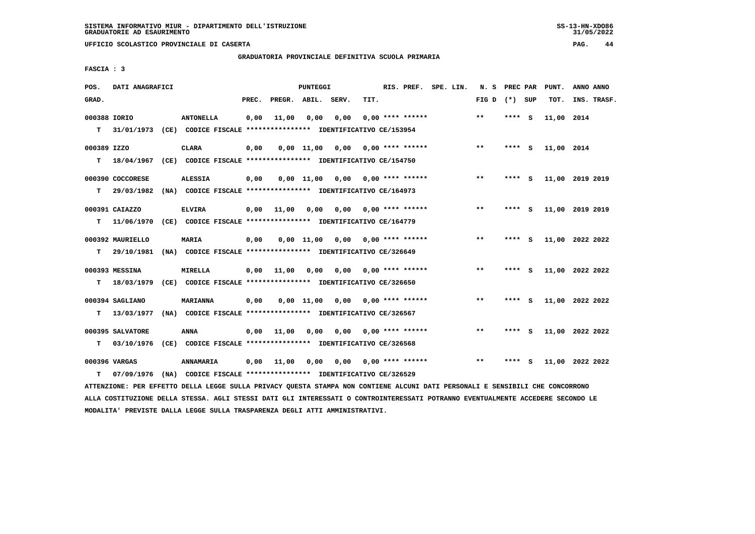$31/05/2022$ 

 **UFFICIO SCOLASTICO PROVINCIALE DI CASERTA PAG. 44**

 **GRADUATORIA PROVINCIALE DEFINITIVA SCUOLA PRIMARIA**

 **FASCIA : 3**

| POS.         | DATI ANAGRAFICI  |                                                                                                                               |       |                    | <b>PUNTEGGI</b> |      |      |                           | RIS. PREF. SPE. LIN. |                 |        |     | N. S PREC PAR PUNT. | ANNO ANNO       |
|--------------|------------------|-------------------------------------------------------------------------------------------------------------------------------|-------|--------------------|-----------------|------|------|---------------------------|----------------------|-----------------|--------|-----|---------------------|-----------------|
| GRAD.        |                  |                                                                                                                               | PREC. | PREGR. ABIL. SERV. |                 |      | TIT. |                           |                      | FIG D $(*)$ SUP |        |     | TOT.                | INS. TRASF.     |
| 000388 IORIO |                  | <b>ANTONELLA</b>                                                                                                              | 0,00  | 11,00              | 0,00            | 0,00 |      | $0.00$ **** ******        |                      | $\star\star$    | ****   | - 5 | 11,00 2014          |                 |
| т            | 31/01/1973       | (CE) CODICE FISCALE **************** IDENTIFICATIVO CE/153954                                                                 |       |                    |                 |      |      |                           |                      |                 |        |     |                     |                 |
| 000389 IZZO  |                  | <b>CLARA</b>                                                                                                                  | 0,00  |                    | $0.00$ 11.00    | 0,00 |      | $0.00$ **** ******        |                      | $***$           | **** S |     | 11,00 2014          |                 |
| т            | 18/04/1967       | (CE) CODICE FISCALE **************** IDENTIFICATIVO CE/154750                                                                 |       |                    |                 |      |      |                           |                      |                 |        |     |                     |                 |
|              | 000390 COCCORESE | <b>ALESSIA</b>                                                                                                                | 0,00  |                    | $0,00$ 11,00    | 0,00 |      | $0.00$ **** ******        |                      | $***$           | **** S |     |                     | 11,00 2019 2019 |
| т            | 29/03/1982       | (NA) CODICE FISCALE **************** IDENTIFICATIVO CE/164973                                                                 |       |                    |                 |      |      |                           |                      |                 |        |     |                     |                 |
|              | 000391 CAIAZZO   | <b>ELVIRA</b>                                                                                                                 | 0,00  | 11,00              | 0.00            | 0.00 |      | $0.00$ **** ******        |                      | **              | **** S |     |                     | 11,00 2019 2019 |
| т            | 11/06/1970       | (CE) CODICE FISCALE **************** IDENTIFICATIVO CE/164779                                                                 |       |                    |                 |      |      |                           |                      |                 |        |     |                     |                 |
|              | 000392 MAURIELLO | <b>MARIA</b>                                                                                                                  | 0,00  |                    | $0,00$ 11,00    |      |      | $0.00$ $0.00$ **** ****** |                      | $***$           | **** S |     |                     | 11,00 2022 2022 |
| т            | 29/10/1981       | (NA) CODICE FISCALE **************** IDENTIFICATIVO CE/326649                                                                 |       |                    |                 |      |      |                           |                      |                 |        |     |                     |                 |
|              | 000393 MESSINA   | MIRELLA                                                                                                                       | 0,00  | 11,00              | 0,00            |      |      | $0,00$ 0,00 **** ******   |                      | $***$           | **** S |     |                     | 11,00 2022 2022 |
| т            | 18/03/1979       | (CE) CODICE FISCALE **************** IDENTIFICATIVO CE/326650                                                                 |       |                    |                 |      |      |                           |                      |                 |        |     |                     |                 |
|              | 000394 SAGLIANO  | <b>MARIANNA</b>                                                                                                               | 0,00  |                    | $0.00$ $11.00$  | 0.00 |      | $0.00$ **** ******        |                      | $***$           | ****   | - S |                     | 11,00 2022 2022 |
| т            | 13/03/1977       | (NA) CODICE FISCALE **************** IDENTIFICATIVO CE/326567                                                                 |       |                    |                 |      |      |                           |                      |                 |        |     |                     |                 |
|              | 000395 SALVATORE | <b>ANNA</b>                                                                                                                   | 0.00  | 11,00              | 0.00            | 0,00 |      | 0,00 **** ******          |                      | $***$           | **** S |     |                     | 11,00 2022 2022 |
| т            | 03/10/1976       | (CE) CODICE FISCALE **************** IDENTIFICATIVO CE/326568                                                                 |       |                    |                 |      |      |                           |                      |                 |        |     |                     |                 |
|              | 000396 VARGAS    | ANNAMARIA                                                                                                                     | 0,00  | 11,00              | 0,00            | 0,00 |      | $0.00$ **** ******        |                      | $***$           | ****   | - S |                     | 11,00 2022 2022 |
| т            | 07/09/1976       | (NA) CODICE FISCALE **************** IDENTIFICATIVO CE/326529                                                                 |       |                    |                 |      |      |                           |                      |                 |        |     |                     |                 |
|              |                  | ATTENZIONE: PER EFFETTO DELLA LEGGE SULLA PRIVACY QUESTA STAMPA NON CONTIENE ALCUNI DATI PERSONALI E SENSIBILI CHE CONCORRONO |       |                    |                 |      |      |                           |                      |                 |        |     |                     |                 |